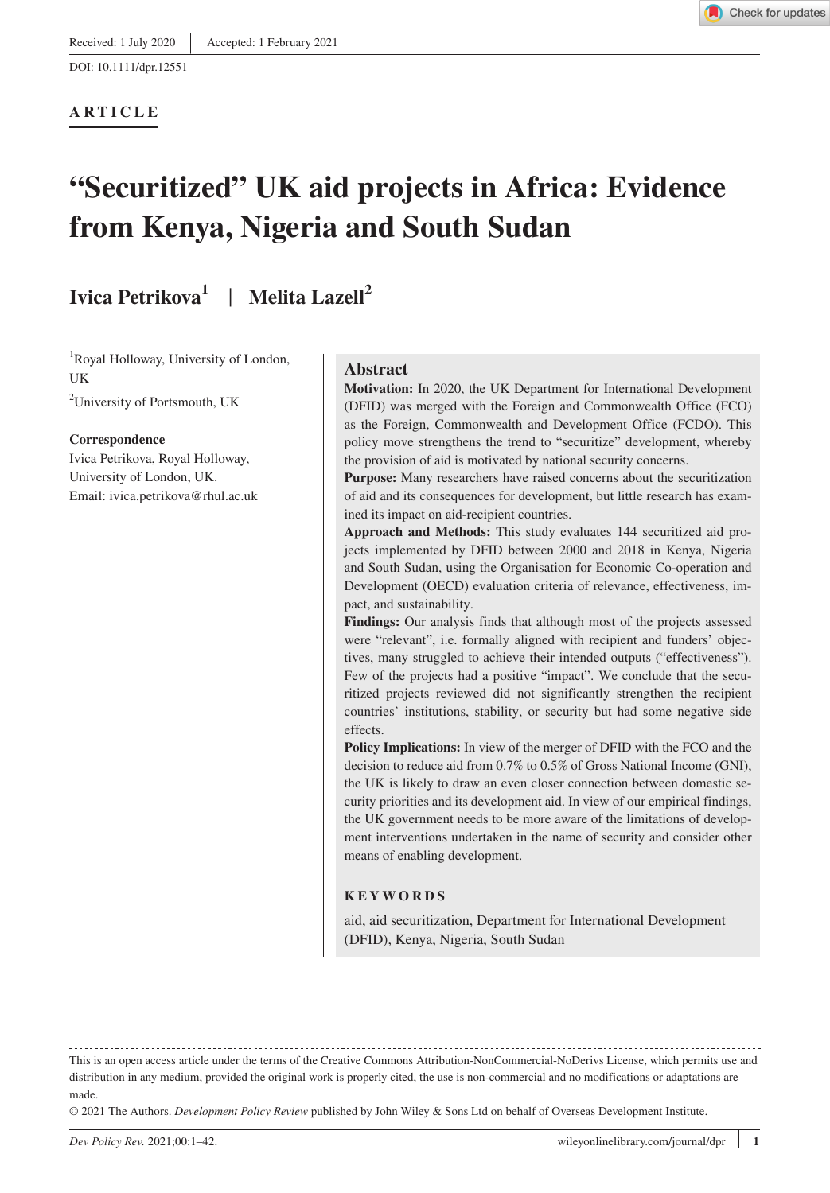#### **ARTICLE**



# **"Securitized" UK aid projects in Africa: Evidence from Kenya, Nigeria and South Sudan**

## **Ivica Petrikova1** | **Melita Lazell2**

1 Royal Holloway, University of London, **IK** 

<sup>2</sup>University of Portsmouth, UK

#### **Correspondence**

Ivica Petrikova, Royal Holloway, University of London, UK. Email: [ivica.petrikova@rhul.ac.uk](mailto:ivica.petrikova@rhul.ac.uk)

#### **Abstract**

**Motivation:** In 2020, the UK Department for International Development (DFID) was merged with the Foreign and Commonwealth Office (FCO) as the Foreign, Commonwealth and Development Office (FCDO). This policy move strengthens the trend to "securitize" development, whereby the provision of aid is motivated by national security concerns.

**Purpose:** Many researchers have raised concerns about the securitization of aid and its consequences for development, but little research has examined its impact on aid-recipient countries.

**Approach and Methods:** This study evaluates 144 securitized aid projects implemented by DFID between 2000 and 2018 in Kenya, Nigeria and South Sudan, using the Organisation for Economic Co-operation and Development (OECD) evaluation criteria of relevance, effectiveness, impact, and sustainability.

Findings: Our analysis finds that although most of the projects assessed were "relevant", i.e. formally aligned with recipient and funders' objectives, many struggled to achieve their intended outputs ("effectiveness"). Few of the projects had a positive "impact". We conclude that the securitized projects reviewed did not significantly strengthen the recipient countries' institutions, stability, or security but had some negative side effects.

**Policy Implications:** In view of the merger of DFID with the FCO and the decision to reduce aid from 0.7% to 0.5% of Gross National Income (GNI), the UK is likely to draw an even closer connection between domestic security priorities and its development aid. In view of our empirical findings, the UK government needs to be more aware of the limitations of development interventions undertaken in the name of security and consider other means of enabling development.

#### **KEYWORDS**

aid, aid securitization, Department for International Development (DFID), Kenya, Nigeria, South Sudan

This is an open access article under the terms of the [Creative Commons Attribution-NonCommercial-NoDerivs](http://creativecommons.org/licenses/by-nc-nd/4.0/) License, which permits use and distribution in any medium, provided the original work is properly cited, the use is non-commercial and no modifications or adaptations are made.

© 2021 The Authors. *Development Policy Review* published by John Wiley & Sons Ltd on behalf of Overseas Development Institute.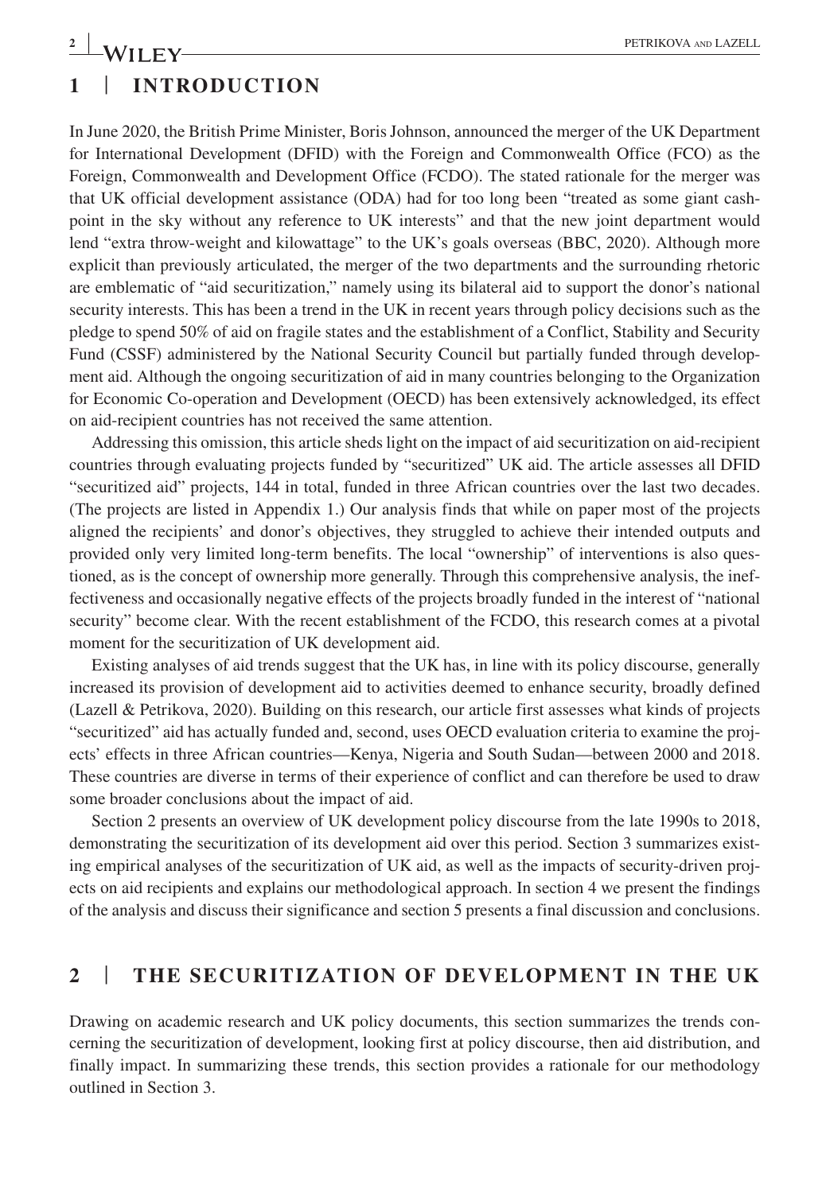## **1** | **INTRODUCTION**

In June 2020, the British Prime Minister, Boris Johnson, announced the merger of the UK Department for International Development (DFID) with the Foreign and Commonwealth Office (FCO) as the Foreign, Commonwealth and Development Office (FCDO). The stated rationale for the merger was that UK official development assistance (ODA) had for too long been "treated as some giant cashpoint in the sky without any reference to UK interests" and that the new joint department would lend "extra throw-weight and kilowattage" to the UK's goals overseas (BBC, 2020). Although more explicit than previously articulated, the merger of the two departments and the surrounding rhetoric are emblematic of "aid securitization," namely using its bilateral aid to support the donor's national security interests. This has been a trend in the UK in recent years through policy decisions such as the pledge to spend 50% of aid on fragile states and the establishment of a Conflict, Stability and Security Fund (CSSF) administered by the National Security Council but partially funded through development aid. Although the ongoing securitization of aid in many countries belonging to the Organization for Economic Co-operation and Development (OECD) has been extensively acknowledged, its effect on aid-recipient countries has not received the same attention.

Addressing this omission, this article sheds light on the impact of aid securitization on aid-recipient countries through evaluating projects funded by "securitized" UK aid. The article assesses all DFID "securitized aid" projects, 144 in total, funded in three African countries over the last two decades. (The projects are listed in Appendix 1.) Our analysis finds that while on paper most of the projects aligned the recipients' and donor's objectives, they struggled to achieve their intended outputs and provided only very limited long-term benefits. The local "ownership" of interventions is also questioned, as is the concept of ownership more generally. Through this comprehensive analysis, the ineffectiveness and occasionally negative effects of the projects broadly funded in the interest of "national security" become clear. With the recent establishment of the FCDO, this research comes at a pivotal moment for the securitization of UK development aid.

Existing analyses of aid trends suggest that the UK has, in line with its policy discourse, generally increased its provision of development aid to activities deemed to enhance security, broadly defined (Lazell & Petrikova, 2020). Building on this research, our article first assesses what kinds of projects "securitized" aid has actually funded and, second, uses OECD evaluation criteria to examine the projects' effects in three African countries—Kenya, Nigeria and South Sudan—between 2000 and 2018. These countries are diverse in terms of their experience of conflict and can therefore be used to draw some broader conclusions about the impact of aid.

Section 2 presents an overview of UK development policy discourse from the late 1990s to 2018, demonstrating the securitization of its development aid over this period. Section 3 summarizes existing empirical analyses of the securitization of UK aid, as well as the impacts of security-driven projects on aid recipients and explains our methodological approach. In section 4 we present the findings of the analysis and discuss their significance and section 5 presents a final discussion and conclusions.

## **2** | **THE SECURITIZATION OF DEVELOPMENT IN THE UK**

Drawing on academic research and UK policy documents, this section summarizes the trends concerning the securitization of development, looking first at policy discourse, then aid distribution, and finally impact. In summarizing these trends, this section provides a rationale for our methodology outlined in Section 3.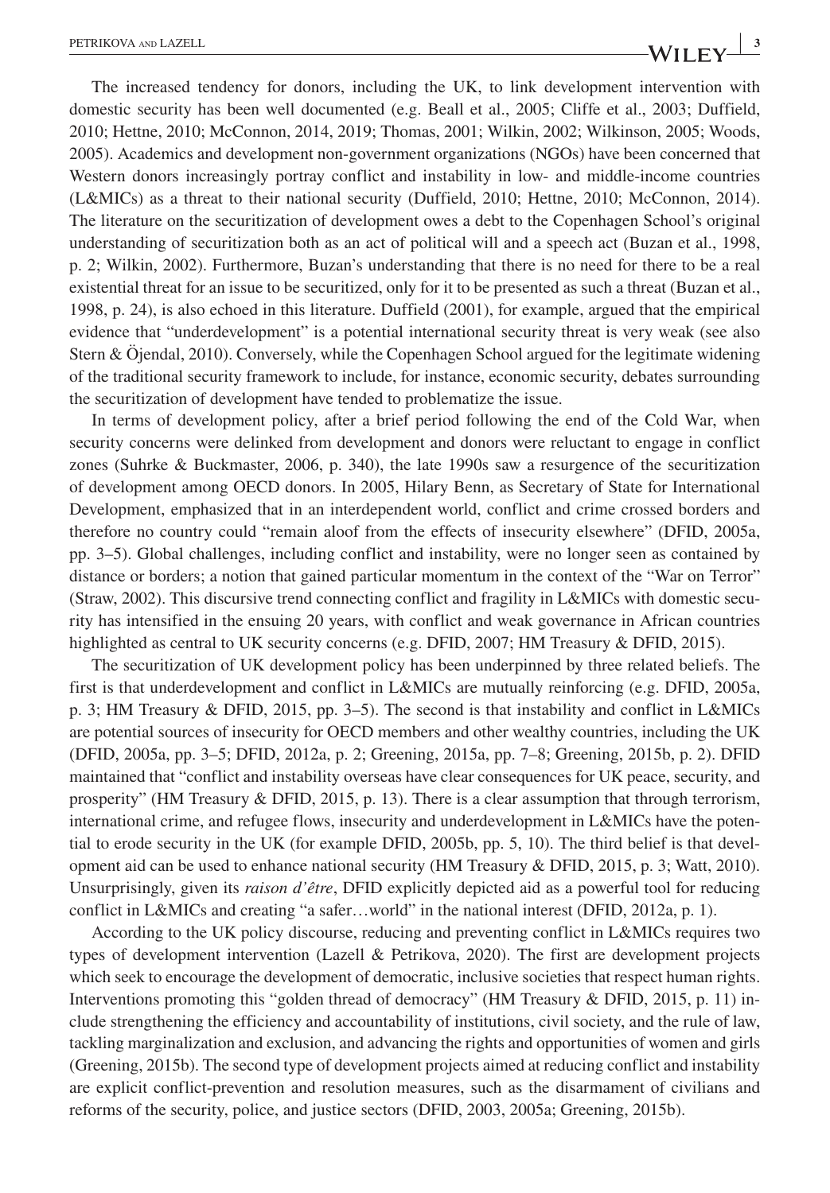$\frac{1}{2}$   $\frac{3}{2}$   $\frac{3}{2}$   $\frac{3}{2}$   $\frac{3}{2}$   $\frac{3}{2}$   $\frac{3}{2}$   $\frac{3}{2}$   $\frac{3}{2}$   $\frac{3}{2}$   $\frac{3}{2}$   $\frac{3}{2}$   $\frac{3}{2}$   $\frac{3}{2}$   $\frac{3}{2}$   $\frac{3}{2}$   $\frac{3}{2}$   $\frac{3}{2}$   $\frac{3}{2}$   $\frac{3}{2}$   $\frac{3}{2}$   $\frac{3}{2}$ 

The increased tendency for donors, including the UK, to link development intervention with domestic security has been well documented (e.g. Beall et al., 2005; Cliffe et al., 2003; Duffield, 2010; Hettne, 2010; McConnon, 2014, 2019; Thomas, 2001; Wilkin, 2002; Wilkinson, 2005; Woods, 2005). Academics and development non-government organizations (NGOs) have been concerned that Western donors increasingly portray conflict and instability in low- and middle-income countries (L&MICs) as a threat to their national security (Duffield, 2010; Hettne, 2010; McConnon, 2014). The literature on the securitization of development owes a debt to the Copenhagen School's original understanding of securitization both as an act of political will and a speech act (Buzan et al., 1998, p. 2; Wilkin, 2002). Furthermore, Buzan's understanding that there is no need for there to be a real existential threat for an issue to be securitized, only for it to be presented as such a threat (Buzan et al., 1998, p. 24), is also echoed in this literature. Duffield (2001), for example, argued that the empirical evidence that "underdevelopment" is a potential international security threat is very weak (see also Stern & Öjendal, 2010). Conversely, while the Copenhagen School argued for the legitimate widening of the traditional security framework to include, for instance, economic security, debates surrounding the securitization of development have tended to problematize the issue.

In terms of development policy, after a brief period following the end of the Cold War, when security concerns were delinked from development and donors were reluctant to engage in conflict zones (Suhrke & Buckmaster, 2006, p. 340), the late 1990s saw a resurgence of the securitization of development among OECD donors. In 2005, Hilary Benn, as Secretary of State for International Development, emphasized that in an interdependent world, conflict and crime crossed borders and therefore no country could "remain aloof from the effects of insecurity elsewhere" (DFID, 2005a, pp. 3–5). Global challenges, including conflict and instability, were no longer seen as contained by distance or borders; a notion that gained particular momentum in the context of the "War on Terror" (Straw, 2002). This discursive trend connecting conflict and fragility in L&MICs with domestic security has intensified in the ensuing 20 years, with conflict and weak governance in African countries highlighted as central to UK security concerns (e.g. DFID, 2007; HM Treasury & DFID, 2015).

The securitization of UK development policy has been underpinned by three related beliefs. The first is that underdevelopment and conflict in L&MICs are mutually reinforcing (e.g. DFID, 2005a, p. 3; HM Treasury & DFID, 2015, pp. 3–5). The second is that instability and conflict in L&MICs are potential sources of insecurity for OECD members and other wealthy countries, including the UK (DFID, 2005a, pp. 3–5; DFID, 2012a, p. 2; Greening, 2015a, pp. 7–8; Greening, 2015b, p. 2). DFID maintained that "conflict and instability overseas have clear consequences for UK peace, security, and prosperity" (HM Treasury & DFID, 2015, p. 13). There is a clear assumption that through terrorism, international crime, and refugee flows, insecurity and underdevelopment in L&MICs have the potential to erode security in the UK (for example DFID, 2005b, pp. 5, 10). The third belief is that development aid can be used to enhance national security (HM Treasury & DFID, 2015, p. 3; Watt, 2010). Unsurprisingly, given its *raison d'être*, DFID explicitly depicted aid as a powerful tool for reducing conflict in L&MICs and creating "a safer…world" in the national interest (DFID, 2012a, p. 1).

According to the UK policy discourse, reducing and preventing conflict in L&MICs requires two types of development intervention (Lazell & Petrikova, 2020). The first are development projects which seek to encourage the development of democratic, inclusive societies that respect human rights. Interventions promoting this "golden thread of democracy" (HM Treasury & DFID, 2015, p. 11) include strengthening the efficiency and accountability of institutions, civil society, and the rule of law, tackling marginalization and exclusion, and advancing the rights and opportunities of women and girls (Greening, 2015b). The second type of development projects aimed at reducing conflict and instability are explicit conflict-prevention and resolution measures, such as the disarmament of civilians and reforms of the security, police, and justice sectors (DFID, 2003, 2005a; Greening, 2015b).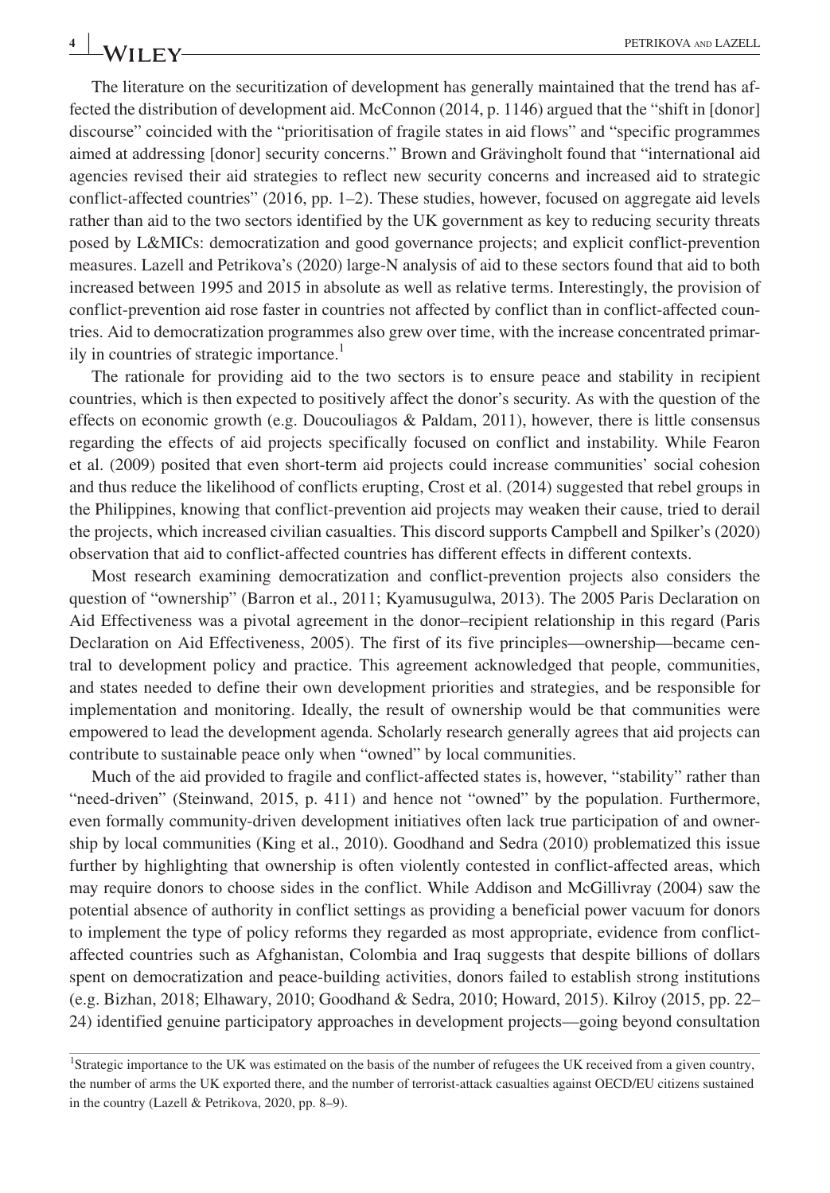The literature on the securitization of development has generally maintained that the trend has affected the distribution of development aid. McConnon (2014, p. 1146) argued that the "shift in [donor] discourse" coincided with the "prioritisation of fragile states in aid flows" and "specific programmes aimed at addressing [donor] security concerns." Brown and Grävingholt found that "international aid agencies revised their aid strategies to reflect new security concerns and increased aid to strategic conflict-affected countries" (2016, pp. 1–2). These studies, however, focused on aggregate aid levels rather than aid to the two sectors identified by the UK government as key to reducing security threats posed by L&MICs: democratization and good governance projects; and explicit conflict-prevention measures. Lazell and Petrikova's (2020) large-N analysis of aid to these sectors found that aid to both increased between 1995 and 2015 in absolute as well as relative terms. Interestingly, the provision of conflict-prevention aid rose faster in countries not affected by conflict than in conflict-affected countries. Aid to democratization programmes also grew over time, with the increase concentrated primarily in countries of strategic importance.<sup>1</sup>

The rationale for providing aid to the two sectors is to ensure peace and stability in recipient countries, which is then expected to positively affect the donor's security. As with the question of the effects on economic growth (e.g. Doucouliagos & Paldam, 2011), however, there is little consensus regarding the effects of aid projects specifically focused on conflict and instability. While Fearon et al. (2009) posited that even short-term aid projects could increase communities' social cohesion and thus reduce the likelihood of conflicts erupting, Crost et al. (2014) suggested that rebel groups in the Philippines, knowing that conflict-prevention aid projects may weaken their cause, tried to derail the projects, which increased civilian casualties. This discord supports Campbell and Spilker's (2020) observation that aid to conflict-affected countries has different effects in different contexts.

Most research examining democratization and conflict-prevention projects also considers the question of "ownership" (Barron et al., 2011; Kyamusugulwa, 2013). The 2005 Paris Declaration on Aid Effectiveness was a pivotal agreement in the donor–recipient relationship in this regard (Paris Declaration on Aid Effectiveness, 2005). The first of its five principles—ownership—became central to development policy and practice. This agreement acknowledged that people, communities, and states needed to define their own development priorities and strategies, and be responsible for implementation and monitoring. Ideally, the result of ownership would be that communities were empowered to lead the development agenda. Scholarly research generally agrees that aid projects can contribute to sustainable peace only when "owned" by local communities.

Much of the aid provided to fragile and conflict-affected states is, however, "stability" rather than "need-driven" (Steinwand, 2015, p. 411) and hence not "owned" by the population. Furthermore, even formally community-driven development initiatives often lack true participation of and ownership by local communities (King et al., 2010). Goodhand and Sedra (2010) problematized this issue further by highlighting that ownership is often violently contested in conflict-affected areas, which may require donors to choose sides in the conflict. While Addison and McGillivray (2004) saw the potential absence of authority in conflict settings as providing a beneficial power vacuum for donors to implement the type of policy reforms they regarded as most appropriate, evidence from conflictaffected countries such as Afghanistan, Colombia and Iraq suggests that despite billions of dollars spent on democratization and peace-building activities, donors failed to establish strong institutions (e.g. Bizhan, 2018; Elhawary, 2010; Goodhand & Sedra, 2010; Howard, 2015). Kilroy (2015, pp. 22– 24) identified genuine participatory approaches in development projects—going beyond consultation

<sup>1</sup> Strategic importance to the UK was estimated on the basis of the number of refugees the UK received from a given country, the number of arms the UK exported there, and the number of terrorist-attack casualties against OECD/EU citizens sustained in the country (Lazell & Petrikova, 2020, pp. 8–9).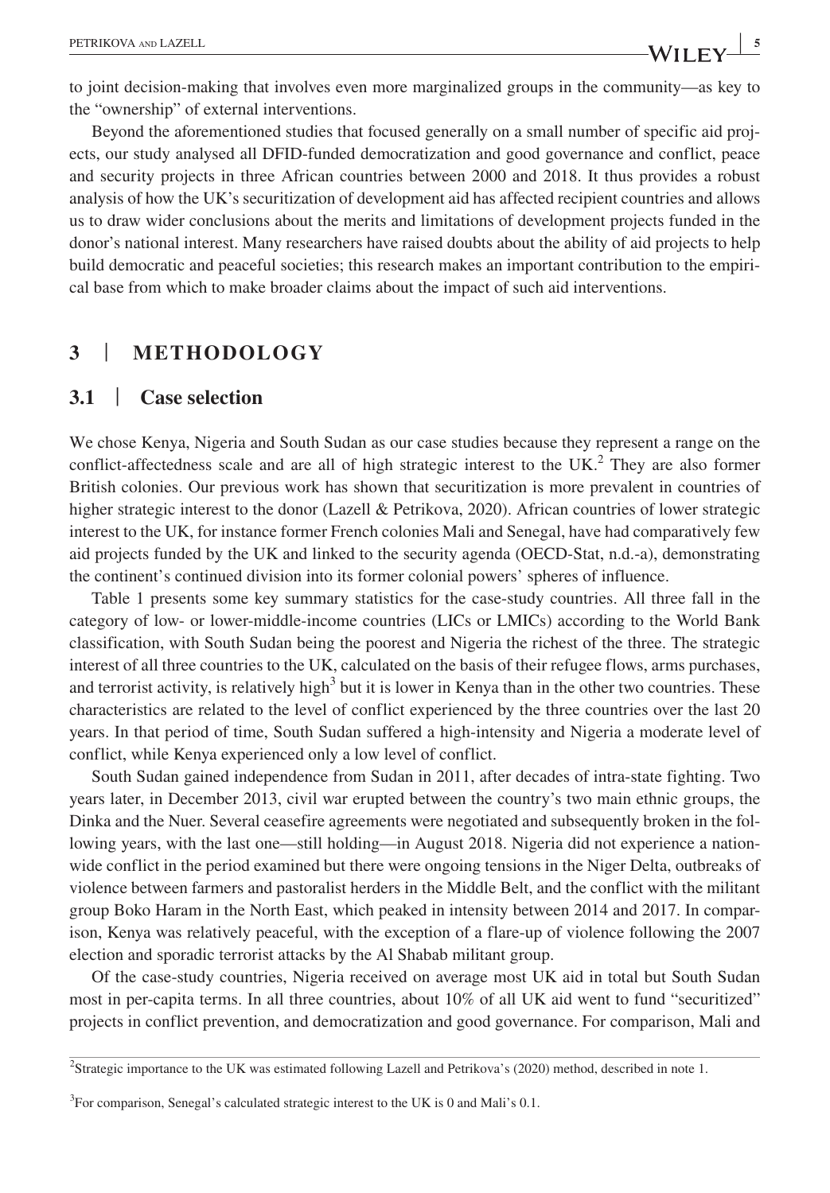to joint decision-making that involves even more marginalized groups in the community—as key to the "ownership" of external interventions.

Beyond the aforementioned studies that focused generally on a small number of specific aid projects, our study analysed all DFID-funded democratization and good governance and conflict, peace and security projects in three African countries between 2000 and 2018. It thus provides a robust analysis of how the UK's securitization of development aid has affected recipient countries and allows us to draw wider conclusions about the merits and limitations of development projects funded in the donor's national interest. Many researchers have raised doubts about the ability of aid projects to help build democratic and peaceful societies; this research makes an important contribution to the empirical base from which to make broader claims about the impact of such aid interventions.

## **3** | **METHODOLOGY**

### **3.1** | **Case selection**

We chose Kenya, Nigeria and South Sudan as our case studies because they represent a range on the conflict-affectedness scale and are all of high strategic interest to the  $UK<sup>2</sup>$ . They are also former British colonies. Our previous work has shown that securitization is more prevalent in countries of higher strategic interest to the donor (Lazell & Petrikova, 2020). African countries of lower strategic interest to the UK, for instance former French colonies Mali and Senegal, have had comparatively few aid projects funded by the UK and linked to the security agenda (OECD-Stat, n.d.-a), demonstrating the continent's continued division into its former colonial powers' spheres of influence.

Table 1 presents some key summary statistics for the case-study countries. All three fall in the category of low- or lower-middle-income countries (LICs or LMICs) according to the World Bank classification, with South Sudan being the poorest and Nigeria the richest of the three. The strategic interest of all three countries to the UK, calculated on the basis of their refugee flows, arms purchases, and terrorist activity, is relatively high<sup>3</sup> but it is lower in Kenya than in the other two countries. These characteristics are related to the level of conflict experienced by the three countries over the last 20 years. In that period of time, South Sudan suffered a high-intensity and Nigeria a moderate level of conflict, while Kenya experienced only a low level of conflict.

South Sudan gained independence from Sudan in 2011, after decades of intra-state fighting. Two years later, in December 2013, civil war erupted between the country's two main ethnic groups, the Dinka and the Nuer. Several ceasefire agreements were negotiated and subsequently broken in the following years, with the last one—still holding—in August 2018. Nigeria did not experience a nationwide conflict in the period examined but there were ongoing tensions in the Niger Delta, outbreaks of violence between farmers and pastoralist herders in the Middle Belt, and the conflict with the militant group Boko Haram in the North East, which peaked in intensity between 2014 and 2017. In comparison, Kenya was relatively peaceful, with the exception of a flare-up of violence following the 2007 election and sporadic terrorist attacks by the Al Shabab militant group.

Of the case-study countries, Nigeria received on average most UK aid in total but South Sudan most in per-capita terms. In all three countries, about 10% of all UK aid went to fund "securitized" projects in conflict prevention, and democratization and good governance. For comparison, Mali and

<sup>&</sup>lt;sup>2</sup>Strategic importance to the UK was estimated following Lazell and Petrikova's (2020) method, described in note 1.

 $3$ For comparison, Senegal's calculated strategic interest to the UK is 0 and Mali's 0.1.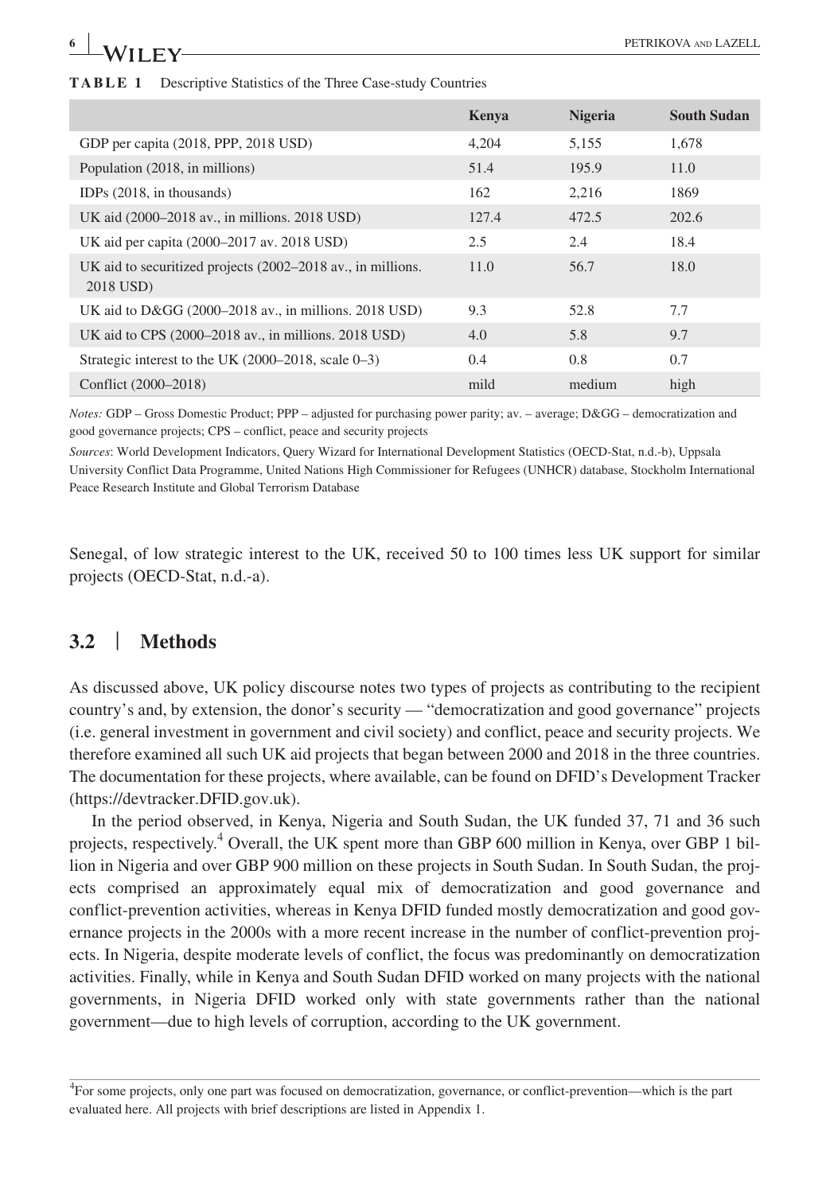| $\sqrt[6]{\text{LEY}}$                                                  |       |                | PETRIKOVA AND LAZELL |
|-------------------------------------------------------------------------|-------|----------------|----------------------|
|                                                                         |       |                |                      |
| <b>TABLE 1</b> Descriptive Statistics of the Three Case-study Countries |       |                |                      |
|                                                                         | Kenya | <b>Nigeria</b> | <b>South Sudan</b>   |
| GDP per capita (2018, PPP, 2018 USD)                                    | 4.204 | 5.155          | 1.678                |
| Population (2018 in millions)                                           | 51 4  | 195 Q          |                      |

|                                                                          | Kenya | <b>Nigeria</b> | <b>South Sudan</b> |
|--------------------------------------------------------------------------|-------|----------------|--------------------|
| GDP per capita (2018, PPP, 2018 USD)                                     | 4.204 | 5,155          | 1.678              |
| Population (2018, in millions)                                           | 51.4  | 195.9          | 11.0               |
| IDPs $(2018, \text{in thousands})$                                       | 162   | 2,216          | 1869               |
| UK aid (2000–2018 av., in millions. 2018 USD)                            | 127.4 | 472.5          | 202.6              |
| UK aid per capita (2000–2017 av. 2018 USD)                               | 2.5   | 2.4            | 18.4               |
| UK aid to securitized projects (2002–2018 av., in millions.<br>2018 USD) | 11.0  | 56.7           | 18.0               |
| UK aid to $D\&GG$ (2000–2018 av., in millions. 2018 USD)                 | 9.3   | 52.8           | 7.7                |
| UK aid to CPS (2000–2018 av., in millions, 2018 USD)                     | 4.0   | 5.8            | 9.7                |
| Strategic interest to the UK $(2000-2018, \text{ scale } 0-3)$           | 0.4   | 0.8            | 0.7                |
| Conflict (2000–2018)                                                     | mild  | medium         | high               |

*Notes:* GDP – Gross Domestic Product; PPP – adjusted for purchasing power parity; av. – average; D&GG – democratization and good governance projects; CPS – conflict, peace and security projects

*Sources*: World Development Indicators, Query Wizard for International Development Statistics (OECD-Stat, n.d.-b), Uppsala University Conflict Data Programme, United Nations High Commissioner for Refugees (UNHCR) database, Stockholm International Peace Research Institute and Global Terrorism Database

Senegal, of low strategic interest to the UK, received 50 to 100 times less UK support for similar projects (OECD-Stat, n.d.-a).

## **3.2** | **Methods**

As discussed above, UK policy discourse notes two types of projects as contributing to the recipient country's and, by extension, the donor's security — "democratization and good governance" projects (i.e. general investment in government and civil society) and conflict, peace and security projects. We therefore examined all such UK aid projects that began between 2000 and 2018 in the three countries. The documentation for these projects, where available, can be found on DFID's Development Tracker ([https://devtracker.DFID.gov.uk\)](https://devtracker.DFID.gov.uk).

In the period observed, in Kenya, Nigeria and South Sudan, the UK funded 37, 71 and 36 such projects, respectively.<sup>4</sup> Overall, the UK spent more than GBP 600 million in Kenya, over GBP 1 billion in Nigeria and over GBP 900 million on these projects in South Sudan. In South Sudan, the projects comprised an approximately equal mix of democratization and good governance and conflict-prevention activities, whereas in Kenya DFID funded mostly democratization and good governance projects in the 2000s with a more recent increase in the number of conflict-prevention projects. In Nigeria, despite moderate levels of conflict, the focus was predominantly on democratization activities. Finally, while in Kenya and South Sudan DFID worked on many projects with the national governments, in Nigeria DFID worked only with state governments rather than the national government—due to high levels of corruption, according to the UK government.

<sup>4</sup> For some projects, only one part was focused on democratization, governance, or conflict-prevention—which is the part evaluated here. All projects with brief descriptions are listed in Appendix 1.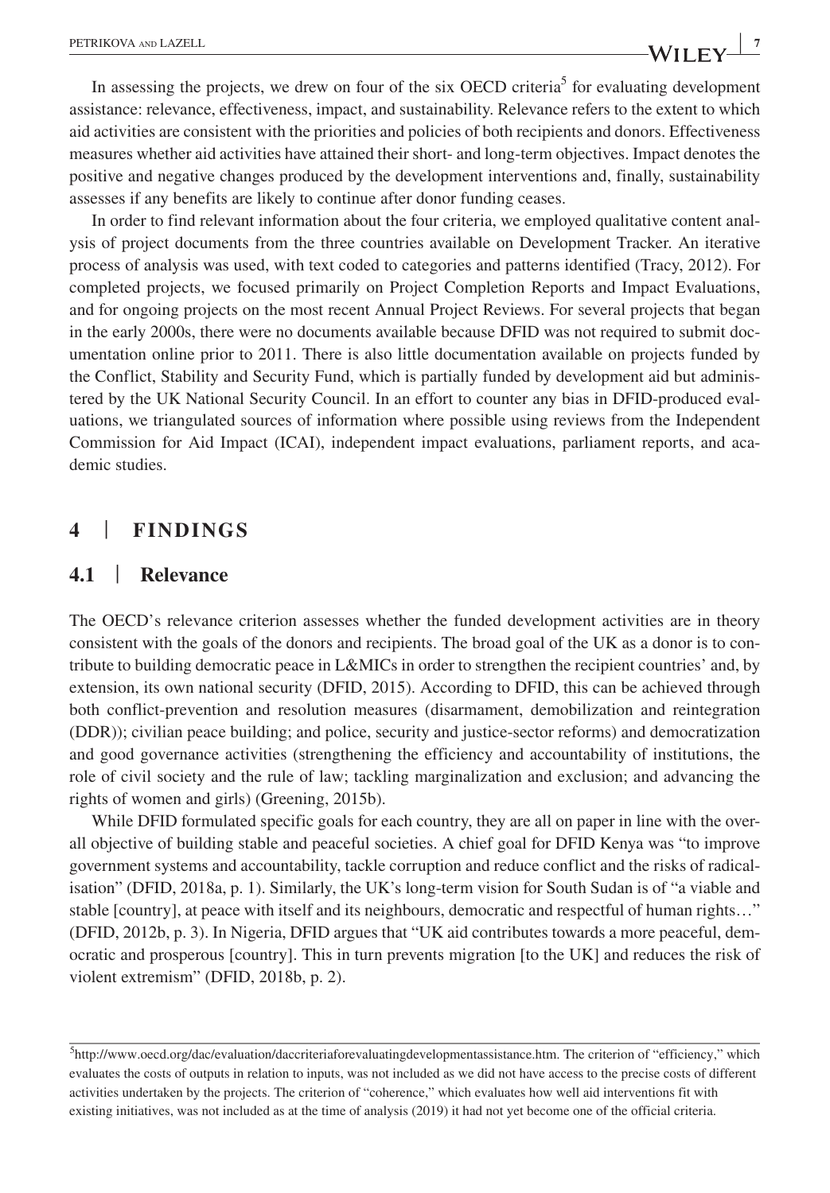In assessing the projects, we drew on four of the six OECD criteria<sup>5</sup> for evaluating development assistance: relevance, effectiveness, impact, and sustainability. Relevance refers to the extent to which aid activities are consistent with the priorities and policies of both recipients and donors. Effectiveness measures whether aid activities have attained their short- and long-term objectives. Impact denotes the positive and negative changes produced by the development interventions and, finally, sustainability assesses if any benefits are likely to continue after donor funding ceases.

In order to find relevant information about the four criteria, we employed qualitative content analysis of project documents from the three countries available on Development Tracker. An iterative process of analysis was used, with text coded to categories and patterns identified (Tracy, 2012). For completed projects, we focused primarily on Project Completion Reports and Impact Evaluations, and for ongoing projects on the most recent Annual Project Reviews. For several projects that began in the early 2000s, there were no documents available because DFID was not required to submit documentation online prior to 2011. There is also little documentation available on projects funded by the Conflict, Stability and Security Fund, which is partially funded by development aid but administered by the UK National Security Council. In an effort to counter any bias in DFID-produced evaluations, we triangulated sources of information where possible using reviews from the Independent Commission for Aid Impact (ICAI), independent impact evaluations, parliament reports, and academic studies.

### **4** | **FINDINGS**

#### **4.1** | **Relevance**

The OECD's relevance criterion assesses whether the funded development activities are in theory consistent with the goals of the donors and recipients. The broad goal of the UK as a donor is to contribute to building democratic peace in L&MICs in order to strengthen the recipient countries' and, by extension, its own national security (DFID, 2015). According to DFID, this can be achieved through both conflict-prevention and resolution measures (disarmament, demobilization and reintegration (DDR)); civilian peace building; and police, security and justice-sector reforms) and democratization and good governance activities (strengthening the efficiency and accountability of institutions, the role of civil society and the rule of law; tackling marginalization and exclusion; and advancing the rights of women and girls) (Greening, 2015b).

While DFID formulated specific goals for each country, they are all on paper in line with the overall objective of building stable and peaceful societies. A chief goal for DFID Kenya was "to improve government systems and accountability, tackle corruption and reduce conflict and the risks of radicalisation" (DFID, 2018a, p. 1). Similarly, the UK's long-term vision for South Sudan is of "a viable and stable [country], at peace with itself and its neighbours, democratic and respectful of human rights…" (DFID, 2012b, p. 3). In Nigeria, DFID argues that "UK aid contributes towards a more peaceful, democratic and prosperous [country]. This in turn prevents migration [to the UK] and reduces the risk of violent extremism" (DFID, 2018b, p. 2).

<sup>&</sup>lt;sup>5</sup><http://www.oecd.org/dac/evaluation/daccriteriaforevaluatingdevelopmentassistance.htm>. The criterion of "efficiency," which evaluates the costs of outputs in relation to inputs, was not included as we did not have access to the precise costs of different activities undertaken by the projects. The criterion of "coherence," which evaluates how well aid interventions fit with existing initiatives, was not included as at the time of analysis (2019) it had not yet become one of the official criteria.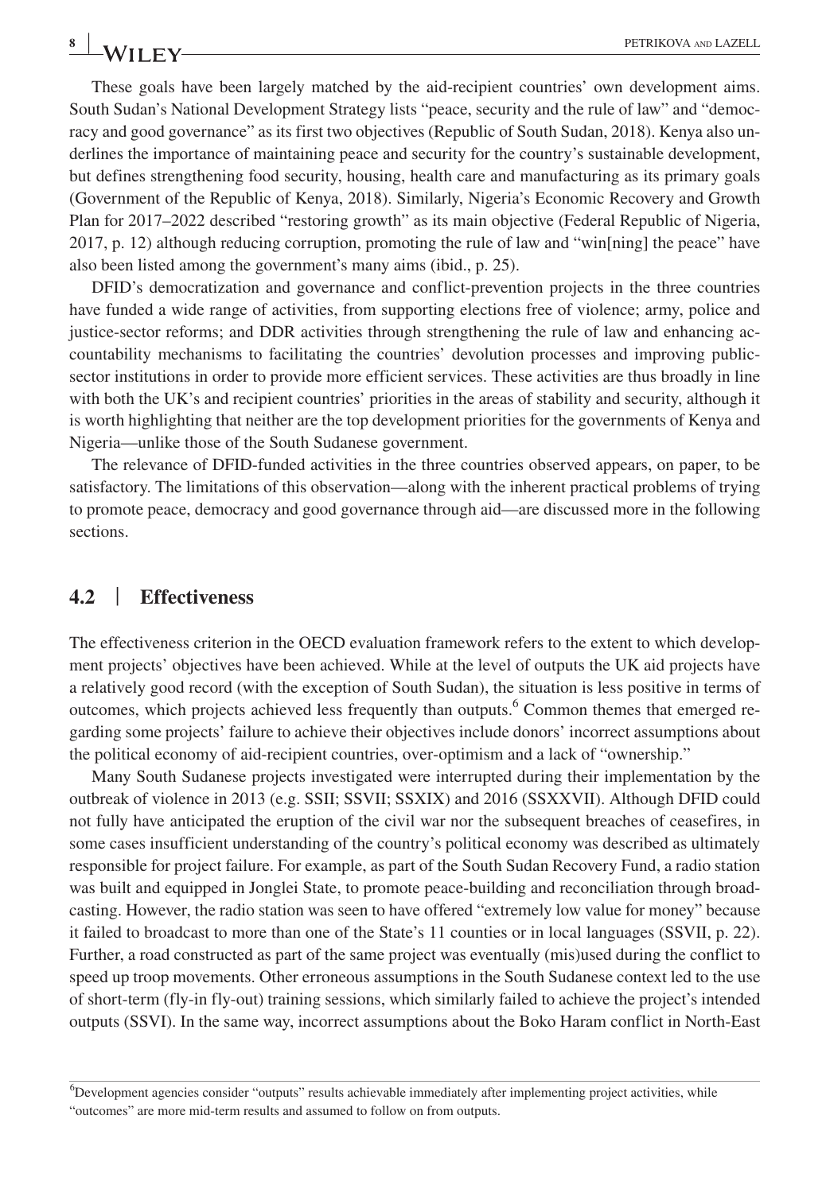These goals have been largely matched by the aid-recipient countries' own development aims. South Sudan's National Development Strategy lists "peace, security and the rule of law" and "democracy and good governance" as its first two objectives (Republic of South Sudan, 2018). Kenya also underlines the importance of maintaining peace and security for the country's sustainable development, but defines strengthening food security, housing, health care and manufacturing as its primary goals (Government of the Republic of Kenya, 2018). Similarly, Nigeria's Economic Recovery and Growth Plan for 2017–2022 described "restoring growth" as its main objective (Federal Republic of Nigeria, 2017, p. 12) although reducing corruption, promoting the rule of law and "win[ning] the peace" have also been listed among the government's many aims (ibid., p. 25).

DFID's democratization and governance and conflict-prevention projects in the three countries have funded a wide range of activities, from supporting elections free of violence; army, police and justice-sector reforms; and DDR activities through strengthening the rule of law and enhancing accountability mechanisms to facilitating the countries' devolution processes and improving publicsector institutions in order to provide more efficient services. These activities are thus broadly in line with both the UK's and recipient countries' priorities in the areas of stability and security, although it is worth highlighting that neither are the top development priorities for the governments of Kenya and Nigeria—unlike those of the South Sudanese government.

The relevance of DFID-funded activities in the three countries observed appears, on paper, to be satisfactory. The limitations of this observation—along with the inherent practical problems of trying to promote peace, democracy and good governance through aid—are discussed more in the following sections.

#### **4.2** | **Effectiveness**

The effectiveness criterion in the OECD evaluation framework refers to the extent to which development projects' objectives have been achieved. While at the level of outputs the UK aid projects have a relatively good record (with the exception of South Sudan), the situation is less positive in terms of outcomes, which projects achieved less frequently than outputs.<sup>6</sup> Common themes that emerged regarding some projects' failure to achieve their objectives include donors' incorrect assumptions about the political economy of aid-recipient countries, over-optimism and a lack of "ownership."

Many South Sudanese projects investigated were interrupted during their implementation by the outbreak of violence in 2013 (e.g. SSII; SSVII; SSXIX) and 2016 (SSXXVII). Although DFID could not fully have anticipated the eruption of the civil war nor the subsequent breaches of ceasefires, in some cases insufficient understanding of the country's political economy was described as ultimately responsible for project failure. For example, as part of the South Sudan Recovery Fund, a radio station was built and equipped in Jonglei State, to promote peace-building and reconciliation through broadcasting. However, the radio station was seen to have offered "extremely low value for money" because it failed to broadcast to more than one of the State's 11 counties or in local languages (SSVII, p. 22). Further, a road constructed as part of the same project was eventually (mis)used during the conflict to speed up troop movements. Other erroneous assumptions in the South Sudanese context led to the use of short-term (fly-in fly-out) training sessions, which similarly failed to achieve the project's intended outputs (SSVI). In the same way, incorrect assumptions about the Boko Haram conflict in North-East

6 Development agencies consider "outputs" results achievable immediately after implementing project activities, while "outcomes" are more mid-term results and assumed to follow on from outputs.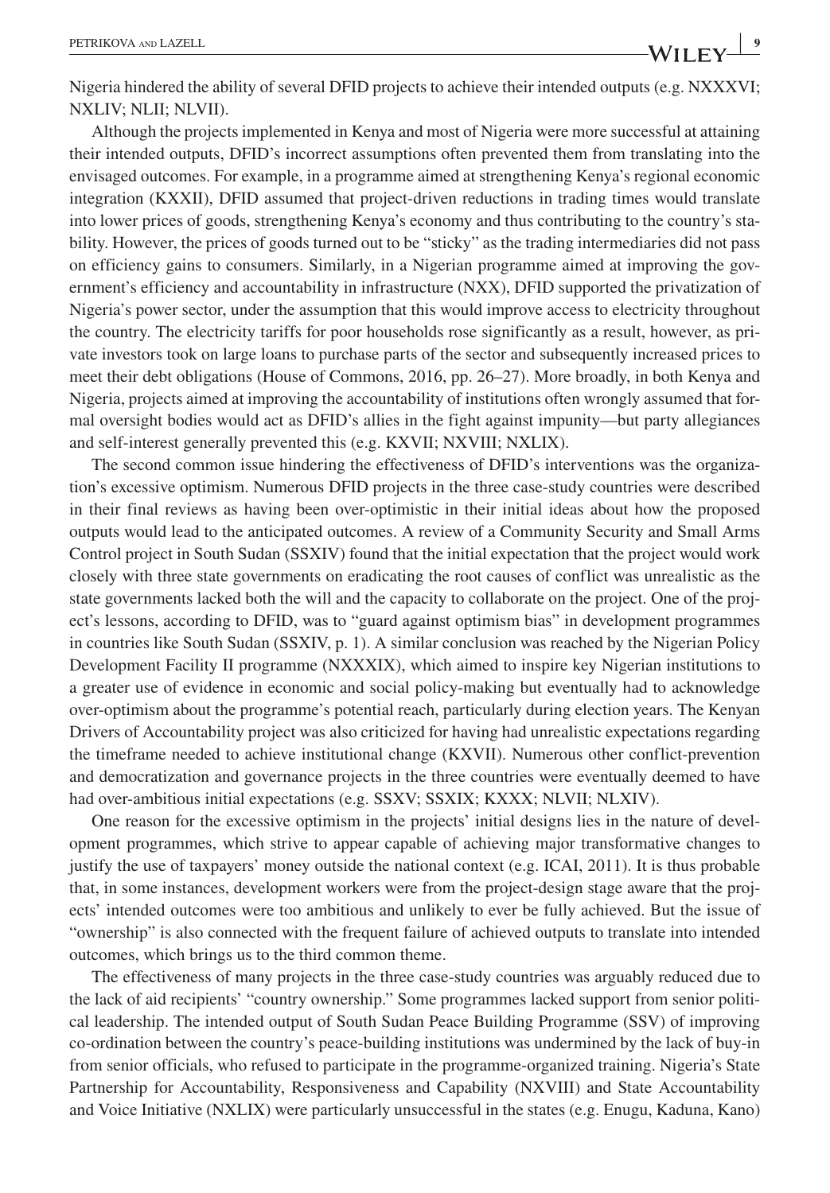Nigeria hindered the ability of several DFID projects to achieve their intended outputs (e.g. NXXXVI; NXLIV; NLII; NLVII).

Although the projects implemented in Kenya and most of Nigeria were more successful at attaining their intended outputs, DFID's incorrect assumptions often prevented them from translating into the envisaged outcomes. For example, in a programme aimed at strengthening Kenya's regional economic integration (KXXII), DFID assumed that project-driven reductions in trading times would translate into lower prices of goods, strengthening Kenya's economy and thus contributing to the country's stability. However, the prices of goods turned out to be "sticky" as the trading intermediaries did not pass on efficiency gains to consumers. Similarly, in a Nigerian programme aimed at improving the government's efficiency and accountability in infrastructure (NXX), DFID supported the privatization of Nigeria's power sector, under the assumption that this would improve access to electricity throughout the country. The electricity tariffs for poor households rose significantly as a result, however, as private investors took on large loans to purchase parts of the sector and subsequently increased prices to meet their debt obligations (House of Commons, 2016, pp. 26–27). More broadly, in both Kenya and Nigeria, projects aimed at improving the accountability of institutions often wrongly assumed that formal oversight bodies would act as DFID's allies in the fight against impunity—but party allegiances and self-interest generally prevented this (e.g. KXVII; NXVIII; NXLIX).

The second common issue hindering the effectiveness of DFID's interventions was the organization's excessive optimism. Numerous DFID projects in the three case-study countries were described in their final reviews as having been over-optimistic in their initial ideas about how the proposed outputs would lead to the anticipated outcomes. A review of a Community Security and Small Arms Control project in South Sudan (SSXIV) found that the initial expectation that the project would work closely with three state governments on eradicating the root causes of conflict was unrealistic as the state governments lacked both the will and the capacity to collaborate on the project. One of the project's lessons, according to DFID, was to "guard against optimism bias" in development programmes in countries like South Sudan (SSXIV, p. 1). A similar conclusion was reached by the Nigerian Policy Development Facility II programme (NXXXIX), which aimed to inspire key Nigerian institutions to a greater use of evidence in economic and social policy-making but eventually had to acknowledge over-optimism about the programme's potential reach, particularly during election years. The Kenyan Drivers of Accountability project was also criticized for having had unrealistic expectations regarding the timeframe needed to achieve institutional change (KXVII). Numerous other conflict-prevention and democratization and governance projects in the three countries were eventually deemed to have had over-ambitious initial expectations (e.g. SSXV; SSXIX; KXXX; NLVII; NLXIV).

One reason for the excessive optimism in the projects' initial designs lies in the nature of development programmes, which strive to appear capable of achieving major transformative changes to justify the use of taxpayers' money outside the national context (e.g. ICAI, 2011). It is thus probable that, in some instances, development workers were from the project-design stage aware that the projects' intended outcomes were too ambitious and unlikely to ever be fully achieved. But the issue of "ownership" is also connected with the frequent failure of achieved outputs to translate into intended outcomes, which brings us to the third common theme.

The effectiveness of many projects in the three case-study countries was arguably reduced due to the lack of aid recipients' "country ownership." Some programmes lacked support from senior political leadership. The intended output of South Sudan Peace Building Programme (SSV) of improving co-ordination between the country's peace-building institutions was undermined by the lack of buy-in from senior officials, who refused to participate in the programme-organized training. Nigeria's State Partnership for Accountability, Responsiveness and Capability (NXVIII) and State Accountability and Voice Initiative (NXLIX) were particularly unsuccessful in the states (e.g. Enugu, Kaduna, Kano)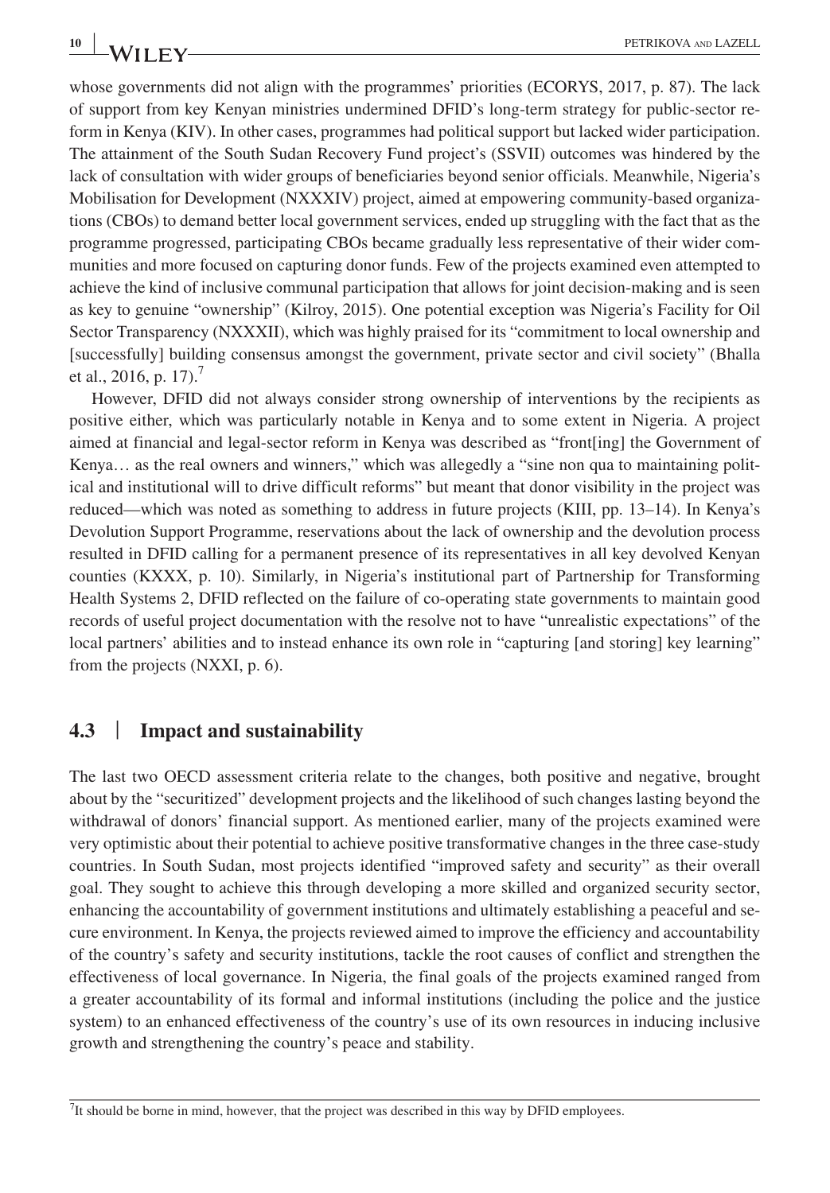whose governments did not align with the programmes' priorities (ECORYS, 2017, p. 87). The lack of support from key Kenyan ministries undermined DFID's long-term strategy for public-sector reform in Kenya (KIV). In other cases, programmes had political support but lacked wider participation. The attainment of the South Sudan Recovery Fund project's (SSVII) outcomes was hindered by the lack of consultation with wider groups of beneficiaries beyond senior officials. Meanwhile, Nigeria's Mobilisation for Development (NXXXIV) project, aimed at empowering community-based organizations (CBOs) to demand better local government services, ended up struggling with the fact that as the programme progressed, participating CBOs became gradually less representative of their wider communities and more focused on capturing donor funds. Few of the projects examined even attempted to achieve the kind of inclusive communal participation that allows for joint decision-making and is seen as key to genuine "ownership" (Kilroy, 2015). One potential exception was Nigeria's Facility for Oil Sector Transparency (NXXXII), which was highly praised for its "commitment to local ownership and [successfully] building consensus amongst the government, private sector and civil society" (Bhalla et al., 2016, p. 17).<sup>7</sup>

However, DFID did not always consider strong ownership of interventions by the recipients as positive either, which was particularly notable in Kenya and to some extent in Nigeria. A project aimed at financial and legal-sector reform in Kenya was described as "front[ing] the Government of Kenya… as the real owners and winners," which was allegedly a "sine non qua to maintaining political and institutional will to drive difficult reforms" but meant that donor visibility in the project was reduced—which was noted as something to address in future projects (KIII, pp. 13–14). In Kenya's Devolution Support Programme, reservations about the lack of ownership and the devolution process resulted in DFID calling for a permanent presence of its representatives in all key devolved Kenyan counties (KXXX, p. 10). Similarly, in Nigeria's institutional part of Partnership for Transforming Health Systems 2, DFID reflected on the failure of co-operating state governments to maintain good records of useful project documentation with the resolve not to have "unrealistic expectations" of the local partners' abilities and to instead enhance its own role in "capturing [and storing] key learning" from the projects (NXXI, p. 6).

#### **4.3** | **Impact and sustainability**

The last two OECD assessment criteria relate to the changes, both positive and negative, brought about by the "securitized" development projects and the likelihood of such changes lasting beyond the withdrawal of donors' financial support. As mentioned earlier, many of the projects examined were very optimistic about their potential to achieve positive transformative changes in the three case-study countries. In South Sudan, most projects identified "improved safety and security" as their overall goal. They sought to achieve this through developing a more skilled and organized security sector, enhancing the accountability of government institutions and ultimately establishing a peaceful and secure environment. In Kenya, the projects reviewed aimed to improve the efficiency and accountability of the country's safety and security institutions, tackle the root causes of conflict and strengthen the effectiveness of local governance. In Nigeria, the final goals of the projects examined ranged from a greater accountability of its formal and informal institutions (including the police and the justice system) to an enhanced effectiveness of the country's use of its own resources in inducing inclusive growth and strengthening the country's peace and stability.

 $^{7}$ It should be borne in mind, however, that the project was described in this way by DFID employees.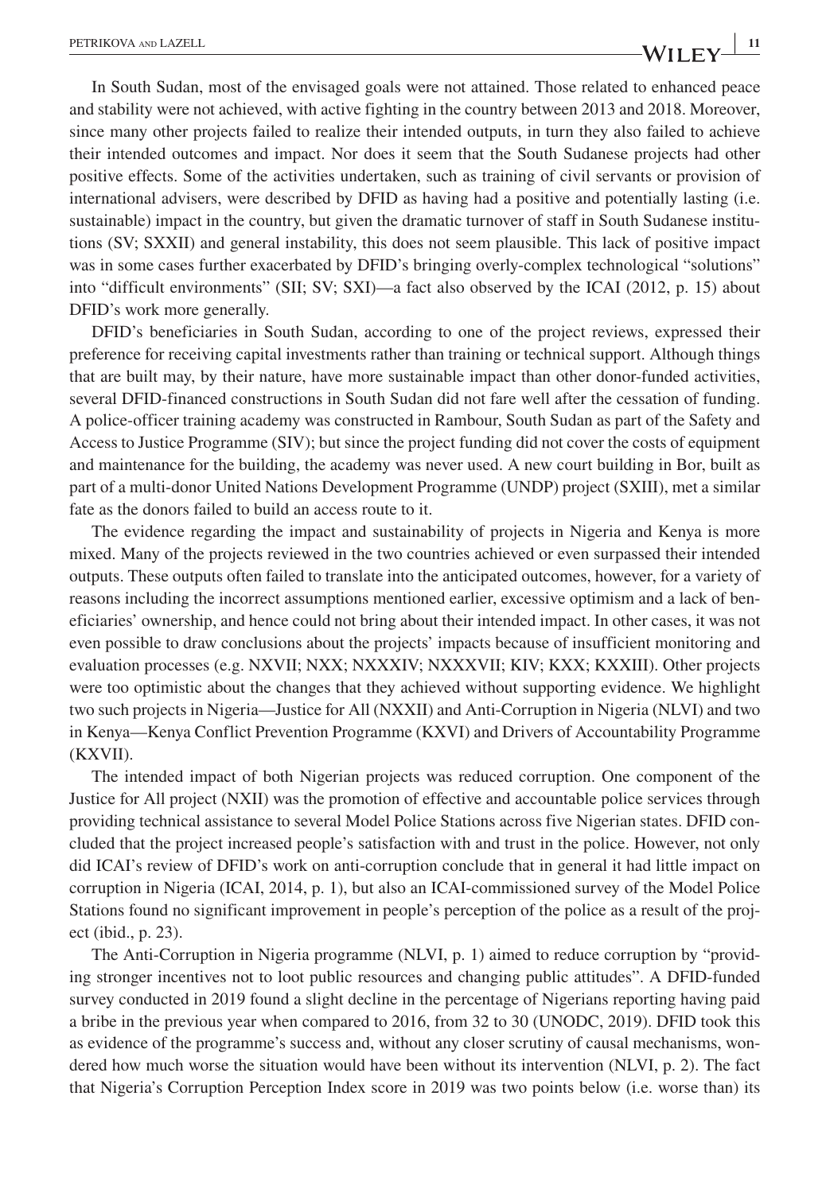In South Sudan, most of the envisaged goals were not attained. Those related to enhanced peace and stability were not achieved, with active fighting in the country between 2013 and 2018. Moreover, since many other projects failed to realize their intended outputs, in turn they also failed to achieve their intended outcomes and impact. Nor does it seem that the South Sudanese projects had other positive effects. Some of the activities undertaken, such as training of civil servants or provision of international advisers, were described by DFID as having had a positive and potentially lasting (i.e. sustainable) impact in the country, but given the dramatic turnover of staff in South Sudanese institutions (SV; SXXII) and general instability, this does not seem plausible. This lack of positive impact was in some cases further exacerbated by DFID's bringing overly-complex technological "solutions" into "difficult environments" (SII; SV; SXI)—a fact also observed by the ICAI (2012, p. 15) about DFID's work more generally.

DFID's beneficiaries in South Sudan, according to one of the project reviews, expressed their preference for receiving capital investments rather than training or technical support. Although things that are built may, by their nature, have more sustainable impact than other donor-funded activities, several DFID-financed constructions in South Sudan did not fare well after the cessation of funding. A police-officer training academy was constructed in Rambour, South Sudan as part of the Safety and Access to Justice Programme (SIV); but since the project funding did not cover the costs of equipment and maintenance for the building, the academy was never used. A new court building in Bor, built as part of a multi-donor United Nations Development Programme (UNDP) project (SXIII), met a similar fate as the donors failed to build an access route to it.

The evidence regarding the impact and sustainability of projects in Nigeria and Kenya is more mixed. Many of the projects reviewed in the two countries achieved or even surpassed their intended outputs. These outputs often failed to translate into the anticipated outcomes, however, for a variety of reasons including the incorrect assumptions mentioned earlier, excessive optimism and a lack of beneficiaries' ownership, and hence could not bring about their intended impact. In other cases, it was not even possible to draw conclusions about the projects' impacts because of insufficient monitoring and evaluation processes (e.g. NXVII; NXX; NXXXIV; NXXXVII; KIV; KXX; KXXIII). Other projects were too optimistic about the changes that they achieved without supporting evidence. We highlight two such projects in Nigeria—Justice for All (NXXII) and Anti-Corruption in Nigeria (NLVI) and two in Kenya—Kenya Conflict Prevention Programme (KXVI) and Drivers of Accountability Programme (KXVII).

The intended impact of both Nigerian projects was reduced corruption. One component of the Justice for All project (NXII) was the promotion of effective and accountable police services through providing technical assistance to several Model Police Stations across five Nigerian states. DFID concluded that the project increased people's satisfaction with and trust in the police. However, not only did ICAI's review of DFID's work on anti-corruption conclude that in general it had little impact on corruption in Nigeria (ICAI, 2014, p. 1), but also an ICAI-commissioned survey of the Model Police Stations found no significant improvement in people's perception of the police as a result of the project (ibid., p. 23).

The Anti-Corruption in Nigeria programme (NLVI, p. 1) aimed to reduce corruption by "providing stronger incentives not to loot public resources and changing public attitudes". A DFID-funded survey conducted in 2019 found a slight decline in the percentage of Nigerians reporting having paid a bribe in the previous year when compared to 2016, from 32 to 30 (UNODC, 2019). DFID took this as evidence of the programme's success and, without any closer scrutiny of causal mechanisms, wondered how much worse the situation would have been without its intervention (NLVI, p. 2). The fact that Nigeria's Corruption Perception Index score in 2019 was two points below (i.e. worse than) its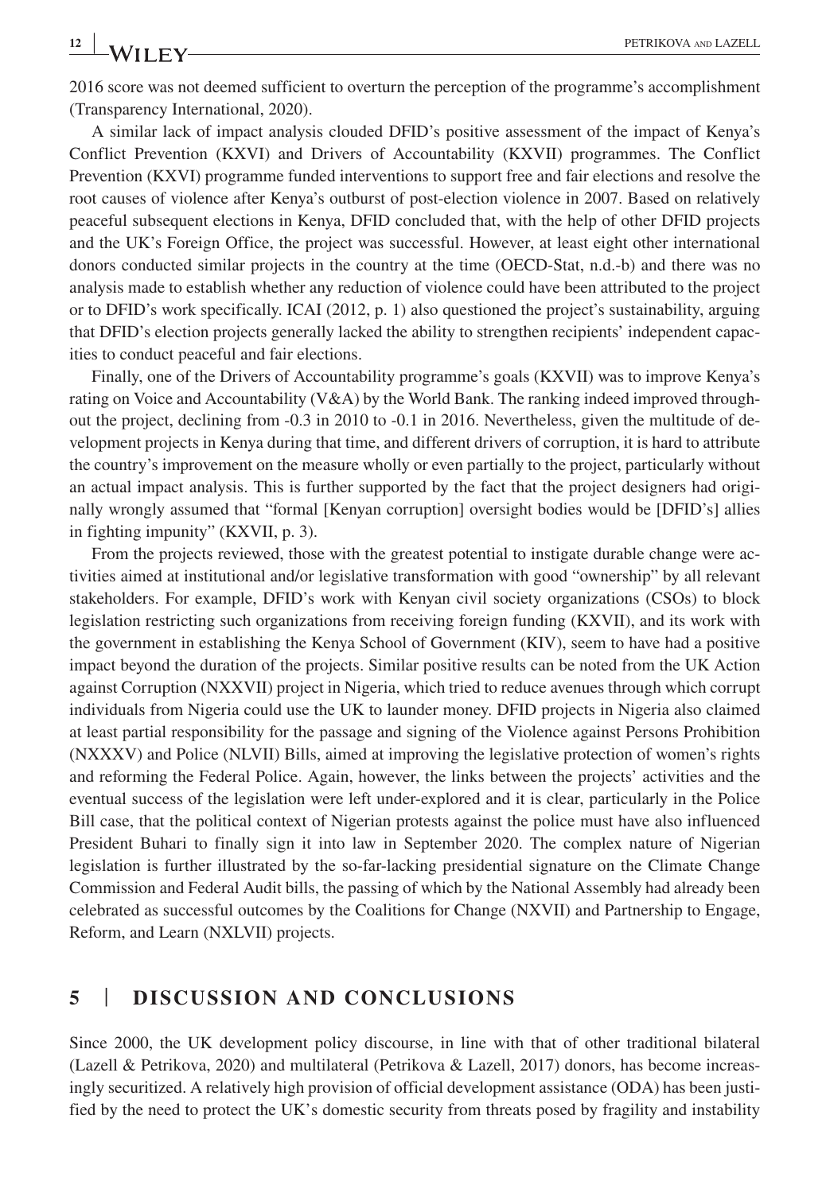**12 WILEY PETRIKOVA** AND **LAZELL** 

2016 score was not deemed sufficient to overturn the perception of the programme's accomplishment (Transparency International, 2020).

A similar lack of impact analysis clouded DFID's positive assessment of the impact of Kenya's Conflict Prevention (KXVI) and Drivers of Accountability (KXVII) programmes. The Conflict Prevention (KXVI) programme funded interventions to support free and fair elections and resolve the root causes of violence after Kenya's outburst of post-election violence in 2007. Based on relatively peaceful subsequent elections in Kenya, DFID concluded that, with the help of other DFID projects and the UK's Foreign Office, the project was successful. However, at least eight other international donors conducted similar projects in the country at the time (OECD-Stat, n.d.-b) and there was no analysis made to establish whether any reduction of violence could have been attributed to the project or to DFID's work specifically. ICAI (2012, p. 1) also questioned the project's sustainability, arguing that DFID's election projects generally lacked the ability to strengthen recipients' independent capacities to conduct peaceful and fair elections.

Finally, one of the Drivers of Accountability programme's goals (KXVII) was to improve Kenya's rating on Voice and Accountability (V&A) by the World Bank. The ranking indeed improved throughout the project, declining from -0.3 in 2010 to -0.1 in 2016. Nevertheless, given the multitude of development projects in Kenya during that time, and different drivers of corruption, it is hard to attribute the country's improvement on the measure wholly or even partially to the project, particularly without an actual impact analysis. This is further supported by the fact that the project designers had originally wrongly assumed that "formal [Kenyan corruption] oversight bodies would be [DFID's] allies in fighting impunity" (KXVII, p. 3).

From the projects reviewed, those with the greatest potential to instigate durable change were activities aimed at institutional and/or legislative transformation with good "ownership" by all relevant stakeholders. For example, DFID's work with Kenyan civil society organizations (CSOs) to block legislation restricting such organizations from receiving foreign funding (KXVII), and its work with the government in establishing the Kenya School of Government (KIV), seem to have had a positive impact beyond the duration of the projects. Similar positive results can be noted from the UK Action against Corruption (NXXVII) project in Nigeria, which tried to reduce avenues through which corrupt individuals from Nigeria could use the UK to launder money. DFID projects in Nigeria also claimed at least partial responsibility for the passage and signing of the Violence against Persons Prohibition (NXXXV) and Police (NLVII) Bills, aimed at improving the legislative protection of women's rights and reforming the Federal Police. Again, however, the links between the projects' activities and the eventual success of the legislation were left under-explored and it is clear, particularly in the Police Bill case, that the political context of Nigerian protests against the police must have also influenced President Buhari to finally sign it into law in September 2020. The complex nature of Nigerian legislation is further illustrated by the so-far-lacking presidential signature on the Climate Change Commission and Federal Audit bills, the passing of which by the National Assembly had already been celebrated as successful outcomes by the Coalitions for Change (NXVII) and Partnership to Engage, Reform, and Learn (NXLVII) projects.

## **5** | **DISCUSSION AND CONCLUSIONS**

Since 2000, the UK development policy discourse, in line with that of other traditional bilateral (Lazell & Petrikova, 2020) and multilateral (Petrikova & Lazell, 2017) donors, has become increasingly securitized. A relatively high provision of official development assistance (ODA) has been justified by the need to protect the UK's domestic security from threats posed by fragility and instability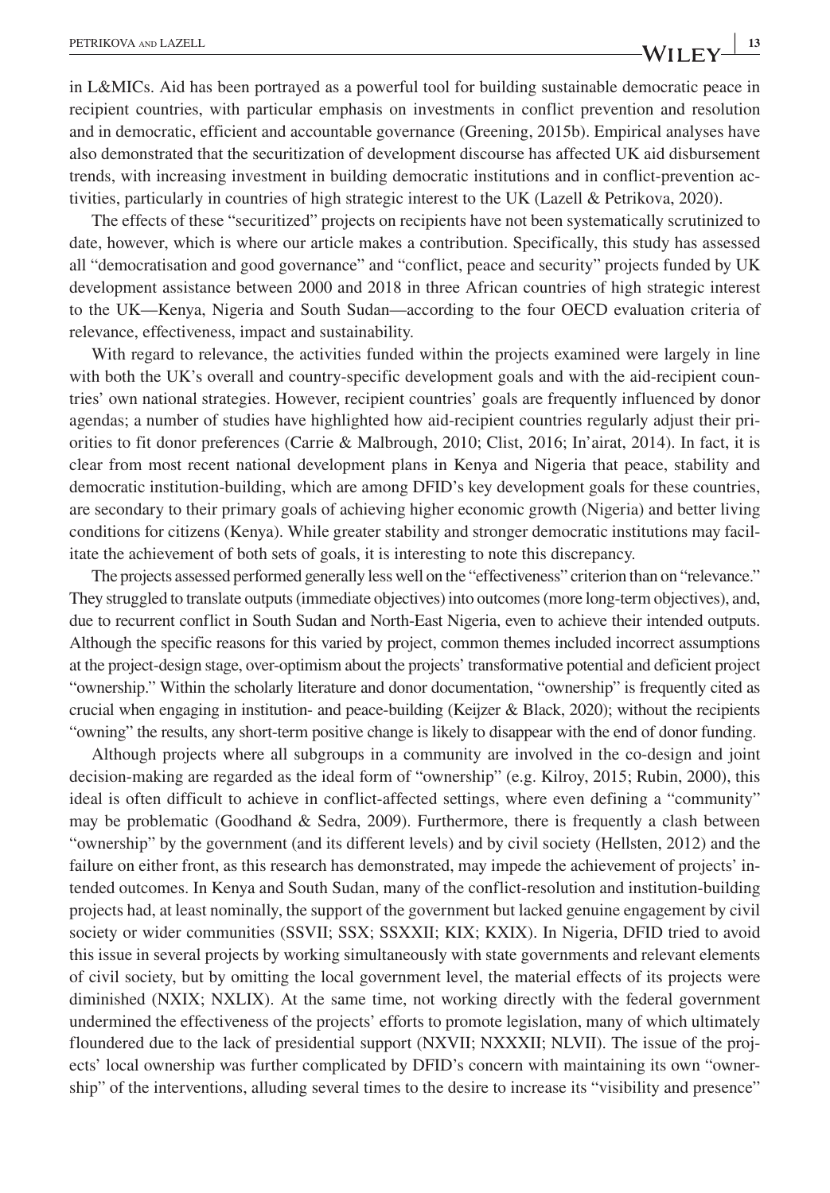in L&MICs. Aid has been portrayed as a powerful tool for building sustainable democratic peace in recipient countries, with particular emphasis on investments in conflict prevention and resolution and in democratic, efficient and accountable governance (Greening, 2015b). Empirical analyses have also demonstrated that the securitization of development discourse has affected UK aid disbursement trends, with increasing investment in building democratic institutions and in conflict-prevention activities, particularly in countries of high strategic interest to the UK (Lazell & Petrikova, 2020).

The effects of these "securitized" projects on recipients have not been systematically scrutinized to date, however, which is where our article makes a contribution. Specifically, this study has assessed all "democratisation and good governance" and "conflict, peace and security" projects funded by UK development assistance between 2000 and 2018 in three African countries of high strategic interest to the UK—Kenya, Nigeria and South Sudan—according to the four OECD evaluation criteria of relevance, effectiveness, impact and sustainability.

With regard to relevance, the activities funded within the projects examined were largely in line with both the UK's overall and country-specific development goals and with the aid-recipient countries' own national strategies. However, recipient countries' goals are frequently influenced by donor agendas; a number of studies have highlighted how aid-recipient countries regularly adjust their priorities to fit donor preferences (Carrie & Malbrough, 2010; Clist, 2016; In'airat, 2014). In fact, it is clear from most recent national development plans in Kenya and Nigeria that peace, stability and democratic institution-building, which are among DFID's key development goals for these countries, are secondary to their primary goals of achieving higher economic growth (Nigeria) and better living conditions for citizens (Kenya). While greater stability and stronger democratic institutions may facilitate the achievement of both sets of goals, it is interesting to note this discrepancy.

The projects assessed performed generally less well on the "effectiveness" criterion than on "relevance." They struggled to translate outputs (immediate objectives) into outcomes (more long-term objectives), and, due to recurrent conflict in South Sudan and North-East Nigeria, even to achieve their intended outputs. Although the specific reasons for this varied by project, common themes included incorrect assumptions at the project-design stage, over-optimism about the projects' transformative potential and deficient project "ownership." Within the scholarly literature and donor documentation, "ownership" is frequently cited as crucial when engaging in institution- and peace-building (Keijzer & Black, 2020); without the recipients "owning" the results, any short-term positive change is likely to disappear with the end of donor funding.

Although projects where all subgroups in a community are involved in the co-design and joint decision-making are regarded as the ideal form of "ownership" (e.g. Kilroy, 2015; Rubin, 2000), this ideal is often difficult to achieve in conflict-affected settings, where even defining a "community" may be problematic (Goodhand & Sedra, 2009). Furthermore, there is frequently a clash between "ownership" by the government (and its different levels) and by civil society (Hellsten, 2012) and the failure on either front, as this research has demonstrated, may impede the achievement of projects' intended outcomes. In Kenya and South Sudan, many of the conflict-resolution and institution-building projects had, at least nominally, the support of the government but lacked genuine engagement by civil society or wider communities (SSVII; SSX; SSXXII; KIX; KXIX). In Nigeria, DFID tried to avoid this issue in several projects by working simultaneously with state governments and relevant elements of civil society, but by omitting the local government level, the material effects of its projects were diminished (NXIX; NXLIX). At the same time, not working directly with the federal government undermined the effectiveness of the projects' efforts to promote legislation, many of which ultimately floundered due to the lack of presidential support (NXVII; NXXXII; NLVII). The issue of the projects' local ownership was further complicated by DFID's concern with maintaining its own "ownership" of the interventions, alluding several times to the desire to increase its "visibility and presence"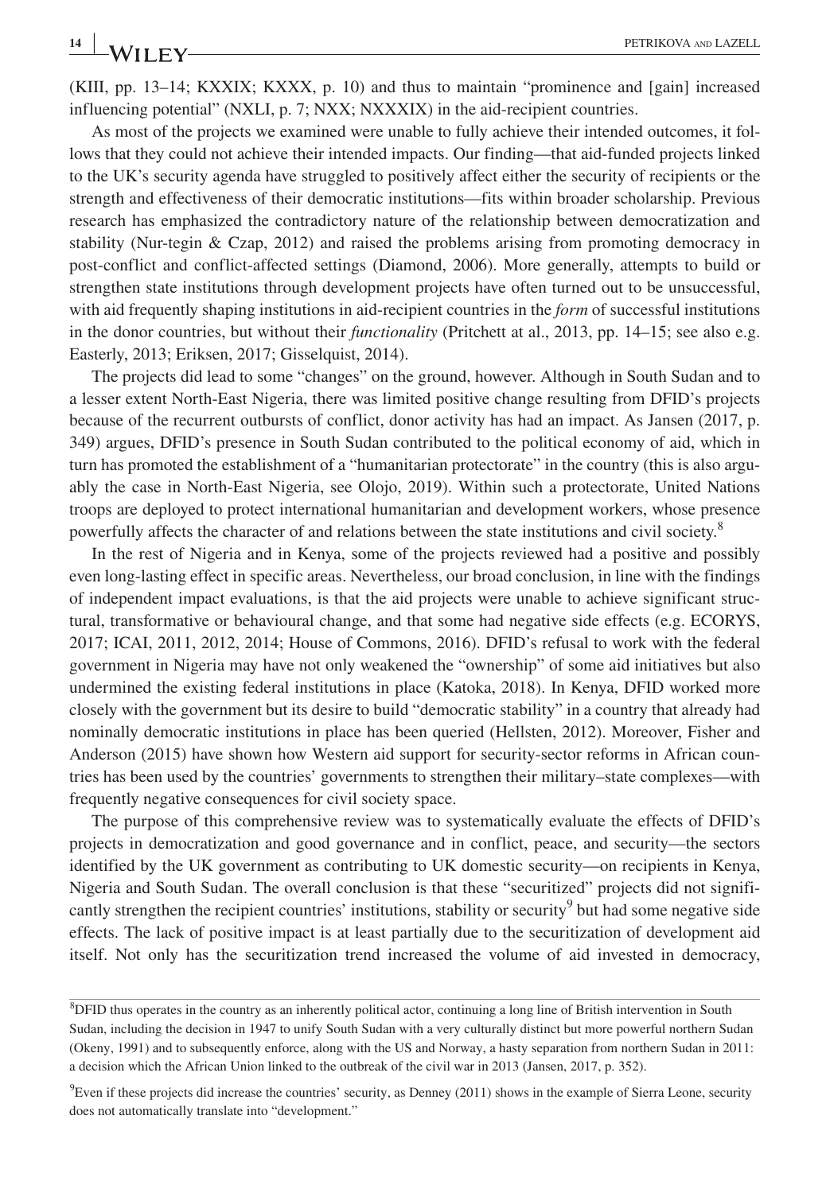(KIII, pp. 13–14; KXXIX; KXXX, p. 10) and thus to maintain "prominence and [gain] increased influencing potential" (NXLI, p. 7; NXX; NXXXIX) in the aid-recipient countries.

As most of the projects we examined were unable to fully achieve their intended outcomes, it follows that they could not achieve their intended impacts. Our finding—that aid-funded projects linked to the UK's security agenda have struggled to positively affect either the security of recipients or the strength and effectiveness of their democratic institutions—fits within broader scholarship. Previous research has emphasized the contradictory nature of the relationship between democratization and stability (Nur-tegin & Czap, 2012) and raised the problems arising from promoting democracy in post-conflict and conflict-affected settings (Diamond, 2006). More generally, attempts to build or strengthen state institutions through development projects have often turned out to be unsuccessful, with aid frequently shaping institutions in aid-recipient countries in the *form* of successful institutions in the donor countries, but without their *functionality* (Pritchett at al., 2013, pp. 14–15; see also e.g. Easterly, 2013; Eriksen, 2017; Gisselquist, 2014).

The projects did lead to some "changes" on the ground, however. Although in South Sudan and to a lesser extent North-East Nigeria, there was limited positive change resulting from DFID's projects because of the recurrent outbursts of conflict, donor activity has had an impact. As Jansen (2017, p. 349) argues, DFID's presence in South Sudan contributed to the political economy of aid, which in turn has promoted the establishment of a "humanitarian protectorate" in the country (this is also arguably the case in North-East Nigeria, see Olojo, 2019). Within such a protectorate, United Nations troops are deployed to protect international humanitarian and development workers, whose presence powerfully affects the character of and relations between the state institutions and civil society.<sup>8</sup>

In the rest of Nigeria and in Kenya, some of the projects reviewed had a positive and possibly even long-lasting effect in specific areas. Nevertheless, our broad conclusion, in line with the findings of independent impact evaluations, is that the aid projects were unable to achieve significant structural, transformative or behavioural change, and that some had negative side effects (e.g. ECORYS, 2017; ICAI, 2011, 2012, 2014; House of Commons, 2016). DFID's refusal to work with the federal government in Nigeria may have not only weakened the "ownership" of some aid initiatives but also undermined the existing federal institutions in place (Katoka, 2018). In Kenya, DFID worked more closely with the government but its desire to build "democratic stability" in a country that already had nominally democratic institutions in place has been queried (Hellsten, 2012). Moreover, Fisher and Anderson (2015) have shown how Western aid support for security-sector reforms in African countries has been used by the countries' governments to strengthen their military–state complexes—with frequently negative consequences for civil society space.

The purpose of this comprehensive review was to systematically evaluate the effects of DFID's projects in democratization and good governance and in conflict, peace, and security—the sectors identified by the UK government as contributing to UK domestic security—on recipients in Kenya, Nigeria and South Sudan. The overall conclusion is that these "securitized" projects did not significantly strengthen the recipient countries' institutions, stability or security<sup>9</sup> but had some negative side effects. The lack of positive impact is at least partially due to the securitization of development aid itself. Not only has the securitization trend increased the volume of aid invested in democracy,

<sup>8</sup> DFID thus operates in the country as an inherently political actor, continuing a long line of British intervention in South Sudan, including the decision in 1947 to unify South Sudan with a very culturally distinct but more powerful northern Sudan (Okeny, 1991) and to subsequently enforce, along with the US and Norway, a hasty separation from northern Sudan in 2011: a decision which the African Union linked to the outbreak of the civil war in 2013 (Jansen, 2017, p. 352).

<sup>9</sup> Even if these projects did increase the countries' security, as Denney (2011) shows in the example of Sierra Leone, security does not automatically translate into "development."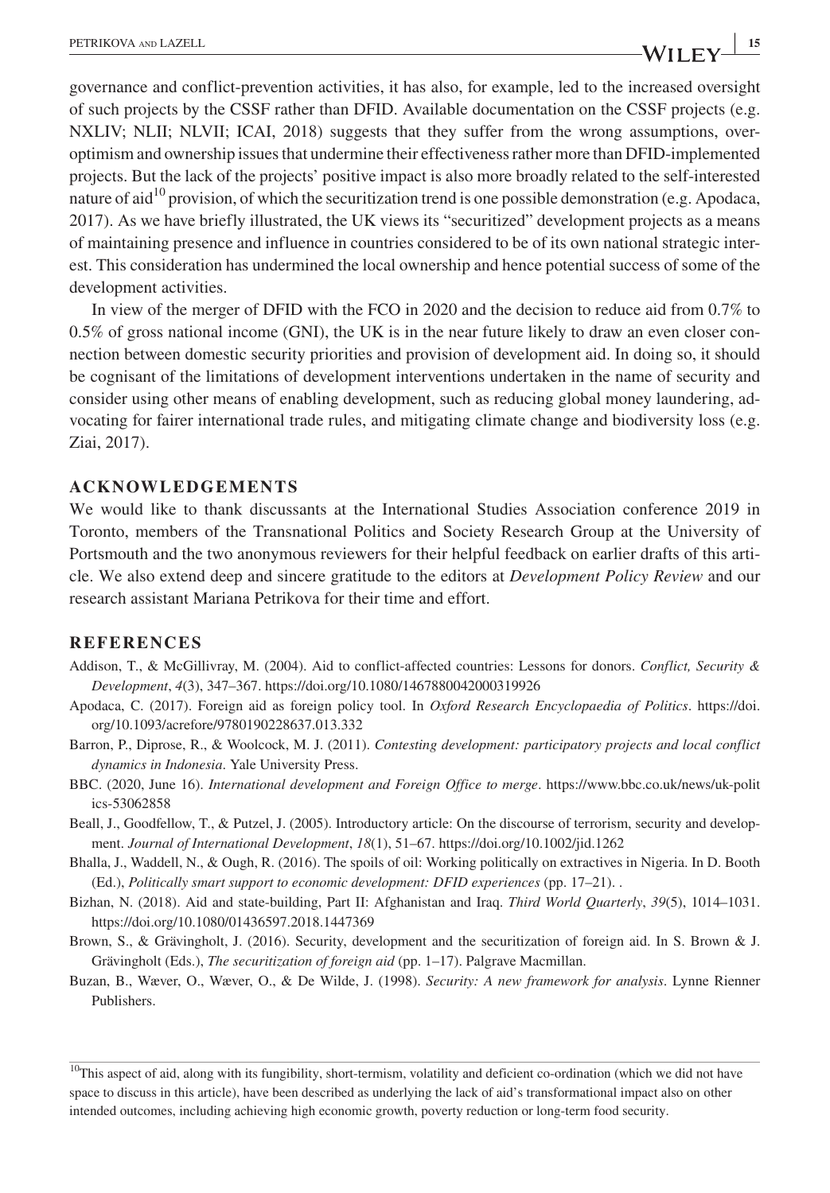governance and conflict-prevention activities, it has also, for example, led to the increased oversight of such projects by the CSSF rather than DFID. Available documentation on the CSSF projects (e.g. NXLIV; NLII; NLVII; ICAI, 2018) suggests that they suffer from the wrong assumptions, overoptimism and ownership issues that undermine their effectiveness rather more than DFID-implemented projects. But the lack of the projects' positive impact is also more broadly related to the self-interested nature of aid<sup>10</sup> provision, of which the securitization trend is one possible demonstration (e.g. Apodaca, 2017). As we have briefly illustrated, the UK views its "securitized" development projects as a means of maintaining presence and influence in countries considered to be of its own national strategic inter-

development activities. In view of the merger of DFID with the FCO in 2020 and the decision to reduce aid from 0.7% to 0.5% of gross national income (GNI), the UK is in the near future likely to draw an even closer connection between domestic security priorities and provision of development aid. In doing so, it should be cognisant of the limitations of development interventions undertaken in the name of security and consider using other means of enabling development, such as reducing global money laundering, advocating for fairer international trade rules, and mitigating climate change and biodiversity loss (e.g. Ziai, 2017).

est. This consideration has undermined the local ownership and hence potential success of some of the

#### **ACKNOWLEDGEMENTS**

We would like to thank discussants at the International Studies Association conference 2019 in Toronto, members of the Transnational Politics and Society Research Group at the University of Portsmouth and the two anonymous reviewers for their helpful feedback on earlier drafts of this article. We also extend deep and sincere gratitude to the editors at *Development Policy Review* and our research assistant Mariana Petrikova for their time and effort.

#### **REFERENCES**

- Addison, T., & McGillivray, M. (2004). Aid to conflict-affected countries: Lessons for donors. *Conflict, Security & Development*, *4*(3), 347–367. <https://doi.org/10.1080/1467880042000319926>
- Apodaca, C. (2017). Foreign aid as foreign policy tool. In *Oxford Research Encyclopaedia of Politics*. [https://doi.](https://doi.org/10.1093/acrefore/9780190228637.013.332) [org/10.1093/acrefore/9780190228637.013.332](https://doi.org/10.1093/acrefore/9780190228637.013.332)
- Barron, P., Diprose, R., & Woolcock, M. J. (2011). *Contesting development: participatory projects and local conflict dynamics in Indonesia*. Yale University Press.
- BBC. (2020, June 16). *International development and Foreign Office to merge*. [https://www.bbc.co.uk/news/uk-polit](https://www.bbc.co.uk/news/uk-politics-53062858) [ics-53062858](https://www.bbc.co.uk/news/uk-politics-53062858)
- Beall, J., Goodfellow, T., & Putzel, J. (2005). Introductory article: On the discourse of terrorism, security and development. *Journal of International Development*, *18*(1), 51–67.<https://doi.org/10.1002/jid.1262>
- Bhalla, J., Waddell, N., & Ough, R. (2016). The spoils of oil: Working politically on extractives in Nigeria. In D. Booth (Ed.), *Politically smart support to economic development: DFID experiences* (pp. 17–21). .
- Bizhan, N. (2018). Aid and state-building, Part II: Afghanistan and Iraq. *Third World Quarterly*, *39*(5), 1014–1031. <https://doi.org/10.1080/01436597.2018.1447369>
- Brown, S., & Grävingholt, J. (2016). Security, development and the securitization of foreign aid. In S. Brown & J. Grävingholt (Eds.), *The securitization of foreign aid* (pp. 1–17). Palgrave Macmillan.
- Buzan, B., Wæver, O., Wæver, O., & De Wilde, J. (1998). *Security: A new framework for analysis*. Lynne Rienner Publishers.

 $10$ This aspect of aid, along with its fungibility, short-termism, volatility and deficient co-ordination (which we did not have space to discuss in this article), have been described as underlying the lack of aid's transformational impact also on other intended outcomes, including achieving high economic growth, poverty reduction or long-term food security.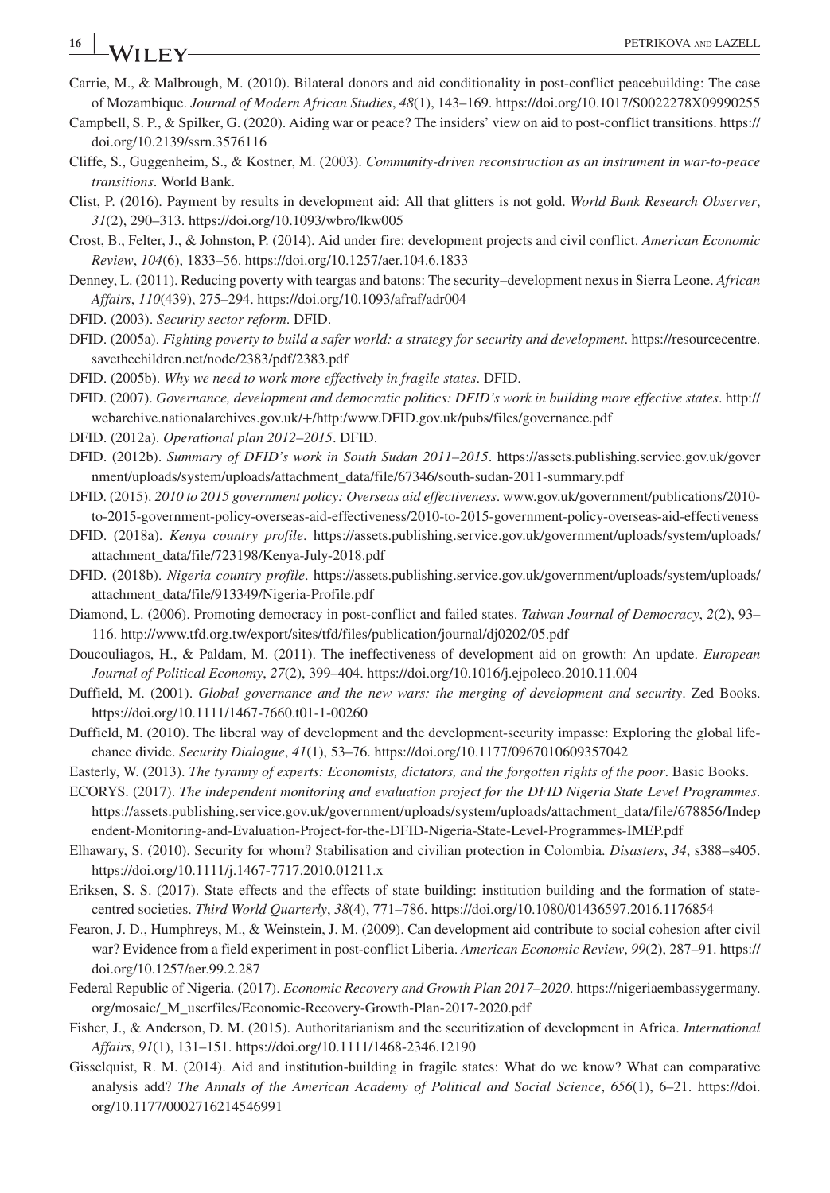- **16 |**  $\bullet$  **PETRIKOVA** AND **LAZELL**
- Carrie, M., & Malbrough, M. (2010). Bilateral donors and aid conditionality in post-conflict peacebuilding: The case of Mozambique. *Journal of Modern African Studies*, *48*(1), 143–169.<https://doi.org/10.1017/S0022278X09990255>
- Campbell, S. P., & Spilker, G. (2020). Aiding war or peace? The insiders' view on aid to post-conflict transitions. [https://](https://doi.org/10.2139/ssrn.3576116) [doi.org/10.2139/ssrn.3576116](https://doi.org/10.2139/ssrn.3576116)
- Cliffe, S., Guggenheim, S., & Kostner, M. (2003). *Community-driven reconstruction as an instrument in war-to-peace transitions*. World Bank.
- Clist, P. (2016). Payment by results in development aid: All that glitters is not gold. *World Bank Research Observer*, *31*(2), 290–313.<https://doi.org/10.1093/wbro/lkw005>
- Crost, B., Felter, J., & Johnston, P. (2014). Aid under fire: development projects and civil conflict. *American Economic Review*, *104*(6), 1833–56.<https://doi.org/10.1257/aer.104.6.1833>
- Denney, L. (2011). Reducing poverty with teargas and batons: The security–development nexus in Sierra Leone. *African Affairs*, *110*(439), 275–294.<https://doi.org/10.1093/afraf/adr004>
- DFID. (2003). *Security sector reform*. DFID.
- DFID. (2005a). *Fighting poverty to build a safer world: a strategy for security and development*. [https://resourcecentre.](https://resourcecentre.savethechildren.net/node/2383/pdf/2383.pdf) [savethechildren.net/node/2383/pdf/2383.pdf](https://resourcecentre.savethechildren.net/node/2383/pdf/2383.pdf)
- DFID. (2005b). *Why we need to work more effectively in fragile states*. DFID.
- DFID. (2007). *Governance, development and democratic politics: DFID's work in building more effective states*. [http://](http://webarchive.nationalarchives.gov.uk/+/http:/www.DFID.gov.uk/pubs/files/governance.pdf) [webarchive.nationalarchives.gov.uk/+/http:/www.DFID.gov.uk/pubs/files/governance.pdf](http://webarchive.nationalarchives.gov.uk/+/http:/www.DFID.gov.uk/pubs/files/governance.pdf)
- DFID. (2012a). *Operational plan 2012–2015*. DFID.
- DFID. (2012b). *Summary of DFID's work in South Sudan 2011–2015*. [https://assets.publishing.service.gov.uk/gover](https://assets.publishing.service.gov.uk/government/uploads/system/uploads/attachment_data/file/67346/south-sudan-2011-summary.pdf) [nment/uploads/system/uploads/attachment\\_data/file/67346/south-sudan-2011-summary.pdf](https://assets.publishing.service.gov.uk/government/uploads/system/uploads/attachment_data/file/67346/south-sudan-2011-summary.pdf)
- DFID. (2015). *2010 to 2015 government policy: Overseas aid effectiveness*. [www.gov.uk/government/publications/2010](http://www.gov.uk/government/publications/2010-to-2015-government-policy-overseas-aid-effectiveness/2010-to-2015-government-policy-overseas-aid-effectiveness) [to-2015-government-policy-overseas-aid-effectiveness/2010-to-2015-government-policy-overseas-aid-effectiveness](http://www.gov.uk/government/publications/2010-to-2015-government-policy-overseas-aid-effectiveness/2010-to-2015-government-policy-overseas-aid-effectiveness)
- DFID. (2018a). *Kenya country profile*. [https://assets.publishing.service.gov.uk/government/uploads/system/uploads/](https://assets.publishing.service.gov.uk/government/uploads/system/uploads/attachment_data/file/723198/Kenya-July-2018.pdf) [attachment\\_data/file/723198/Kenya-July-2018.pdf](https://assets.publishing.service.gov.uk/government/uploads/system/uploads/attachment_data/file/723198/Kenya-July-2018.pdf)
- DFID. (2018b). *Nigeria country profile*. [https://assets.publishing.service.gov.uk/government/uploads/system/uploads/](https://assets.publishing.service.gov.uk/government/uploads/system/uploads/attachment_data/file/913349/Nigeria-Profile.pdf) [attachment\\_data/file/913349/Nigeria-Profile.pdf](https://assets.publishing.service.gov.uk/government/uploads/system/uploads/attachment_data/file/913349/Nigeria-Profile.pdf)
- Diamond, L. (2006). Promoting democracy in post-conflict and failed states. *Taiwan Journal of Democracy*, *2*(2), 93– 116. <http://www.tfd.org.tw/export/sites/tfd/files/publication/journal/dj0202/05.pdf>
- Doucouliagos, H., & Paldam, M. (2011). The ineffectiveness of development aid on growth: An update. *European Journal of Political Economy*, *27*(2), 399–404.<https://doi.org/10.1016/j.ejpoleco.2010.11.004>
- Duffield, M. (2001). *Global governance and the new wars: the merging of development and security*. Zed Books. <https://doi.org/10.1111/1467-7660.t01-1-00260>
- Duffield, M. (2010). The liberal way of development and the development-security impasse: Exploring the global lifechance divide. *Security Dialogue*, *41*(1), 53–76. <https://doi.org/10.1177/0967010609357042>
- Easterly, W. (2013). *The tyranny of experts: Economists, dictators, and the forgotten rights of the poor*. Basic Books.
- ECORYS. (2017). *The independent monitoring and evaluation project for the DFID Nigeria State Level Programmes*. [https://assets.publishing.service.gov.uk/government/uploads/system/uploads/attachment\\_data/file/678856/Indep](https://assets.publishing.service.gov.uk/government/uploads/system/uploads/attachment_data/file/678856/Independent-Monitoring-and-Evaluation-Project-for-the-DFID-Nigeria-State-Level-Programmes-IMEP.pdf) [endent-Monitoring-and-Evaluation-Project-for-the-DFID-Nigeria-State-Level-Programmes-IMEP.pdf](https://assets.publishing.service.gov.uk/government/uploads/system/uploads/attachment_data/file/678856/Independent-Monitoring-and-Evaluation-Project-for-the-DFID-Nigeria-State-Level-Programmes-IMEP.pdf)
- Elhawary, S. (2010). Security for whom? Stabilisation and civilian protection in Colombia. *Disasters*, *34*, s388–s405. <https://doi.org/10.1111/j.1467-7717.2010.01211.x>
- Eriksen, S. S. (2017). State effects and the effects of state building: institution building and the formation of statecentred societies. *Third World Quarterly*, *38*(4), 771–786. <https://doi.org/10.1080/01436597.2016.1176854>
- Fearon, J. D., Humphreys, M., & Weinstein, J. M. (2009). Can development aid contribute to social cohesion after civil war? Evidence from a field experiment in post-conflict Liberia. *American Economic Review*, *99*(2), 287–91. [https://](https://doi.org/10.1257/aer.99.2.287) [doi.org/10.1257/aer.99.2.287](https://doi.org/10.1257/aer.99.2.287)
- Federal Republic of Nigeria. (2017). *Economic Recovery and Growth Plan 2017–2020*. [https://nigeriaembassygermany.](https://nigeriaembassygermany.org/mosaic/_M_userfiles/Economic-Recovery-Growth-Plan-2017-2020.pdf) [org/mosaic/\\_M\\_userfiles/Economic-Recovery-Growth-Plan-2017-2020.pdf](https://nigeriaembassygermany.org/mosaic/_M_userfiles/Economic-Recovery-Growth-Plan-2017-2020.pdf)
- Fisher, J., & Anderson, D. M. (2015). Authoritarianism and the securitization of development in Africa. *International Affairs*, *91*(1), 131–151. <https://doi.org/10.1111/1468-2346.12190>
- Gisselquist, R. M. (2014). Aid and institution-building in fragile states: What do we know? What can comparative analysis add? *The Annals of the American Academy of Political and Social Science*, *656*(1), 6–21. [https://doi.](https://doi.org/10.1177/0002716214546991) [org/10.1177/0002716214546991](https://doi.org/10.1177/0002716214546991)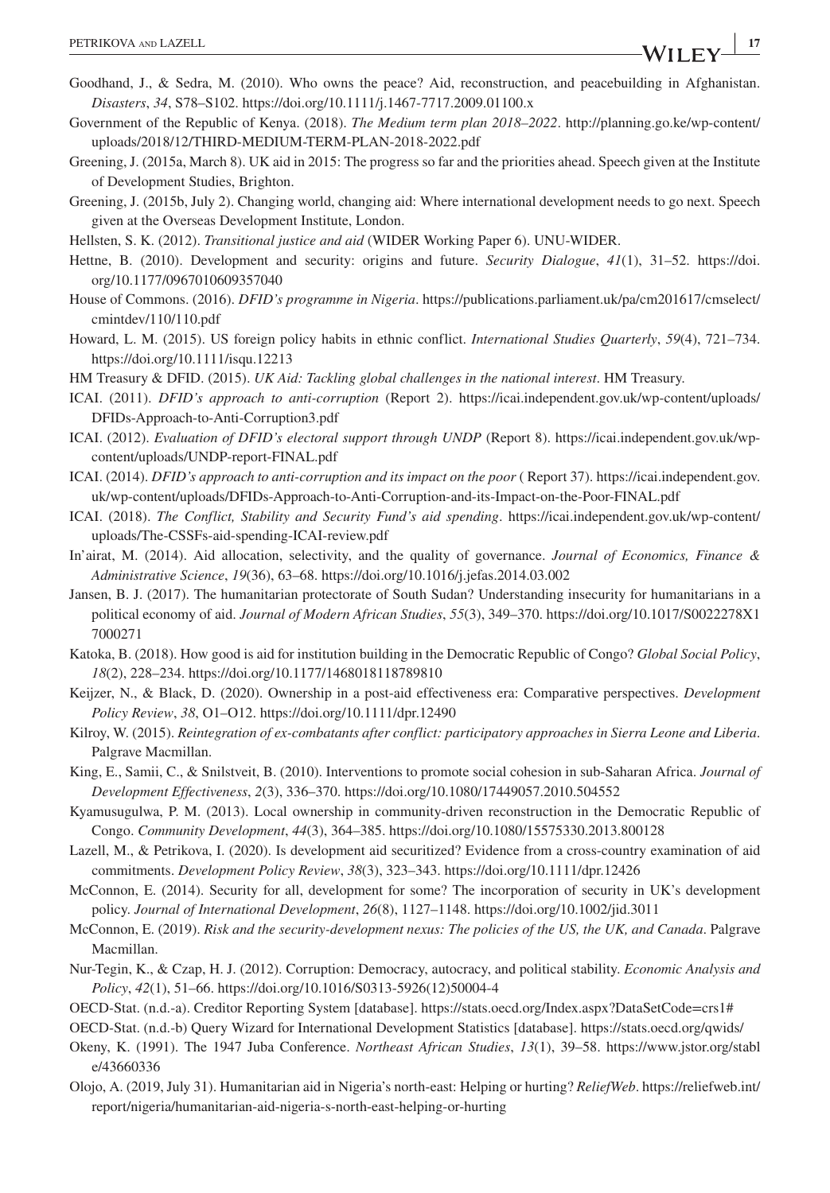- Goodhand, J., & Sedra, M. (2010). Who owns the peace? Aid, reconstruction, and peacebuilding in Afghanistan. *Disasters*, *34*, S78–S102. <https://doi.org/10.1111/j.1467-7717.2009.01100.x>
- Government of the Republic of Kenya. (2018). *The Medium term plan 2018–2022*. [http://planning.go.ke/wp-content/](http://planning.go.ke/wp-content/uploads/2018/12/THIRD-MEDIUM-TERM-PLAN-2018-2022.pdf) [uploads/2018/12/THIRD-MEDIUM-TERM-PLAN-2018-2022.pdf](http://planning.go.ke/wp-content/uploads/2018/12/THIRD-MEDIUM-TERM-PLAN-2018-2022.pdf)
- Greening, J. (2015a, March 8). UK aid in 2015: The progress so far and the priorities ahead. Speech given at the Institute of Development Studies, Brighton.
- Greening, J. (2015b, July 2). Changing world, changing aid: Where international development needs to go next. Speech given at the Overseas Development Institute, London.
- Hellsten, S. K. (2012). *Transitional justice and aid* (WIDER Working Paper 6). UNU-WIDER.
- Hettne, B. (2010). Development and security: origins and future. *Security Dialogue*, *41*(1), 31–52. [https://doi.](https://doi.org/10.1177/0967010609357040) [org/10.1177/0967010609357040](https://doi.org/10.1177/0967010609357040)
- House of Commons. (2016). *DFID's programme in Nigeria*. [https://publications.parliament.uk/pa/cm201617/cmselect/](https://publications.parliament.uk/pa/cm201617/cmselect/cmintdev/110/110.pdf) [cmintdev/110/110.pdf](https://publications.parliament.uk/pa/cm201617/cmselect/cmintdev/110/110.pdf)
- Howard, L. M. (2015). US foreign policy habits in ethnic conflict. *International Studies Quarterly*, *59*(4), 721–734. <https://doi.org/10.1111/isqu.12213>
- HM Treasury & DFID. (2015). *UK Aid: Tackling global challenges in the national interest*. HM Treasury.
- ICAI. (2011). *DFID's approach to anti-corruption* (Report 2). [https://icai.independent.gov.uk/wp-content/uploads/](https://icai.independent.gov.uk/wp-content/uploads/DFIDs-Approach-to-Anti-Corruption3.pdf) [DFIDs-Approach-to-Anti-Corruption3.pdf](https://icai.independent.gov.uk/wp-content/uploads/DFIDs-Approach-to-Anti-Corruption3.pdf)
- ICAI. (2012). *Evaluation of DFID's electoral support through UNDP* (Report 8). [https://icai.independent.gov.uk/wp](https://icai.independent.gov.uk/wp-content/uploads/UNDP-report-FINAL.pdf)[content/uploads/UNDP-report-FINAL.pdf](https://icai.independent.gov.uk/wp-content/uploads/UNDP-report-FINAL.pdf)
- ICAI. (2014). *DFID's approach to anti-corruption and its impact on the poor* ( Report 37). [https://icai.independent.gov.](https://icai.independent.gov.uk/wp-content/uploads/DFIDs-Approach-to-Anti-Corruption-and-its-Impact-on-the-Poor-FINAL.pdf) [uk/wp-content/uploads/DFIDs-Approach-to-Anti-Corruption-and-its-Impact-on-the-Poor-FINAL.pdf](https://icai.independent.gov.uk/wp-content/uploads/DFIDs-Approach-to-Anti-Corruption-and-its-Impact-on-the-Poor-FINAL.pdf)
- ICAI. (2018). *The Conflict, Stability and Security Fund's aid spending*. [https://icai.independent.gov.uk/wp-content/](https://icai.independent.gov.uk/wp-content/uploads/The-CSSFs-aid-spending-ICAI-review.pdf) [uploads/The-CSSFs-aid-spending-ICAI-review.pdf](https://icai.independent.gov.uk/wp-content/uploads/The-CSSFs-aid-spending-ICAI-review.pdf)
- In'airat, M. (2014). Aid allocation, selectivity, and the quality of governance. *Journal of Economics, Finance & Administrative Science*, *19*(36), 63–68. <https://doi.org/10.1016/j.jefas.2014.03.002>
- Jansen, B. J. (2017). The humanitarian protectorate of South Sudan? Understanding insecurity for humanitarians in a political economy of aid. *Journal of Modern African Studies*, *55*(3), 349–370. [https://doi.org/10.1017/S0022278X1](https://doi.org/10.1017/S0022278X17000271) [7000271](https://doi.org/10.1017/S0022278X17000271)
- Katoka, B. (2018). How good is aid for institution building in the Democratic Republic of Congo? *Global Social Policy*, *18*(2), 228–234.<https://doi.org/10.1177/1468018118789810>
- Keijzer, N., & Black, D. (2020). Ownership in a post-aid effectiveness era: Comparative perspectives. *Development Policy Review*, *38*, O1–O12. <https://doi.org/10.1111/dpr.12490>
- Kilroy, W. (2015). *Reintegration of ex-combatants after conflict: participatory approaches in Sierra Leone and Liberia*. Palgrave Macmillan.
- King, E., Samii, C., & Snilstveit, B. (2010). Interventions to promote social cohesion in sub-Saharan Africa. *Journal of Development Effectiveness*, *2*(3), 336–370.<https://doi.org/10.1080/17449057.2010.504552>
- Kyamusugulwa, P. M. (2013). Local ownership in community-driven reconstruction in the Democratic Republic of Congo. *Community Development*, *44*(3), 364–385.<https://doi.org/10.1080/15575330.2013.800128>
- Lazell, M., & Petrikova, I. (2020). Is development aid securitized? Evidence from a cross-country examination of aid commitments. *Development Policy Review*, *38*(3), 323–343. <https://doi.org/10.1111/dpr.12426>
- McConnon, E. (2014). Security for all, development for some? The incorporation of security in UK's development policy. *Journal of International Development*, *26*(8), 1127–1148.<https://doi.org/10.1002/jid.3011>
- McConnon, E. (2019). *Risk and the security-development nexus: The policies of the US, the UK, and Canada*. Palgrave Macmillan.
- Nur-Tegin, K., & Czap, H. J. (2012). Corruption: Democracy, autocracy, and political stability. *Economic Analysis and Policy*, *42*(1), 51–66. [https://doi.org/10.1016/S0313-5926\(12\)50004-4](https://doi.org/10.1016/S0313-5926(12)50004-4)
- OECD-Stat. (n.d.-a). Creditor Reporting System [database].<https://stats.oecd.org/Index.aspx?DataSetCode=crs1#>
- OECD-Stat. (n.d.-b) Query Wizard for International Development Statistics [database].<https://stats.oecd.org/qwids/>
- Okeny, K. (1991). The 1947 Juba Conference. *Northeast African Studies*, *13*(1), 39–58. [https://www.jstor.org/stabl](https://www.jstor.org/stable/43660336) [e/43660336](https://www.jstor.org/stable/43660336)
- Olojo, A. (2019, July 31). Humanitarian aid in Nigeria's north-east: Helping or hurting? *ReliefWeb*. [https://reliefweb.int/](https://reliefweb.int/report/nigeria/humanitarian-aid-nigeria-s-north-east-helping-or-hurting) [report/nigeria/humanitarian-aid-nigeria-s-north-east-helping-or-hurting](https://reliefweb.int/report/nigeria/humanitarian-aid-nigeria-s-north-east-helping-or-hurting)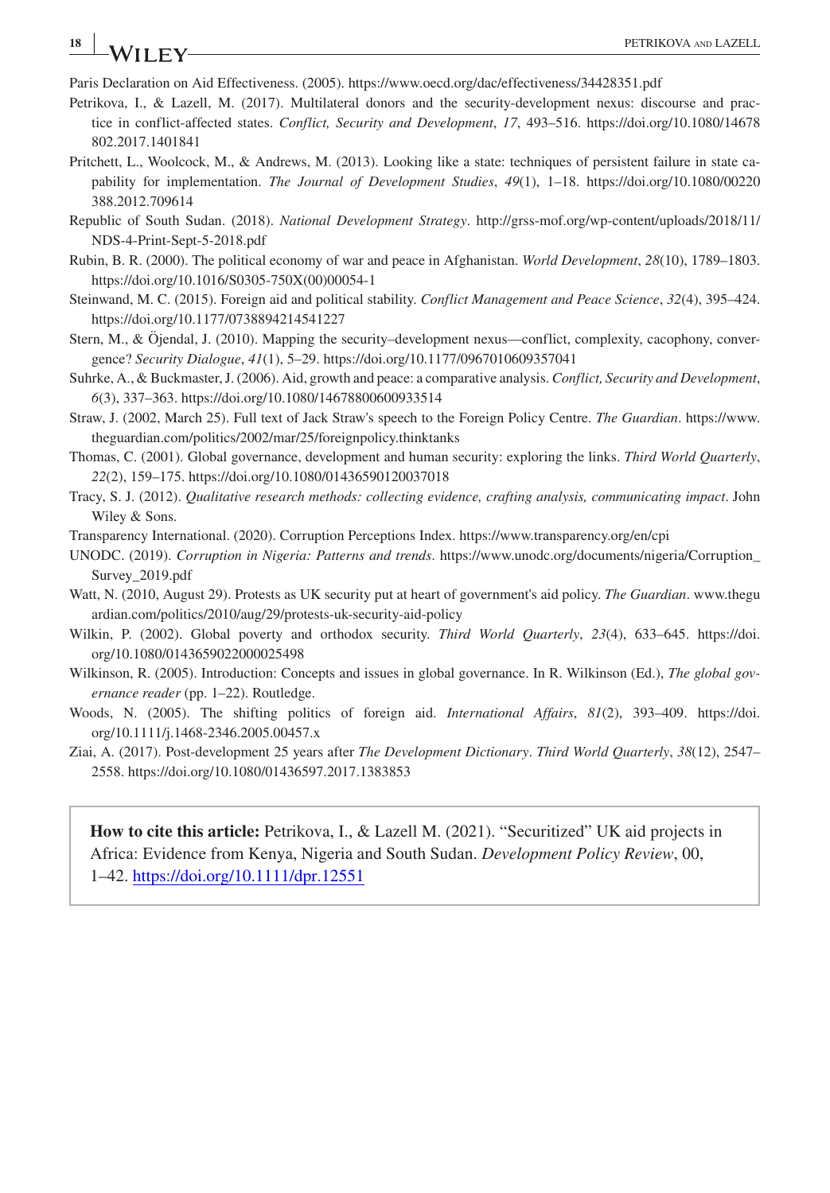**<sup>18</sup> <sup>|</sup>** PETRIKOVA and LAZELL

Paris Declaration on Aid Effectiveness. (2005). <https://www.oecd.org/dac/effectiveness/34428351.pdf>

Petrikova, I., & Lazell, M. (2017). Multilateral donors and the security-development nexus: discourse and practice in conflict-affected states. *Conflict, Security and Development*, *17*, 493–516. [https://doi.org/10.1080/14678](https://doi.org/10.1080/14678802.2017.1401841) [802.2017.1401841](https://doi.org/10.1080/14678802.2017.1401841)

- Pritchett, L., Woolcock, M., & Andrews, M. (2013). Looking like a state: techniques of persistent failure in state capability for implementation. *The Journal of Development Studies*, *49*(1), 1–18. [https://doi.org/10.1080/00220](https://doi.org/10.1080/00220388.2012.709614) [388.2012.709614](https://doi.org/10.1080/00220388.2012.709614)
- Republic of South Sudan. (2018). *National Development Strategy*. [http://grss-mof.org/wp-content/uploads/2018/11/](http://grss-mof.org/wp-content/uploads/2018/11/NDS-4-Print-Sept-5-2018.pdf) [NDS-4-Print-Sept-5-2018.pdf](http://grss-mof.org/wp-content/uploads/2018/11/NDS-4-Print-Sept-5-2018.pdf)
- Rubin, B. R. (2000). The political economy of war and peace in Afghanistan. *World Development*, *28*(10), 1789–1803. [https://doi.org/10.1016/S0305-750X\(00\)00054-1](https://doi.org/10.1016/S0305-750X(00)00054-1)
- Steinwand, M. C. (2015). Foreign aid and political stability. *Conflict Management and Peace Science*, *32*(4), 395–424. <https://doi.org/10.1177/0738894214541227>
- Stern, M., & Öjendal, J. (2010). Mapping the security–development nexus—conflict, complexity, cacophony, convergence? *Security Dialogue*, *41*(1), 5–29. <https://doi.org/10.1177/0967010609357041>
- Suhrke, A., & Buckmaster, J. (2006). Aid, growth and peace: a comparative analysis. *Conflict, Security and Development*, *6*(3), 337–363. <https://doi.org/10.1080/14678800600933514>
- Straw, J. (2002, March 25). Full text of Jack Straw's speech to the Foreign Policy Centre. *The Guardian*. [https://www.](https://www.theguardian.com/politics/2002/mar/25/foreignpolicy.thinktanks) [theguardian.com/politics/2002/mar/25/foreignpolicy.thinktanks](https://www.theguardian.com/politics/2002/mar/25/foreignpolicy.thinktanks)
- Thomas, C. (2001). Global governance, development and human security: exploring the links. *Third World Quarterly*, *22*(2), 159–175.<https://doi.org/10.1080/01436590120037018>
- Tracy, S. J. (2012). *Qualitative research methods: collecting evidence, crafting analysis, communicating impact*. John Wiley & Sons.
- Transparency International. (2020). Corruption Perceptions Index.<https://www.transparency.org/en/cpi>
- UNODC. (2019). *Corruption in Nigeria: Patterns and trends*. [https://www.unodc.org/documents/nigeria/Corruption\\_](https://www.unodc.org/documents/nigeria/Corruption_Survey_2019.pdf) [Survey\\_2019.pdf](https://www.unodc.org/documents/nigeria/Corruption_Survey_2019.pdf)
- Watt, N. (2010, August 29). Protests as UK security put at heart of government's aid policy. *The Guardian*. [www.thegu](http://www.theguardian.com/politics/2010/aug/29/protests-uk-security-aid-policy) [ardian.com/politics/2010/aug/29/protests-uk-security-aid-policy](http://www.theguardian.com/politics/2010/aug/29/protests-uk-security-aid-policy)
- Wilkin, P. (2002). Global poverty and orthodox security. *Third World Quarterly*, *23*(4), 633–645. [https://doi.](https://doi.org/10.1080/0143659022000025498) [org/10.1080/0143659022000025498](https://doi.org/10.1080/0143659022000025498)
- Wilkinson, R. (2005). Introduction: Concepts and issues in global governance. In R. Wilkinson (Ed.), *The global governance reader* (pp. 1–22). Routledge.
- Woods, N. (2005). The shifting politics of foreign aid. *International Affairs*, *81*(2), 393–409. [https://doi.](https://doi.org/10.1111/j.1468-2346.2005.00457.x) [org/10.1111/j.1468-2346.2005.00457.x](https://doi.org/10.1111/j.1468-2346.2005.00457.x)
- Ziai, A. (2017). Post-development 25 years after *The Development Dictionary*. *Third World Quarterly*, *38*(12), 2547– 2558. <https://doi.org/10.1080/01436597.2017.1383853>

**How to cite this article:** Petrikova, I., & Lazell M. (2021). "Securitized" UK aid projects in Africa: Evidence from Kenya, Nigeria and South Sudan. *Development Policy Review*, 00, 1–42. <https://doi.org/10.1111/dpr.12551>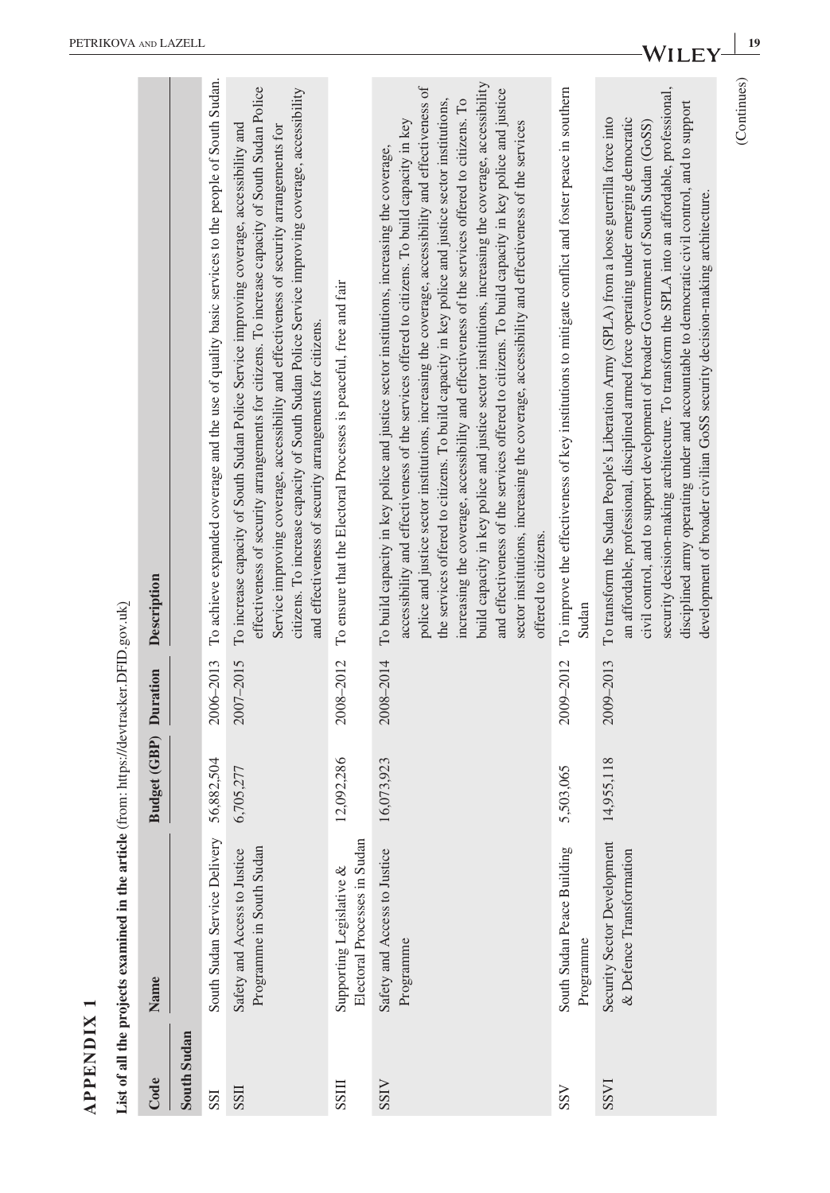| $\overline{\phantom{0}}$ |  |
|--------------------------|--|
| ✕<br>-                   |  |
| ≘                        |  |
| Z<br>⊡                   |  |
| ≏                        |  |
| ≏<br>◀                   |  |

| <b>APPENDIX</b> | List of all the projects examined in the articl          | le (from: https://devtracker.DFID.gov.uk) |           |                                                                                                                                                                                                                                                                                                                                                                                                                                                                                                                                                                                                                                                                                                                                                                                                                                                    |
|-----------------|----------------------------------------------------------|-------------------------------------------|-----------|----------------------------------------------------------------------------------------------------------------------------------------------------------------------------------------------------------------------------------------------------------------------------------------------------------------------------------------------------------------------------------------------------------------------------------------------------------------------------------------------------------------------------------------------------------------------------------------------------------------------------------------------------------------------------------------------------------------------------------------------------------------------------------------------------------------------------------------------------|
| Code            | Name                                                     | <b>Budget (GBP)</b> Duration              |           | Description                                                                                                                                                                                                                                                                                                                                                                                                                                                                                                                                                                                                                                                                                                                                                                                                                                        |
| South Sudan     |                                                          |                                           |           |                                                                                                                                                                                                                                                                                                                                                                                                                                                                                                                                                                                                                                                                                                                                                                                                                                                    |
| SSI             | South Sudan Service Delivery                             | 56,882,504                                |           | 2006-2013 To achieve expanded coverage and the use of quality basic services to the people of South Sudan.                                                                                                                                                                                                                                                                                                                                                                                                                                                                                                                                                                                                                                                                                                                                         |
| <b>IISS</b>     | Programme in South Sudan<br>Safety and Access to Justice | 6,705,277                                 | 2007-2015 | effectiveness of security arrangements for citizens. To increase capacity of South Sudan Police<br>citizens. To increase capacity of South Sudan Police Service improving coverage, accessibility<br>To increase capacity of South Sudan Police Service improving coverage, accessibility and<br>Service improving coverage, accessibility and effectiveness of security arrangements for<br>and effectiveness of security arrangements for citizens.                                                                                                                                                                                                                                                                                                                                                                                              |
| SSIII           | Electoral Processes in Sudar<br>Supporting Legislative & | 12,092,286                                | 2008-2012 | To ensure that the Electoral Processes is peaceful, free and fair                                                                                                                                                                                                                                                                                                                                                                                                                                                                                                                                                                                                                                                                                                                                                                                  |
| <b>SSIV</b>     | Safety and Access to Justice<br>Programme                | 16,073,923                                | 2008-2014 | build capacity in key police and justice sector institutions, increasing the coverage, accessibility<br>police and justice sector institutions, increasing the coverage, accessibility and effectiveness of<br>and effectiveness of the services offered to citizens. To build capacity in key police and justice<br>increasing the coverage, accessibility and effectiveness of the services offered to citizens. To<br>the services offered to citizens. To build capacity in key police and justice sector institutions,<br>accessibility and effectiveness of the services offered to citizens. To build capacity in key<br>sector institutions, increasing the coverage, accessibility and effectiveness of the services<br>To build capacity in key police and justice sector institutions, increasing the coverage,<br>offered to citizens. |
| SSV             | South Sudan Peace Building<br>Programme                  | 5,503,065                                 | 2009-2012 | To improve the effectiveness of key institutions to mitigate conflict and foster peace in southern<br>Sudan                                                                                                                                                                                                                                                                                                                                                                                                                                                                                                                                                                                                                                                                                                                                        |
| <b>IASS</b>     | Security Sector Development<br>& Defence Transformation  | 14,955,118                                | 2009-2013 | security decision-making architecture. To transform the SPLA into an affordable, professional,<br>disciplined army operating under and accountable to democratic civil control, and to support<br>To transform the Sudan People's Liberation Army (SPLA) from a loose guerrilla force into<br>an affordable, professional, disciplined armed force operating under emerging democratic<br>civil control, and to support development of broader Government of South Sudan (GoSS)<br>development of broader civilian GoSS security decision-making architecture.                                                                                                                                                                                                                                                                                     |
|                 |                                                          |                                           |           | (Continues)                                                                                                                                                                                                                                                                                                                                                                                                                                                                                                                                                                                                                                                                                                                                                                                                                                        |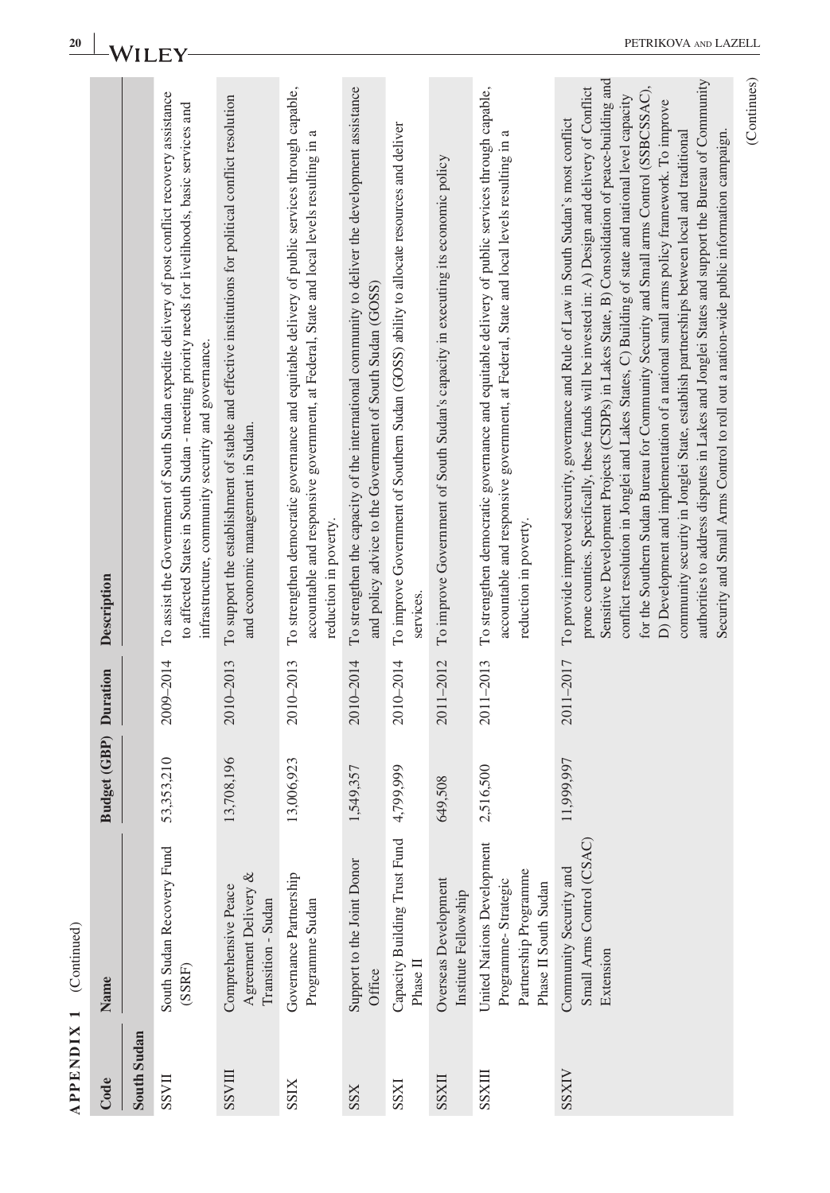| 20                |                              | WH          |                                                                                                                                                                                                                                                        |                                                                                                                                          |                                                                                                                                                                                                                   |                                                                                                                                                              |                                                                                                       |                                                                                  |                                                                                                                                                                                                                  | PETRIKOVA AND LAZELI                                                                                                                                                                                                                                                                                                                                                                                                                                                                                                                                                                                                                                                                                                                                                                                                                                                               |
|-------------------|------------------------------|-------------|--------------------------------------------------------------------------------------------------------------------------------------------------------------------------------------------------------------------------------------------------------|------------------------------------------------------------------------------------------------------------------------------------------|-------------------------------------------------------------------------------------------------------------------------------------------------------------------------------------------------------------------|--------------------------------------------------------------------------------------------------------------------------------------------------------------|-------------------------------------------------------------------------------------------------------|----------------------------------------------------------------------------------|------------------------------------------------------------------------------------------------------------------------------------------------------------------------------------------------------------------|------------------------------------------------------------------------------------------------------------------------------------------------------------------------------------------------------------------------------------------------------------------------------------------------------------------------------------------------------------------------------------------------------------------------------------------------------------------------------------------------------------------------------------------------------------------------------------------------------------------------------------------------------------------------------------------------------------------------------------------------------------------------------------------------------------------------------------------------------------------------------------|
|                   | Description                  |             | To assist the Government of South Sudan expedite delivery of post conflict recovery assistance<br>to affected States in South Sudan - meeting priority needs for livelihoods, basic services and<br>infrastructure, community security and governance. | To support the establishment of stable and effective institutions for political conflict resolution<br>and economic management in Sudan. | To strengthen democratic governance and equitable delivery of public services through capable,<br>accountable and responsive government, at Federal, State and local levels resulting in<br>reduction in poverty. | To strengthen the capacity of the international community to deliver the development assistance<br>and policy advice to the Government of South Sudan (GOSS) | To improve Government of Southern Sudan (GOSS) ability to allocate resources and deliver<br>services. | To improve Government of South Sudan's capacity in executing its economic policy | To strengthen democratic governance and equitable delivery of public services through capable,<br>accountable and responsive government, at Federal, State and local levels resulting in<br>reduction in poverty | Sensitive Development Projects (CSDPs) in Lakes State, B) Consolidation of peace-building and<br>authorities to address disputes in Lakes and Jonglei States and support the Bureau of Community<br>prone counties. Specifically, these funds will be invested in: A) Design and delivery of Conflict<br>for the Southern Sudan Bureau for Community Security and Small arms Control (SSBCSSAC),<br>conflict resolution in Jonglei and Lakes States, C) Building of state and national level capacity<br>D) Development and implementation of a national small arms policy framework. To improve<br>To provide improved security, governance and Rule of Law in South Sudan's most conflict<br>community security in Jonglei State, establish partnerships between local and traditional<br>Security and Small Arms Control to roll out a nation-wide public information campaign. |
|                   |                              |             | 2009-2014                                                                                                                                                                                                                                              | 2010-2013                                                                                                                                | 2010-2013                                                                                                                                                                                                         | 2010-2014                                                                                                                                                    | 2010-2014                                                                                             | 2011-2012                                                                        | 2011-2013                                                                                                                                                                                                        | 2011-2017                                                                                                                                                                                                                                                                                                                                                                                                                                                                                                                                                                                                                                                                                                                                                                                                                                                                          |
|                   | <b>Budget (GBP)</b> Duration |             | 53,353,210                                                                                                                                                                                                                                             | 13,708,196                                                                                                                               | 13,006,923                                                                                                                                                                                                        | 1,549,357                                                                                                                                                    | 4,799,999                                                                                             | 649,508                                                                          | 6,500<br>2,51                                                                                                                                                                                                    | 11,999,997                                                                                                                                                                                                                                                                                                                                                                                                                                                                                                                                                                                                                                                                                                                                                                                                                                                                         |
| (Continued)       | Name                         |             | South Sudan Recovery Fund<br>(SSRF)                                                                                                                                                                                                                    | Agreement Delivery &<br>Comprehensive Peace<br>Transition - Sudan                                                                        | Governance Partnership<br>Programme Sudan                                                                                                                                                                         | Support to the Joint Donor<br>Office                                                                                                                         | Capacity Building Trust Fund<br>Phase II                                                              | Overseas Development<br>Institute Fellowship                                     | United Nations Development<br>Partnership Programme<br>Programme-Strategic<br>Phase II South Sudan                                                                                                               | Small Arms Control (CSAC)<br>Community Security and<br>Extension                                                                                                                                                                                                                                                                                                                                                                                                                                                                                                                                                                                                                                                                                                                                                                                                                   |
| <b>APPENDIX 1</b> | Code                         | South Sudan | <b>IIASS</b>                                                                                                                                                                                                                                           | <b>TIINSS</b>                                                                                                                            | <b>SSIX</b>                                                                                                                                                                                                       | SSX                                                                                                                                                          | <b>IXSS</b>                                                                                           | <b>IIXSS</b>                                                                     | <b>TIXSS</b>                                                                                                                                                                                                     | <b>SSXIV</b>                                                                                                                                                                                                                                                                                                                                                                                                                                                                                                                                                                                                                                                                                                                                                                                                                                                                       |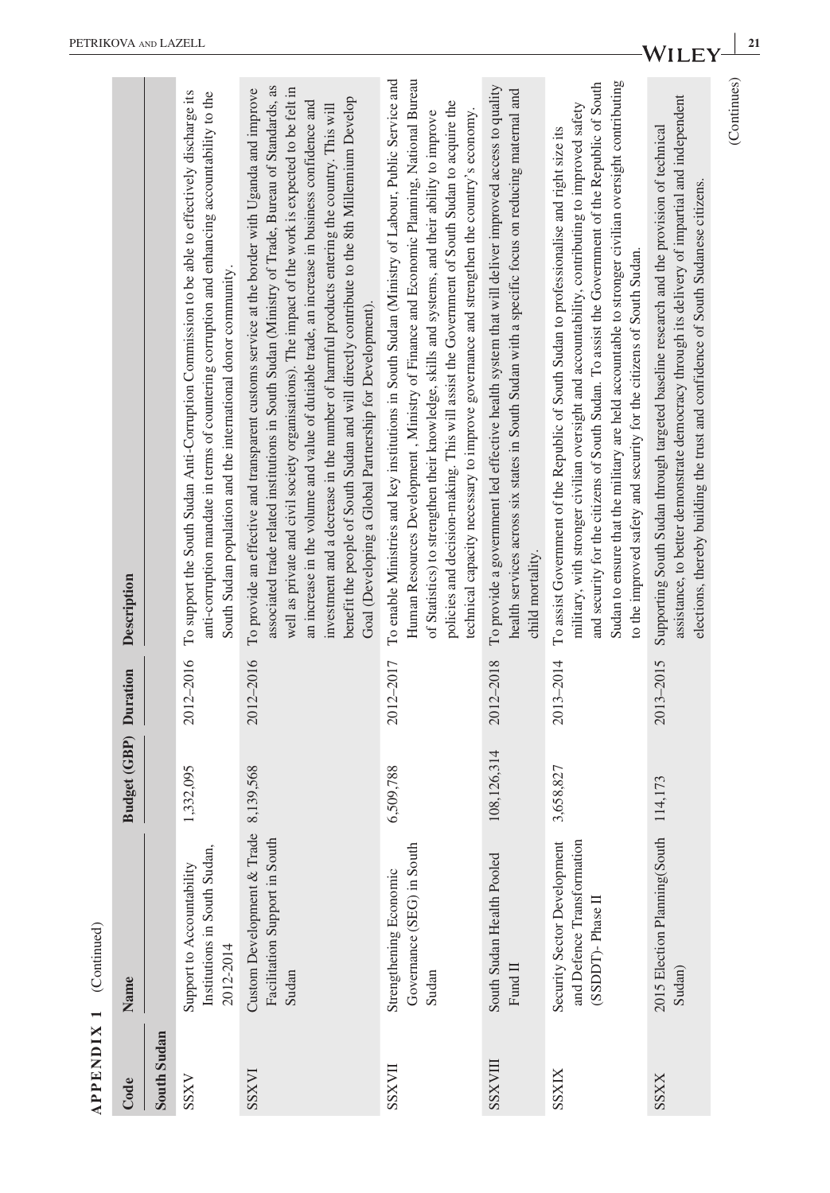| $(Cont$ nuec             |  |
|--------------------------|--|
| $\overline{\phantom{0}}$ |  |
| XION                     |  |
| EN                       |  |
| $\mathbf{P}[\mathbf{P}]$ |  |

|                | $APPENDIX 1$ (Continued)                                                      |                       |           |                                                                                                                                                                                                                                                                                                                                                                                                                                                                                                                                                                                                                                                                    |
|----------------|-------------------------------------------------------------------------------|-----------------------|-----------|--------------------------------------------------------------------------------------------------------------------------------------------------------------------------------------------------------------------------------------------------------------------------------------------------------------------------------------------------------------------------------------------------------------------------------------------------------------------------------------------------------------------------------------------------------------------------------------------------------------------------------------------------------------------|
| Code           | Name                                                                          | Budget (GBP) Duration |           | Description                                                                                                                                                                                                                                                                                                                                                                                                                                                                                                                                                                                                                                                        |
| South Sudan    |                                                                               |                       |           |                                                                                                                                                                                                                                                                                                                                                                                                                                                                                                                                                                                                                                                                    |
| <b>SSXV</b>    | Institutions in South Sudan,<br>Support to Accountability<br>2012-2014        | 1,332,095             | 2012-2016 | To support the South Sudan Anti-Corruption Commission to be able to effectively discharge its<br>anti-corruption mandate in terms of countering corruption and enhancing accountability to the<br>South Sudan population and the international donor community.                                                                                                                                                                                                                                                                                                                                                                                                    |
| <b>INXSS</b>   | Custom Development & Trade<br>Facilitation Support in South<br>Sudan          | 8,139,568             | 2012-2016 | associated trade related institutions in South Sudan (Ministry of Trade, Bureau of Standards, as<br>well as private and civil society organisations). The impact of the work is expected to be felt in<br>To provide an effective and transparent customs service at the border with Uganda and improve<br>benefit the people of South Sudan and will directly contribute to the 8th Millennium Develop<br>an increase in the volume and value of dutiable trade, an increase in business confidence and<br>investment and a decrease in the number of harmful products entering the country. This will<br>Goal (Developing a Global Partnership for Development). |
| <b>IIAXSS</b>  | Governance (SEG) in South<br>Strengthening Economic<br>Sudan                  | 6,509,788             | 2012-2017 | Human Resources Development, Ministry of Finance and Economic Planning, National Bureau<br>To enable Ministries and key institutions in South Sudan (Ministry of Labour, Public Service and<br>policies and decision-making. This will assist the Government of South Sudan to acquire the<br>technical capacity necessary to improve governance and strengthen the country's economy.<br>of Statistics) to strengthen their knowledge, skills and systems, and their ability to improve                                                                                                                                                                           |
| <b>III/XSS</b> | South Sudan Health Pooled<br>Fund II                                          | 108,126,314           | 2012-2018 | To provide a government led effective health system that will deliver improved access to quality<br>health services across six states in South Sudan with a specific focus on reducing maternal and<br>child mortality.                                                                                                                                                                                                                                                                                                                                                                                                                                            |
| SSXIX          | Security Sector Development<br>and Defence Transformation<br>(SSDDT)-Phase II | 3,658,827             | 2013-2014 | Sudan to ensure that the military are held accountable to stronger civilian oversight contributing<br>and security for the citizens of South Sudan. To assist the Government of the Republic of South<br>military, with stronger civilian oversight and accountability, contributing to improved safety<br>To assist Government of the Republic of South Sudan to professionalise and right size its<br>to the improved safety and security for the citizens of South Sudan.                                                                                                                                                                                       |
| <b>SSXX</b>    | 2015 Election Planning(South<br>Sudan)                                        | 114,173               | 2013-2015 | assistance, to better demonstrate democracy through its delivery of impartial and independent<br>Supporting South Sudan through targeted baseline research and the provision of technical<br>elections, thereby building the trust and confidence of South Sudanese citizens.                                                                                                                                                                                                                                                                                                                                                                                      |
|                |                                                                               |                       |           | (Continues)                                                                                                                                                                                                                                                                                                                                                                                                                                                                                                                                                                                                                                                        |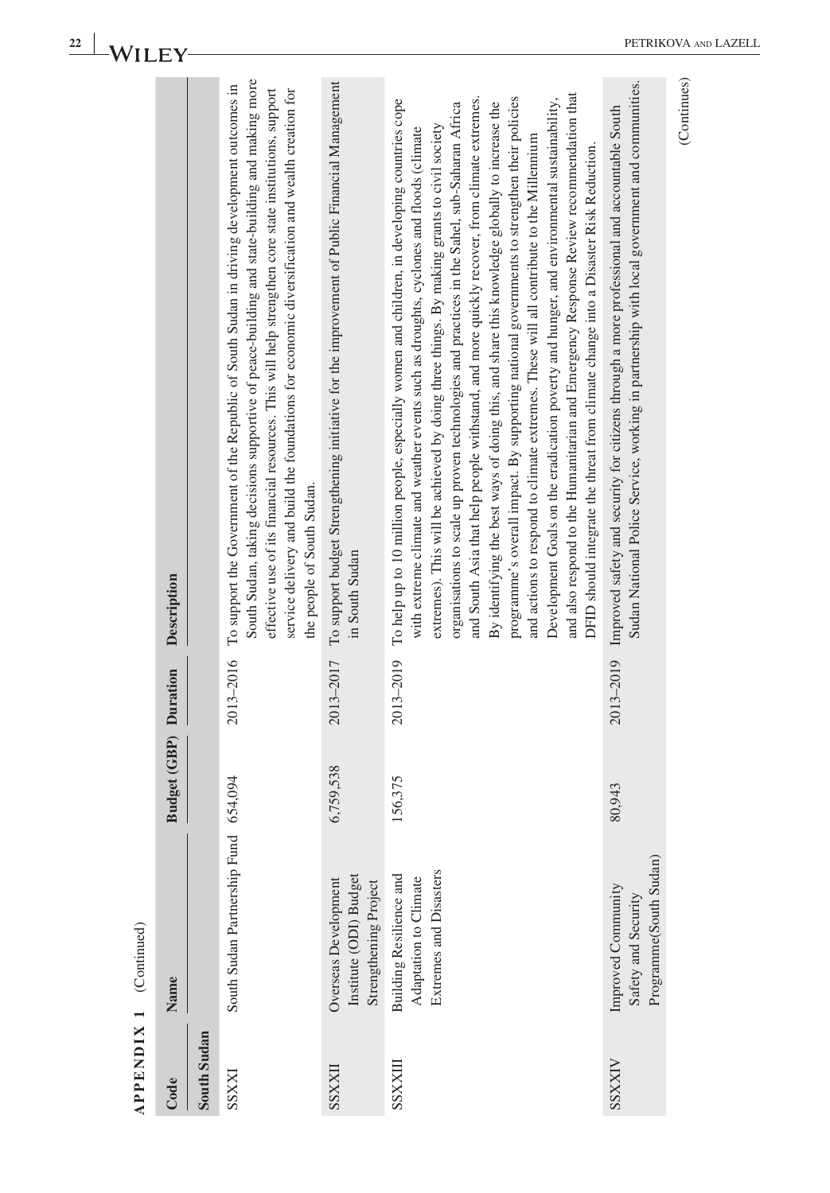| <b>APPENDIX 1</b> | (Continued)                                                                |                              |           |                                                                                                                                                                                                                                                                                                                                                                                                                                                                                                                                                                                                                                                                                                                                                                                                                                                                                                                                                                                                                                                               |
|-------------------|----------------------------------------------------------------------------|------------------------------|-----------|---------------------------------------------------------------------------------------------------------------------------------------------------------------------------------------------------------------------------------------------------------------------------------------------------------------------------------------------------------------------------------------------------------------------------------------------------------------------------------------------------------------------------------------------------------------------------------------------------------------------------------------------------------------------------------------------------------------------------------------------------------------------------------------------------------------------------------------------------------------------------------------------------------------------------------------------------------------------------------------------------------------------------------------------------------------|
| Code              | Name                                                                       | <b>Budget (GBP)</b> Duration |           | Description                                                                                                                                                                                                                                                                                                                                                                                                                                                                                                                                                                                                                                                                                                                                                                                                                                                                                                                                                                                                                                                   |
| South Sudan       |                                                                            |                              |           |                                                                                                                                                                                                                                                                                                                                                                                                                                                                                                                                                                                                                                                                                                                                                                                                                                                                                                                                                                                                                                                               |
| <b>EXXSS</b>      | South Sudan Partnership Fund                                               | 654,094                      | 2013-2016 | South Sudan, taking decisions supportive of peace-building and state-building and making more<br>To support the Government of the Republic of South Sudan in driving development outcomes in<br>effective use of its financial resources. This will help strengthen core state institutions, support<br>service delivery and build the foundations for economic diversification and wealth creation for<br>the people of South Sudan.                                                                                                                                                                                                                                                                                                                                                                                                                                                                                                                                                                                                                         |
| <b>IIXXSS</b>     | Institute (ODI) Budget<br>Overseas Development<br>Strengthening Project    | 6,759,538                    | 2013-2017 | To support budget Strengthening initiative for the improvement of Public Financial Management<br>in South Sudan                                                                                                                                                                                                                                                                                                                                                                                                                                                                                                                                                                                                                                                                                                                                                                                                                                                                                                                                               |
| SSXXIII           | Extremes and Disasters<br>Building Resilience and<br>Adaptation to Climate | 156,375                      | 2013-2019 | and also respond to the Humanitarian and Emergency Response Review recommendation that<br>and South Asia that help people withstand, and more quickly recover, from climate extremes.<br>programme's overall impact. By supporting national governments to strengthen their policies<br>Development Goals on the eradication poverty and hunger, and environmental sustainability,<br>To help up to 10 million people, especially women and children, in developing countries cope<br>By identifying the best ways of doing this, and share this knowledge globally to increase the<br>organisations to scale up proven technologies and practices in the Sahel, sub-Saharan Africa<br>extremes). This will be achieved by doing three things. By making grants to civil society<br>with extreme climate and weather events such as droughts, cyclones and floods (climate<br>and actions to respond to climate extremes. These will all contribute to the Millennium<br>DFID should integrate the threat from climate change into a Disaster Risk Reduction. |
| <b>AIXXSS</b>     | Programme(South Sudan)<br>Improved Community<br>Safety and Security        | 80,943                       |           | Sudan National Police Service, working in partnership with local government and communities.<br>2013-2019 Improved safety and security for citizens through a more professional and accountable South                                                                                                                                                                                                                                                                                                                                                                                                                                                                                                                                                                                                                                                                                                                                                                                                                                                         |
|                   |                                                                            |                              |           | (Continues)                                                                                                                                                                                                                                                                                                                                                                                                                                                                                                                                                                                                                                                                                                                                                                                                                                                                                                                                                                                                                                                   |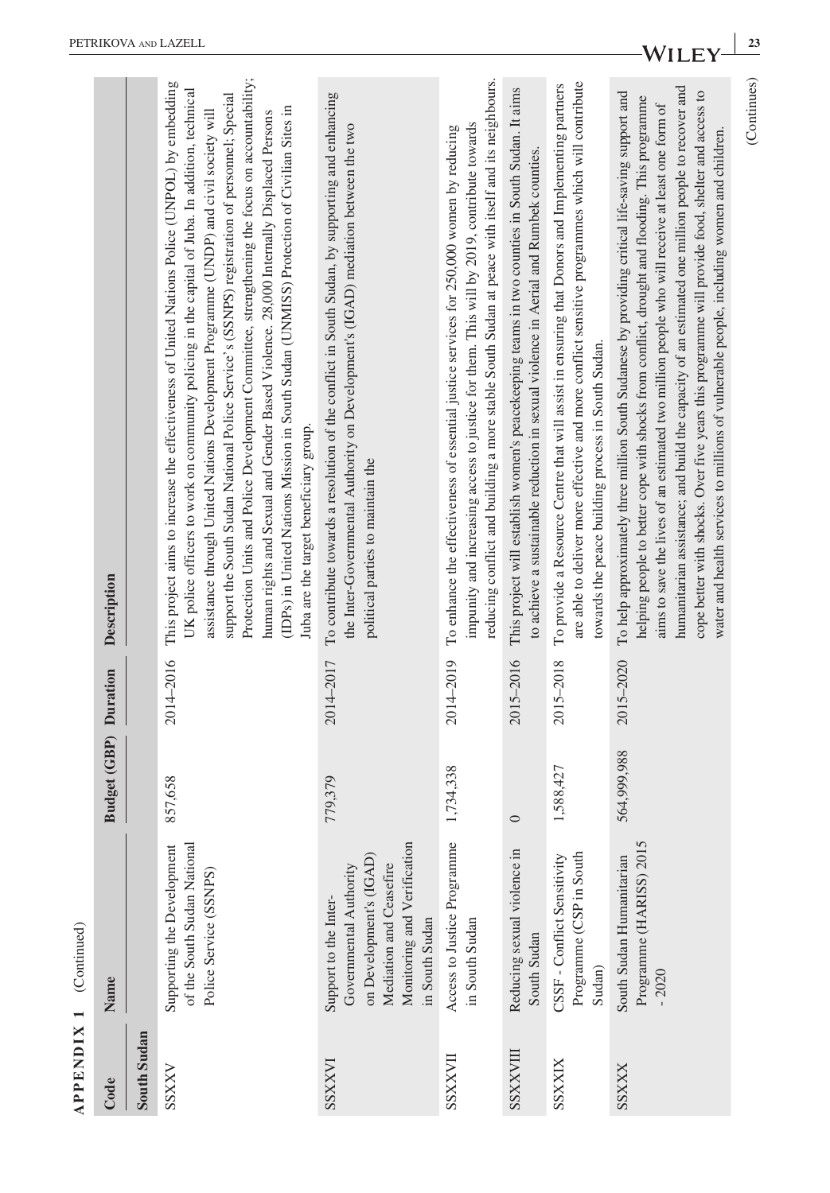|                  | $APPENDIX 1$ (Continued)                                                                                                                               |                              |           |                                                                                                                                                                                                                                                                                                                                                                                                                                                                                                                                                                                                                                                                                                                            |
|------------------|--------------------------------------------------------------------------------------------------------------------------------------------------------|------------------------------|-----------|----------------------------------------------------------------------------------------------------------------------------------------------------------------------------------------------------------------------------------------------------------------------------------------------------------------------------------------------------------------------------------------------------------------------------------------------------------------------------------------------------------------------------------------------------------------------------------------------------------------------------------------------------------------------------------------------------------------------------|
| Code             | Name                                                                                                                                                   | <b>Budget (GBP)</b> Duration |           | Description                                                                                                                                                                                                                                                                                                                                                                                                                                                                                                                                                                                                                                                                                                                |
| South Sudan      |                                                                                                                                                        |                              |           |                                                                                                                                                                                                                                                                                                                                                                                                                                                                                                                                                                                                                                                                                                                            |
| SSXXV            | of the South Sudan National<br>Supporting the Development<br>Police Service (SSNPS)                                                                    | 857,658                      | 2014-2016 | Protection Units and Police Development Committee, strengthening the focus on accountability;<br>This project aims to increase the effectiveness of United Nations Police (UNPOL) by embedding<br>UK police officers to work on community policing in the capital of Juba. In addition, technical<br>support the South Sudan National Police Service's (SSNPS) registration of personnel; Special<br>(IDPs) in United Nations Mission in South Sudan (UNMISS) Protection of Civilian Sites in<br>assistance through United Nations Development Programme (UNDP) and civil society will<br>human rights and Sexual and Gender Based Violence. 28,000 Internally Displaced Persons<br>Juba are the target beneficiary group. |
| <b>INXXSS</b>    | Monitoring and Verification<br>on Development's (IGAD)<br>Mediation and Ceasefire<br>Governmental Authority<br>Support to the Inter-<br>in South Sudan | 779,379                      | 2014-2017 | To contribute towards a resolution of the conflict in South Sudan, by supporting and enhancing<br>the Inter-Governmental Authority on Development's (IGAD) mediation between the two<br>political parties to maintain the                                                                                                                                                                                                                                                                                                                                                                                                                                                                                                  |
| <b>HAXXSS</b>    | Access to Justice Programme<br>in South Sudan                                                                                                          | 1,734,338                    | 2014-2019 | reducing conflict and building a more stable South Sudan at peace with itself and its neighbours.<br>impunity and increasing access to justice for them. This will by 2019, contribute towards<br>To enhance the effectiveness of essential justice services for 250,000 women by reducing                                                                                                                                                                                                                                                                                                                                                                                                                                 |
| <b>III/XXSSS</b> | Reducing sexual violence in<br>South Sudan                                                                                                             | $\circ$                      | 2015-2016 | This project will establish women's peacekeeping teams in two counties in South Sudan. It aims<br>to achieve a sustainable reduction in sexual violence in Aerial and Rumbek counties.                                                                                                                                                                                                                                                                                                                                                                                                                                                                                                                                     |
| SSXXIX           | Programme (CSP in South<br>CSSF - Conflict Sensitivity<br>Sudan)                                                                                       | 1,588,427                    | 2015-2018 | are able to deliver more effective and more conflict sensitive programmes which will contribute<br>To provide a Resource Centre that will assist in ensuring that Donors and Implementing partners<br>towards the peace building process in South Sudan.                                                                                                                                                                                                                                                                                                                                                                                                                                                                   |
| <b>SSXXX</b>     | Programme (HARISS) 2015<br>South Sudan Humanitarian<br>$-2020$                                                                                         | 564,999,988                  | 2015-2020 | humanitarian assistance; and build the capacity of an estimated one million people to recover and<br>cope better with shocks. Over five years this programme will provide food, shelter and access to<br>To help approximately three million South Sudanese by providing critical life-saving support and<br>helping people to better cope with shocks from conflict, drought and flooding. This programme<br>aims to save the lives of an estimated two million people who will receive at least one form of<br>water and health services to millions of vulnerable people, including women and children.                                                                                                                 |
|                  |                                                                                                                                                        |                              |           | (Continues)                                                                                                                                                                                                                                                                                                                                                                                                                                                                                                                                                                                                                                                                                                                |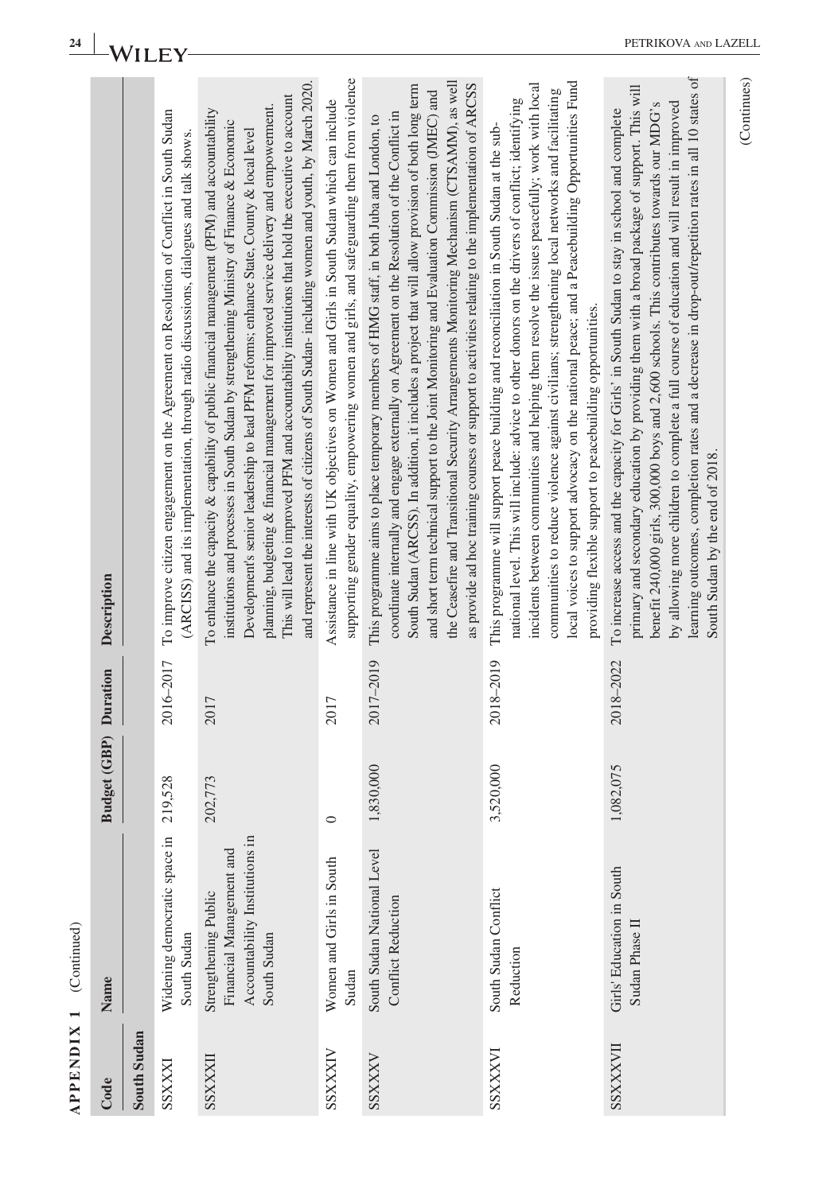|   | ۰      |
|---|--------|
| ۵ | d<br>í |
|   |        |
|   |        |
| Ľ | J<br>í |
| í |        |
|   | ⋖<br>j |

| <b>APPENDIX 1</b> | (Continued)                                                                                       |                              |           |                                                                                                                                                                                                                                                                                                                                                                                                                                                                                                                                                                                                         |
|-------------------|---------------------------------------------------------------------------------------------------|------------------------------|-----------|---------------------------------------------------------------------------------------------------------------------------------------------------------------------------------------------------------------------------------------------------------------------------------------------------------------------------------------------------------------------------------------------------------------------------------------------------------------------------------------------------------------------------------------------------------------------------------------------------------|
| Code              | Name                                                                                              | <b>Budget (GBP)</b> Duration |           | Description                                                                                                                                                                                                                                                                                                                                                                                                                                                                                                                                                                                             |
| South Sudan       |                                                                                                   |                              |           |                                                                                                                                                                                                                                                                                                                                                                                                                                                                                                                                                                                                         |
| SSXXXI            | Widening democratic space in<br>South Sudan                                                       | 219,528                      | 2016-2017 | To improve citizen engagement on the Agreement on Resolution of Conflict in South Sudan<br>(ARCISS) and its implementation, through radio discussions, dialogues and talk shows.                                                                                                                                                                                                                                                                                                                                                                                                                        |
| SSXXXII           | Accountability Institutions in<br>Financial Management and<br>Strengthening Public<br>South Sudan | 202,773                      | 2017      | and represent the interests of citizens of South Sudan- including women and youth, by March 2020.<br>This will lead to improved PFM and accountability institutions that hold the executive to account<br>planning, budgeting & financial management for improved service delivery and empowerment.<br>To enhance the capacity & capability of public financial management (PFM) and accountability<br>institutions and processes in South Sudan by strengthening Ministry of Finance & Economic<br>Development's senior leadership to lead PFM reforms; enhance State, County & local level            |
| SSXXXIV           | Women and Girls in South<br>Sudan                                                                 | $\circ$                      | 2017      | supporting gender equality, empowering women and girls, and safeguarding them from violence<br>Assistance in line with UK objectives on Women and Girls in South Sudan which can include                                                                                                                                                                                                                                                                                                                                                                                                                |
| SSXXXV            | South Sudan National Level<br><b>Conflict Reduction</b>                                           | 1,830,000                    | 2017-2019 | the Ceasefire and Transitional Security Arrangements Monitoring Mechanism (CTSAMM), as well<br>as provide ad hoc training courses or support to activities relating to the implementation of ARCSS<br>South Sudan (ARCSS). In addition, it includes a project that will allow provision of both long term<br>and short term technical support to the Joint Monitoring and Evaluation Commission (JMEC) and<br>coordinate internally and engage externally on Agreement on the Resolution of the Conflict in<br>This programme aims to place temporary members of HMG staff, in both Juba and London, to |
| <b>IAXXXSS</b>    | South Sudan Conflict<br>Reduction                                                                 | 3,520,000                    | 2018-2019 | local voices to support advocacy on the national peace; and a Peacebuilding Opportunities Fund<br>incidents between communities and helping them resolve the issues peacefully; work with local<br>communities to reduce violence against civilians; strengthening local networks and facilitating<br>national level. This will include: advice to other donors on the drivers of conflict; identifying<br>This programme will support peace building and reconciliation in South Sudan at the sub-<br>providing flexible support to peacebuilding opportunities.                                       |
| SSXXXVII          | Girls' Education in South<br>Sudan Phase II                                                       | 1,082,075                    | 2018-2022 | learning outcomes, completion rates and a decrease in drop-out/repetition rates in all 10 states of<br>primary and secondary education by providing them with a broad package of support. This will<br>by allowing more children to complete a full course of education and will result in improved<br>benefit 240,000 girls, 300,000 boys and 2,600 schools. This contributes towards our MDG's<br>To increase access and the capacity for Girls' in South Sudan to stay in school and complete<br>South Sudan by the end of 2018.                                                                     |

PETRIKOVA AND LAZELL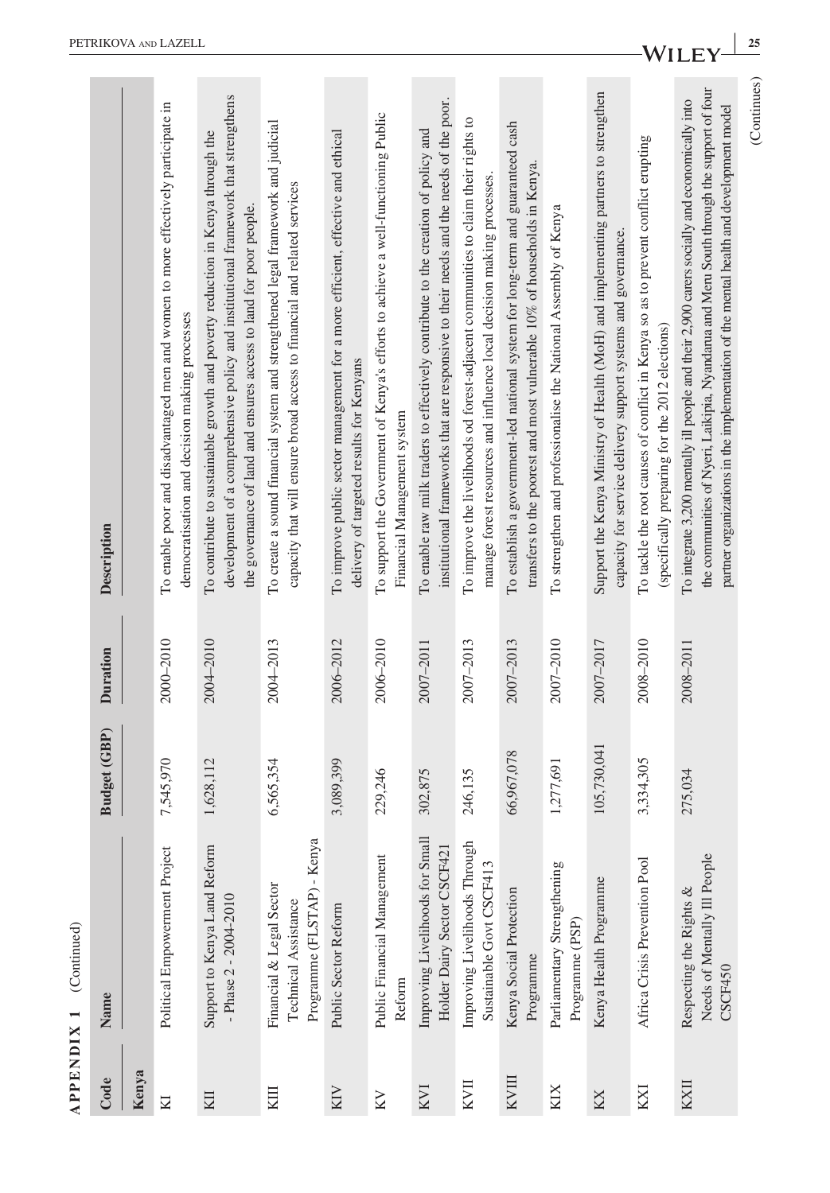| <b>APPENDIX 1</b> | (Continued)                                                                    |                     |                 |                                                                                                                                                                                                                                                                                    |
|-------------------|--------------------------------------------------------------------------------|---------------------|-----------------|------------------------------------------------------------------------------------------------------------------------------------------------------------------------------------------------------------------------------------------------------------------------------------|
| Code              | Name                                                                           | <b>Budget (GBP)</b> | <b>Duration</b> | Description                                                                                                                                                                                                                                                                        |
| Kenya             |                                                                                |                     |                 |                                                                                                                                                                                                                                                                                    |
| М                 | Political Empowerment Project                                                  | 7,545,970           | 2000-2010       | To enable poor and disadvantaged men and women to more effectively participate in<br>democratisation and decision making processes                                                                                                                                                 |
| KII               | Support to Kenya Land Reform<br>- Phase $2 - 2004 - 2010$                      | 1,628,112           | 2004-2010       | development of a comprehensive policy and institutional framework that strengthens<br>To contribute to sustainable growth and poverty reduction in Kenya through the<br>the governance of land and ensures access to land for poor people.                                         |
| KIII              | Programme (FLSTAP) - Kenya<br>Financial & Legal Sector<br>Technical Assistance | 6,565,354           | 2004-2013       | To create a sound financial system and strengthened legal framework and judicial<br>capacity that will ensure broad access to financial and related services                                                                                                                       |
| KIN               | Public Sector Reform                                                           | 3,089,399           | 2006-2012       | To improve public sector management for a more efficient, effective and ethical<br>delivery of targeted results for Kenyans                                                                                                                                                        |
| KV                | Public Financial Management<br>Reform                                          | 229,246             | 2006-2010       | To support the Government of Kenya's efforts to achieve a well-functioning Public<br>Financial Management system                                                                                                                                                                   |
| KVI               | Improving Livelihoods for Small<br>Holder Dairy Sector CSCF421                 | 302,875             | 2007-2011       | institutional frameworks that are responsive to their needs and the needs of the poor.<br>To enable raw milk traders to effectively contribute to the creation of policy and                                                                                                       |
| KVII              | Improving Livelihoods Through<br>Sustainable Govt CSCF413                      | 246,135             | 2007-2013       | To improve the livelihoods od forest-adjacent communities to claim their rights to<br>manage forest resources and influence local decision making processes.                                                                                                                       |
| <b>KVIII</b>      | Kenya Social Protection<br>Programme                                           | 66,967,078          | 2007-2013       | To establish a government-led national system for long-term and guaranteed cash<br>transfers to the poorest and most vulnerable 10% of households in Kenya.                                                                                                                        |
| KIX               | Parliamentary Strengthening<br>Programme (PSP)                                 | 1,277,691           | 2007-2010       | To strengthen and professionalise the National Assembly of Kenya                                                                                                                                                                                                                   |
| KX                | Kenya Health Programme                                                         | 105,730,041         | 2007-2017       | Support the Kenya Ministry of Health (MoH) and implementing partners to strengthen<br>capacity for service delivery support systems and governance.                                                                                                                                |
| KXI               | Africa Crisis Prevention Pool                                                  | 3,334,305           | 2008-2010       | To tackle the root causes of conflict in Kenya so as to prevent conflict erupting<br>(specifically preparing for the 2012 elections)                                                                                                                                               |
| KXII              | Needs of Mentally Ill People<br>Respecting the Rights &<br>CSCF450             | 275,034             | 2008-2011       | the communities of Nyeri, Laikipia, Nyandarua and Meru South through the support of four<br>To integrate 3,200 mentally ill people and their 2,900 carers socially and economically into<br>partner organizations in the implementation of the mental health and development model |
|                   |                                                                                |                     |                 | (Continues)                                                                                                                                                                                                                                                                        |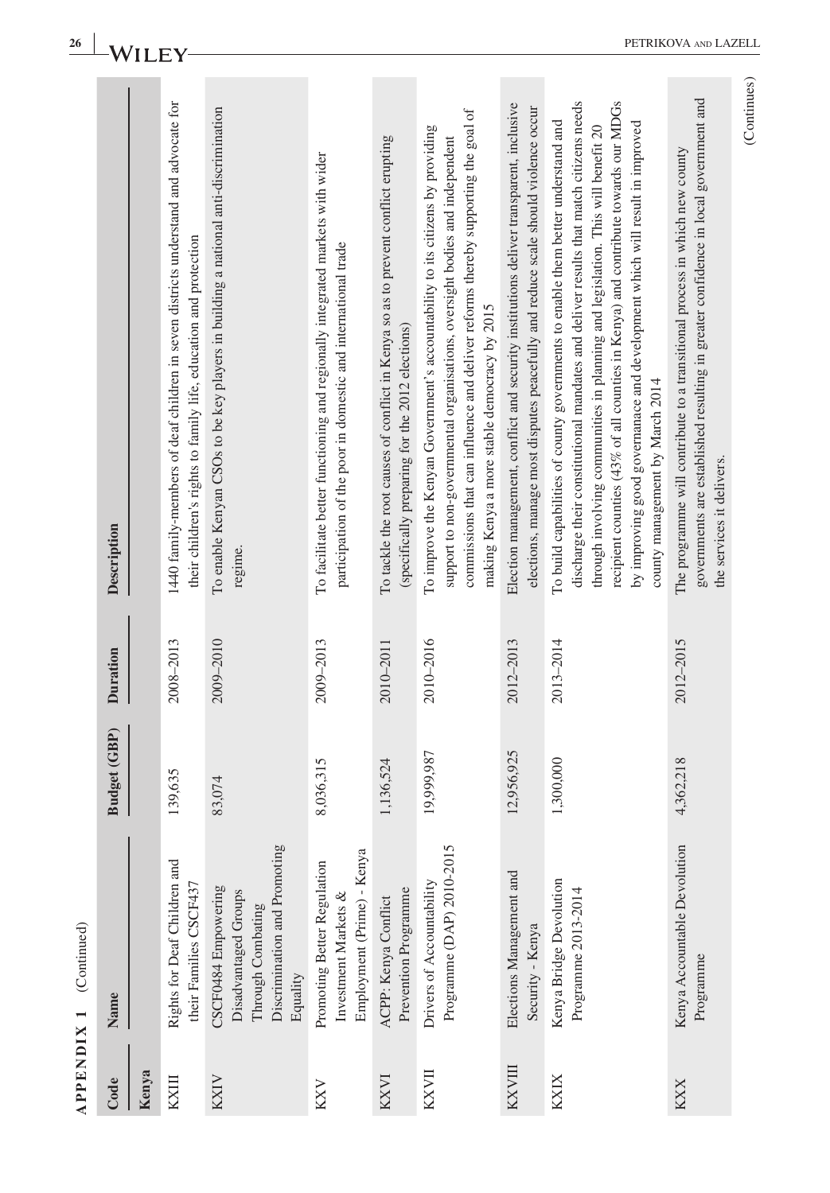| <b>APPENDIX 1</b> | (Continued)                                                                                                  |              |                 |                                                                                                                                                                                                                                                                                                                                                                                                                                                                     |
|-------------------|--------------------------------------------------------------------------------------------------------------|--------------|-----------------|---------------------------------------------------------------------------------------------------------------------------------------------------------------------------------------------------------------------------------------------------------------------------------------------------------------------------------------------------------------------------------------------------------------------------------------------------------------------|
| Code              | Name                                                                                                         | Budget (GBP) | <b>Duration</b> | Description                                                                                                                                                                                                                                                                                                                                                                                                                                                         |
| Kenya             |                                                                                                              |              |                 |                                                                                                                                                                                                                                                                                                                                                                                                                                                                     |
| KXIII             | Rights for Deaf Children and<br>their Families CSCF437                                                       | 139,635      | 2008-2013       | 1440 family-members of deaf children in seven districts understand and advocate for<br>their children's rights to family life, education and protection                                                                                                                                                                                                                                                                                                             |
| <b>KXIV</b>       | Discrimination and Promoting<br>CSCF0484 Empowering<br>Disadvantaged Groups<br>Through Combating<br>Equality | 83,074       | 2009-2010       | To enable Kenyan CSOs to be key players in building a national anti-discrimination<br>regime.                                                                                                                                                                                                                                                                                                                                                                       |
| KXV               | Employment (Prime) - Kenya<br>Promoting Better Regulation<br>Investment Markets &                            | 8,036,315    | 2009-2013       | To facilitate better functioning and regionally integrated markets with wider<br>participation of the poor in domestic and international trade                                                                                                                                                                                                                                                                                                                      |
| KXVI              | Prevention Programme<br>ACPP: Kenya Conflict                                                                 | 1,136,524    | 2010-2011       | To tackle the root causes of conflict in Kenya so as to prevent conflict erupting<br>(specifically preparing for the 2012 elections)                                                                                                                                                                                                                                                                                                                                |
| <b>KXVII</b>      | Programme (DAP) 2010-2015<br>Drivers of Accountability                                                       | 19,999,987   | 2010-2016       | commissions that can influence and deliver reforms thereby supporting the goal of<br>To improve the Kenyan Government's accountability to its citizens by providing<br>support to non-governmental organisations, oversight bodies and independent<br>making Kenya a more stable democracy by 2015                                                                                                                                                                  |
| KXVIII            | Elections Management and<br>Security - Kenya                                                                 | 12,956,925   | 2012-2013       | Election management, conflict and security institutions deliver transparent, inclusive<br>elections, manage most disputes peacefully and reduce scale should violence occur                                                                                                                                                                                                                                                                                         |
| <b>KXIX</b>       | Kenya Bridge Devolution<br>Programme 2013-2014                                                               | 1,300,000    | 2013-2014       | recipient counties (43% of all counties in Kenya) and contribute towards our MDGs<br>discharge their constitutional mandates and deliver results that match citizens needs<br>To build capabilities of county governments to enable them better understand and<br>by improving good governanace and development which will result in improved<br>through involving communities in planning and legislation. This will benefit 20<br>county management by March 2014 |
| <b>KXX</b>        | Kenya Accountable Devolution<br>Programme                                                                    | 4,362,218    | 2012-2015       | governments are established resulting in greater confidence in local government and<br>The programme will contribute to a transitional process in which new county<br>the services it delivers.                                                                                                                                                                                                                                                                     |

(Continues)

(Continues)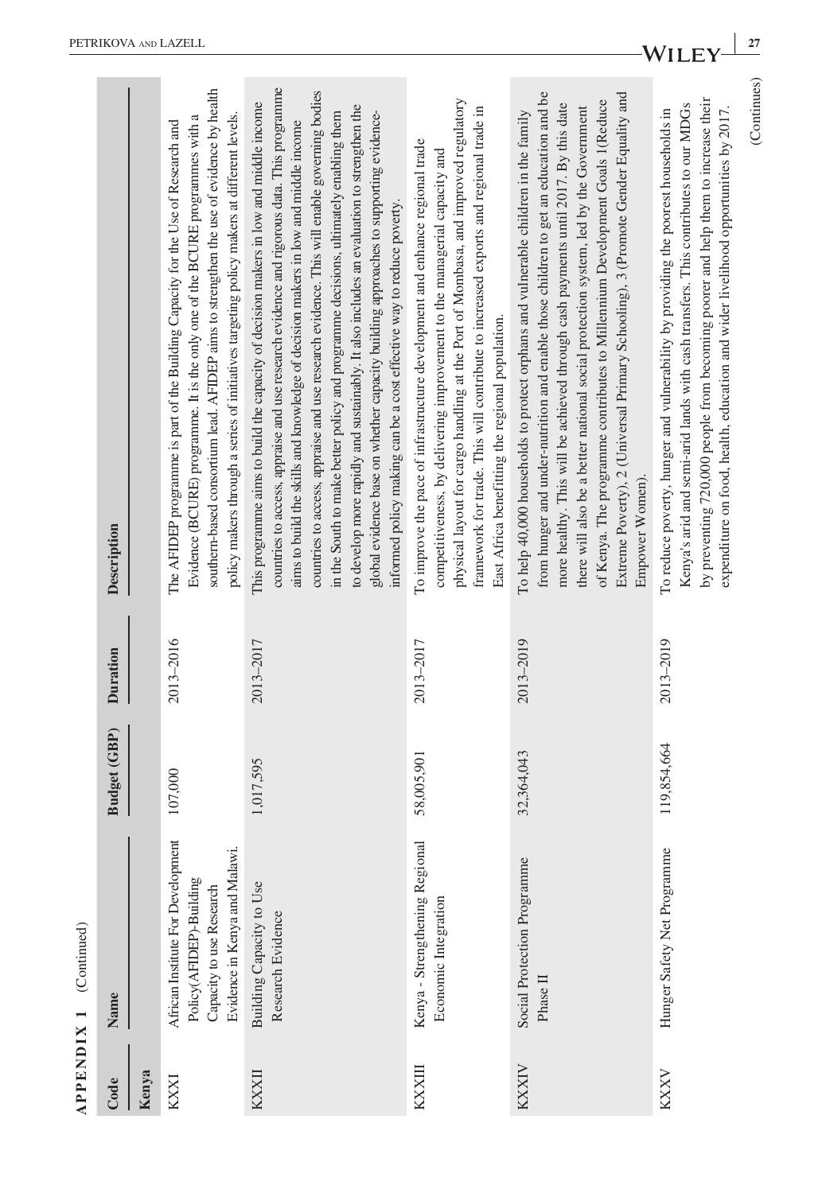|              | $APPENDIX 1$ (Continued)                                                                                                  |              |           |                                                                                                                                                                                                                                                                                                                                                                                                                                                                                                                                                                                                                                                                                                                             |
|--------------|---------------------------------------------------------------------------------------------------------------------------|--------------|-----------|-----------------------------------------------------------------------------------------------------------------------------------------------------------------------------------------------------------------------------------------------------------------------------------------------------------------------------------------------------------------------------------------------------------------------------------------------------------------------------------------------------------------------------------------------------------------------------------------------------------------------------------------------------------------------------------------------------------------------------|
| Code         | Name                                                                                                                      | Budget (GBP) | Duration  | Description                                                                                                                                                                                                                                                                                                                                                                                                                                                                                                                                                                                                                                                                                                                 |
| Kenya        |                                                                                                                           |              |           |                                                                                                                                                                                                                                                                                                                                                                                                                                                                                                                                                                                                                                                                                                                             |
| KXXI         | African Institute For Development<br>Evidence in Kenya and Malawi.<br>Policy(AFIDEP)-Building<br>Capacity to use Research | 107,000      | 2013-2016 | southern-based consortium lead. AFIDEP aims to strengthen the use of evidence by health<br>policy makers through a series of initiatives targeting policy makers at different levels.<br>Evidence (BCURE) programme. It is the only one of the BCURE programmes with a<br>The AFIDEP programme is part of the Building Capacity for the Use of Research and                                                                                                                                                                                                                                                                                                                                                                 |
| <b>KXXII</b> | Building Capacity to Use<br>Research Evidence                                                                             | 1,017,595    | 2013-2017 | countries to access, appraise and use research evidence and rigorous data. This programme<br>countries to access, appraise and use research evidence. This will enable governing bodies<br>This programme aims to build the capacity of decision makers in low and middle income<br>to develop more rapidly and sustainably. It also includes an evaluation to strengthen the<br>global evidence base on whether capacity building approaches to supporting evidence-<br>in the South to make better policy and programme decisions, ultimately enabling them<br>aims to build the skills and knowledge of decision makers in low and middle income<br>informed policy making can be a cost effective way to reduce poverty |
| KXXIII       | Kenya - Strengthening Regional<br>Economic Integration                                                                    | 58,005,901   | 2013-2017 | physical layout for cargo handling at the Port of Mombasa, and improved regulatory<br>framework for trade. This will contribute to increased exports and regional trade in<br>To improve the pace of infrastructure development and enhance regional trade<br>competitiveness, by delivering improvement to the managerial capacity and<br>East Africa benefitting the regional population.                                                                                                                                                                                                                                                                                                                                 |
| <b>KXXIV</b> | Social Protection Programme<br>Phase II                                                                                   | 32,364,043   | 2013-2019 | Extreme Poverty), 2 (Universal Primary Schooling), 3 (Promote Gender Equality and<br>from hunger and under-nutrition and enable those children to get an education and be<br>of Kenya. The programme contributes to Millennium Development Goals 1(Reduce<br>more healthy. This will be achieved through cash payments until 2017. By this date<br>there will also be a better national social protection system, led by the Government<br>To help 40,000 households to protect orphans and vulnerable children in the family<br>Empower Women).                                                                                                                                                                            |
| <b>KXXV</b>  | Hunger Safety Net Programme                                                                                               | 119,854,664  | 2013-2019 | (Continues)<br>by preventing 720,000 people from becoming poorer and help them to increase their<br>Kenya's arid and semi-arid lands with cash transfers. This contributes to our MDGs<br>expenditure on food, health, education and wider livelihood opportunities by 2017.<br>To reduce poverty, hunger and vulnerability by providing the poorest households in                                                                                                                                                                                                                                                                                                                                                          |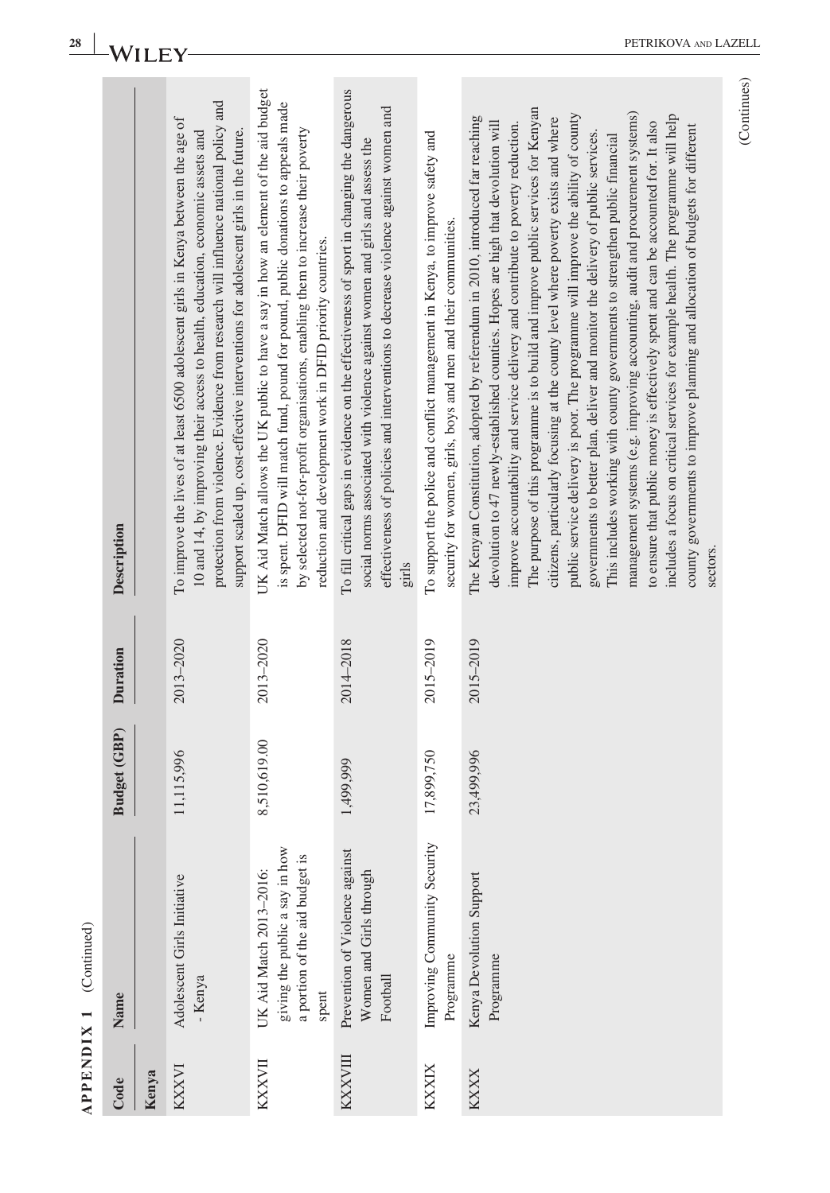| 28                     | Wı              |       |                                                                                                                                                                                                                                                                                                                                                    |                                                                                                                                                                                                                                                                                                                             |                                                                                                                                                                                                                                                                          |                                                                                                                                                 | PETRIKOVA AND LAZEL                                                                                                                                                                                                                                                                                                                                                                                                                                                                                                                                                                                                                                                                                                                                                                                                                                                                                                                                                                                                                                  |             |
|------------------------|-----------------|-------|----------------------------------------------------------------------------------------------------------------------------------------------------------------------------------------------------------------------------------------------------------------------------------------------------------------------------------------------------|-----------------------------------------------------------------------------------------------------------------------------------------------------------------------------------------------------------------------------------------------------------------------------------------------------------------------------|--------------------------------------------------------------------------------------------------------------------------------------------------------------------------------------------------------------------------------------------------------------------------|-------------------------------------------------------------------------------------------------------------------------------------------------|------------------------------------------------------------------------------------------------------------------------------------------------------------------------------------------------------------------------------------------------------------------------------------------------------------------------------------------------------------------------------------------------------------------------------------------------------------------------------------------------------------------------------------------------------------------------------------------------------------------------------------------------------------------------------------------------------------------------------------------------------------------------------------------------------------------------------------------------------------------------------------------------------------------------------------------------------------------------------------------------------------------------------------------------------|-------------|
|                        | Description     |       | protection from violence. Evidence from research will influence national policy and<br>To improve the lives of at least 6500 adolescent girls in Kenya between the age of<br>support scaled up, cost-effective interventions for adolescent girls in the future.<br>10 and 14, by improving their access to health, education, economic assets and | UK Aid Match allows the UK public to have a say in how an element of the aid budget<br>is spent. DFID will match fund, pound for pound, public donations to appeals made<br>by selected not-for-profit organisations, enabling them to increase their poverty<br>reduction and development work in DFID priority countries. | To fill critical gaps in evidence on the effectiveness of sport in changing the dangerous<br>effectiveness of policies and interventions to decrease violence against women and<br>social norms associated with violence against women and girls and assess the<br>girls | To support the police and conflict management in Kenya, to improve safety and<br>security for women, girls, boys and men and their communities. | The purpose of this programme is to build and improve public services for Kenyan<br>management systems (e.g. improving accounting, audit and procurement systems)<br>public service delivery is poor. The programme will improve the ability of county<br>includes a focus on critical services for example health. The programme will help<br>The Kenyan Constitution, adopted by referendum in 2010, introduced far reaching<br>citizens, particularly focusing at the county level where poverty exists and where<br>to ensure that public money is effectively spent and can be accounted for. It also<br>devolution to 47 newly-established counties. Hopes are high that devolution will<br>improve accountability and service delivery and contribute to poverty reduction.<br>county governments to improve planning and allocation of budgets for different<br>governments to better plan, deliver and monitor the delivery of public services.<br>This includes working with county governments to strengthen public financial<br>sectors. | (Continues) |
|                        | <b>Duration</b> |       | 2013-2020                                                                                                                                                                                                                                                                                                                                          | 2013-2020                                                                                                                                                                                                                                                                                                                   | 2014-2018                                                                                                                                                                                                                                                                | 2015-2019                                                                                                                                       | 2015-2019                                                                                                                                                                                                                                                                                                                                                                                                                                                                                                                                                                                                                                                                                                                                                                                                                                                                                                                                                                                                                                            |             |
|                        | Budget (GBP)    |       | 11,115,996                                                                                                                                                                                                                                                                                                                                         | 8,510,619.00                                                                                                                                                                                                                                                                                                                | 1,499,999                                                                                                                                                                                                                                                                | 17,899,750                                                                                                                                      | 23,499,996                                                                                                                                                                                                                                                                                                                                                                                                                                                                                                                                                                                                                                                                                                                                                                                                                                                                                                                                                                                                                                           |             |
| APPENDIX 1 (Continued) | Name            |       | Adolescent Girls Initiative<br>- Kenya                                                                                                                                                                                                                                                                                                             | giving the public a say in how<br>a portion of the aid budget is<br>UK Aid Match 2013-2016:<br>spent                                                                                                                                                                                                                        | Prevention of Violence against<br>Women and Girls through<br>Football                                                                                                                                                                                                    | Improving Community Security<br>Programme                                                                                                       | Kenya Devolution Support<br>Programme                                                                                                                                                                                                                                                                                                                                                                                                                                                                                                                                                                                                                                                                                                                                                                                                                                                                                                                                                                                                                |             |
|                        | Code            | Kenya | KXXVI                                                                                                                                                                                                                                                                                                                                              | KXXVII                                                                                                                                                                                                                                                                                                                      | <b>KXXVIII</b>                                                                                                                                                                                                                                                           | KXXIX                                                                                                                                           | <b>KXXX</b>                                                                                                                                                                                                                                                                                                                                                                                                                                                                                                                                                                                                                                                                                                                                                                                                                                                                                                                                                                                                                                          |             |

PETRIKOVA AND LAZELL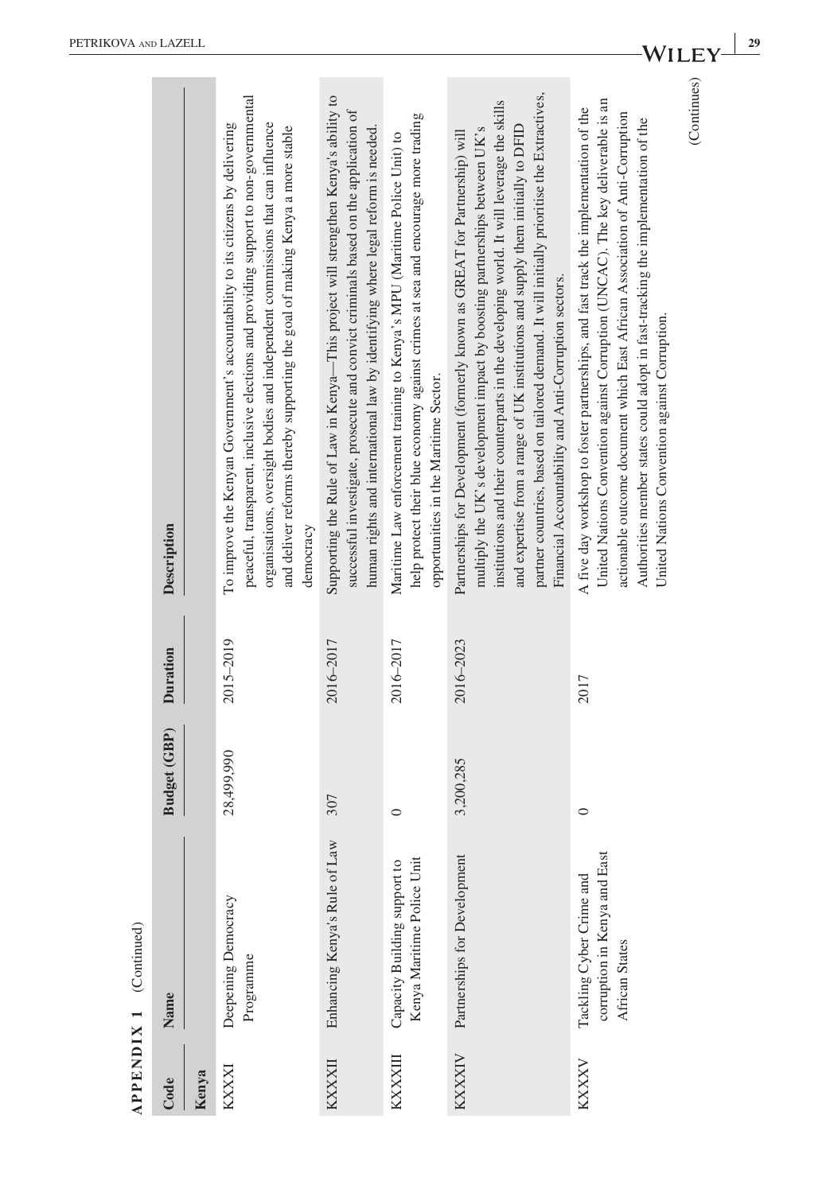| <b>ARTIST</b>            |
|--------------------------|
| Commman,                 |
|                          |
| $\overline{\phantom{0}}$ |
| $\overline{\text{IN}}$   |
|                          |
| END                      |
| $\mathbf{P}[\mathbf{P}]$ |
|                          |

|          | $APPENDIX 1$ (Continued)                                                   |              |           |                                                                                                                                                                                                                                                                                                                                                                                                                                                                                                 |
|----------|----------------------------------------------------------------------------|--------------|-----------|-------------------------------------------------------------------------------------------------------------------------------------------------------------------------------------------------------------------------------------------------------------------------------------------------------------------------------------------------------------------------------------------------------------------------------------------------------------------------------------------------|
| Code     | Name                                                                       | Budget (GBP) | Duration  | Description                                                                                                                                                                                                                                                                                                                                                                                                                                                                                     |
| Kenya    |                                                                            |              |           |                                                                                                                                                                                                                                                                                                                                                                                                                                                                                                 |
| KXXXI    | Deepening Democracy<br>Programme                                           | 28,499,990   | 2015-2019 | peaceful, transparent, inclusive elections and providing support to non-governmental<br>organisations, oversight bodies and independent commissions that can influence<br>To improve the Kenyan Government's accountability to its citizens by delivering<br>and deliver reforms thereby supporting the goal of making Kenya a more stable<br>democracy                                                                                                                                         |
| KXXXII   | Enhancing Kenya's Rule of Law                                              | 307          | 2016-2017 | Supporting the Rule of Law in Kenya-This project will strengthen Kenya's ability to<br>successful investigate, prosecute and convict criminals based on the application of<br>human rights and international law by identifying where legal reform is needed.                                                                                                                                                                                                                                   |
| KXXXXIII | Kenya Maritime Police Unit<br>Capacity Building support to                 | $\circ$      | 2016-2017 | help protect their blue economy against crimes at sea and encourage more trading<br>Maritime Law enforcement training to Kenya's MPU (Maritime Police Unit) to<br>opportunities in the Maritime Sector.                                                                                                                                                                                                                                                                                         |
| KXXXIV   | Partnerships for Development                                               | 3,200,285    | 2016-2023 | partner countries, based on tailored demand. It will initially prioritise the Extractives,<br>institutions and their counterparts in the developing world. It will leverage the skills<br>and expertise from a range of UK institutions and supply them initially to DFID<br>multiply the UK's development impact by boosting partnerships between UK's<br>Partnerships for Development (formerly known as GREAT for Partnership) will<br>Financial Accountability and Anti-Corruption sectors. |
| KXXXV    | corruption in Kenya and East<br>Tackling Cyber Crime and<br>African States | $\circ$      | 2017      | United Nations Convention against Corruption (UNCAC). The key deliverable is an<br>A five day workshop to foster partnerships, and fast track the implementation of the<br>actionable outcome document which East African Association of Anti-Corruption<br>Authorities member states could adopt in fast-tracking the implementation of the<br>United Nations Convention against Corruption.                                                                                                   |
|          |                                                                            |              |           | (Continues)                                                                                                                                                                                                                                                                                                                                                                                                                                                                                     |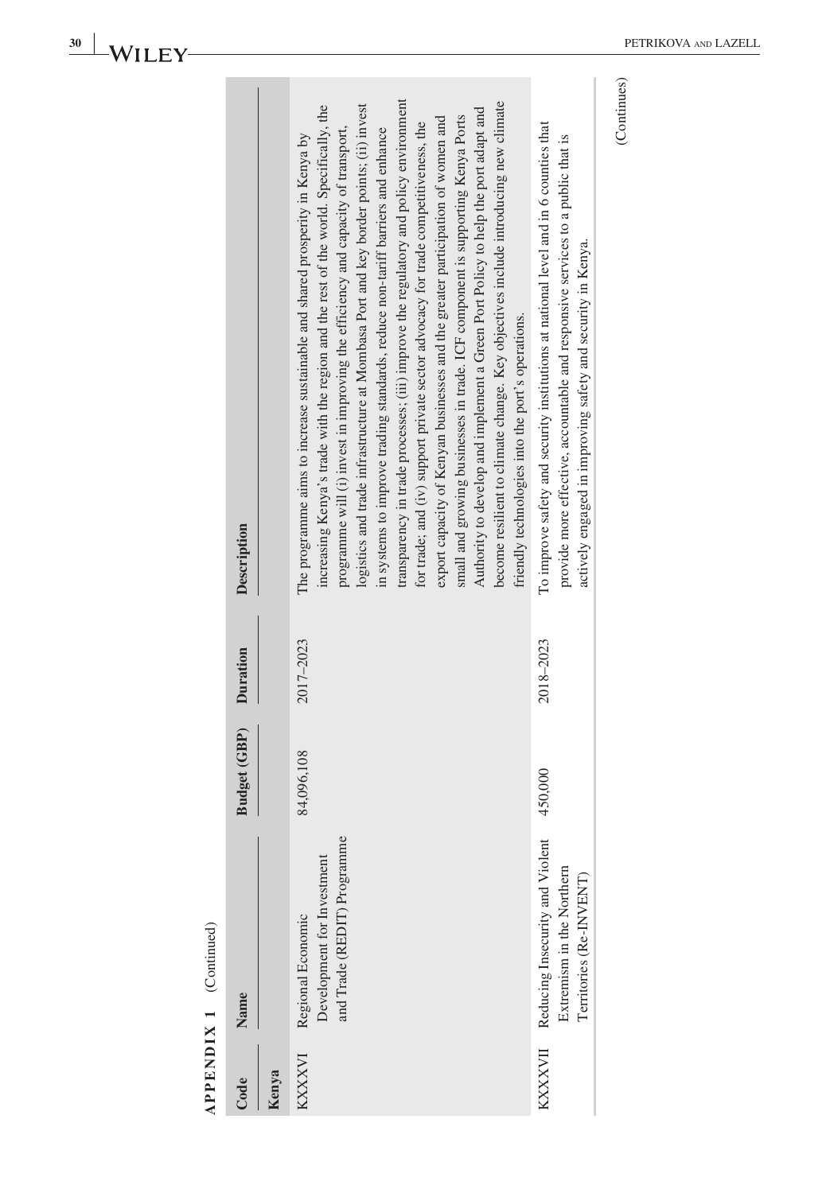|        | APPENDIX 1 (Continued)                                                                          |              |           |                                                                                                                                                                                                                                                                                                                                                                                                                                                                                                                                                                                                                                                                                                                                                                                                                                                                                                                                                                                                                          |
|--------|-------------------------------------------------------------------------------------------------|--------------|-----------|--------------------------------------------------------------------------------------------------------------------------------------------------------------------------------------------------------------------------------------------------------------------------------------------------------------------------------------------------------------------------------------------------------------------------------------------------------------------------------------------------------------------------------------------------------------------------------------------------------------------------------------------------------------------------------------------------------------------------------------------------------------------------------------------------------------------------------------------------------------------------------------------------------------------------------------------------------------------------------------------------------------------------|
| Code   | Name                                                                                            | Budget (GBP) | Duration  | Description                                                                                                                                                                                                                                                                                                                                                                                                                                                                                                                                                                                                                                                                                                                                                                                                                                                                                                                                                                                                              |
| Kenya  |                                                                                                 |              |           |                                                                                                                                                                                                                                                                                                                                                                                                                                                                                                                                                                                                                                                                                                                                                                                                                                                                                                                                                                                                                          |
| KXXXVI | and Trade (REDIT) Programme<br>Development for Investment<br>Regional Economic                  | 84,096,108   | 2017-2023 | transparency in trade processes; (iii) improve the regulatory and policy environment<br>become resilient to climate change. Key objectives include introducing new climate<br>increasing Kenya's trade with the region and the rest of the world. Specifically, the<br>logistics and trade infrastructure at Mombasa Port and key border points; (ii) invest<br>Authority to develop and implement a Green Port Policy to help the port adapt and<br>small and growing businesses in trade. ICF component is supporting Kenya Ports<br>export capacity of Kenyan businesses and the greater participation of women and<br>for trade; and (iv) support private sector advocacy for trade competitiveness, the<br>programme will (i) invest in improving the efficiency and capacity of transport,<br>in systems to improve trading standards, reduce non-tariff barriers and enhance<br>The programme aims to increase sustainable and shared prosperity in Kenya by<br>friendly technologies into the port's operations. |
|        | KXXXVII Reducing Insecurity and Violent<br>Extremism in the Northern<br>Territories (Re-INVENT) | 450,000      | 2018-2023 | To improve safety and security institutions at national level and in 6 counties that<br>provide more effective, accountable and responsive services to a public that is<br>actively engaged in improving safety and security in Kenya.                                                                                                                                                                                                                                                                                                                                                                                                                                                                                                                                                                                                                                                                                                                                                                                   |
|        |                                                                                                 |              |           |                                                                                                                                                                                                                                                                                                                                                                                                                                                                                                                                                                                                                                                                                                                                                                                                                                                                                                                                                                                                                          |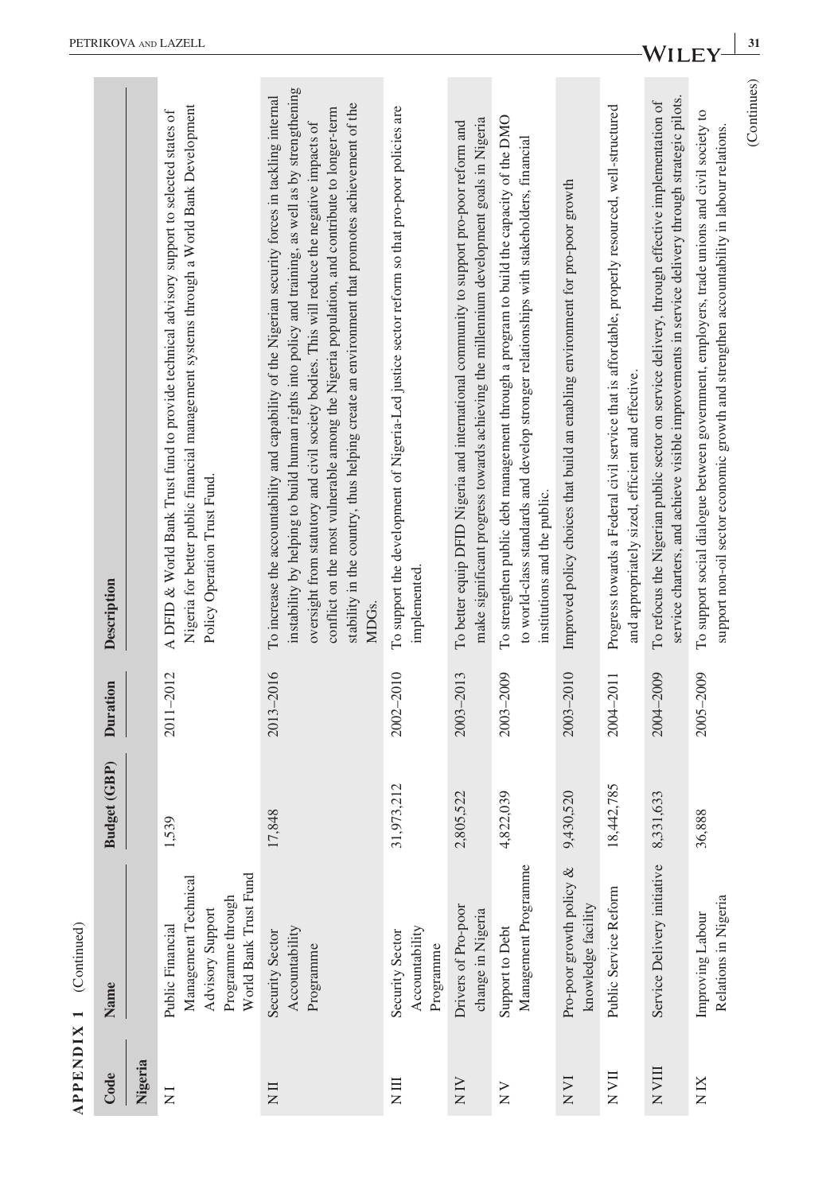|                   | <b>APPENDIX 1</b> (Continued)                                                                              |                           |           |                                                                                                                                                                                                                                                                                                                                                                                                                                                                                                                             |
|-------------------|------------------------------------------------------------------------------------------------------------|---------------------------|-----------|-----------------------------------------------------------------------------------------------------------------------------------------------------------------------------------------------------------------------------------------------------------------------------------------------------------------------------------------------------------------------------------------------------------------------------------------------------------------------------------------------------------------------------|
| Code              | Name                                                                                                       | Budget (GBP)              | Duration  | Description                                                                                                                                                                                                                                                                                                                                                                                                                                                                                                                 |
| Nigeria           |                                                                                                            |                           |           |                                                                                                                                                                                                                                                                                                                                                                                                                                                                                                                             |
| $\overline{z}$    | World Bank Trust Fund<br>Management Technical<br>Programme through<br>Advisory Support<br>Public Financial | 1,539                     | 2011-2012 | Nigeria for better public financial management systems through a World Bank Development<br>A DFID & World Bank Trust fund to provide technical advisory support to selected states of<br>Policy Operation Trust Fund.                                                                                                                                                                                                                                                                                                       |
| $\overline{N}$ II | Accountability<br>Security Sector<br>Programme                                                             | 7,848                     | 2013-2016 | instability by helping to build human rights into policy and training, as well as by strengthening<br>To increase the accountability and capability of the Nigerian security forces in tackling internal<br>stability in the country, thus helping create an environment that promotes achievement of the<br>conflict on the most vulnerable among the Nigeria population, and contribute to longer-term<br>oversight from statutory and civil society bodies. This will reduce the negative impacts of<br>MDG <sub>S</sub> |
| $\Xi$             | Accountability<br>Security Sector<br>Programme                                                             | 31,973,212                | 2002-2010 | To support the development of Nigeria-Led justice sector reform so that pro-poor policies are<br>implemented.                                                                                                                                                                                                                                                                                                                                                                                                               |
| $\frac{N}{N}$     | Drivers of Pro-poor<br>change in Nigeria                                                                   | 805,522<br>$\mathfrak{g}$ | 2003-2013 | make significant progress towards achieving the millemium development goals in Nigeria<br>To better equip DFID Nigeria and international community to support pro-poor reform and                                                                                                                                                                                                                                                                                                                                           |
| $\frac{1}{N}$     | Management Programme<br>Support to Debt                                                                    | 822,039<br>4              | 2003-2009 | To strengthen public debt management through a program to build the capacity of the DMO<br>to world-class standards and develop stronger relationships with stakeholders, financial<br>institutions and the public.                                                                                                                                                                                                                                                                                                         |
| N <sub>VI</sub>   | Pro-poor growth policy &<br>knowledge facility                                                             | 9,430,520                 | 2003-2010 | Improved policy choices that build an enabling environment for pro-poor growth                                                                                                                                                                                                                                                                                                                                                                                                                                              |
| $\rm N\,VII$      | Public Service Reform                                                                                      | 18,442,785                | 2004-2011 | Progress towards a Federal civil service that is affordable, properly resourced, well-structured<br>and appropriately sized, efficient and effective.                                                                                                                                                                                                                                                                                                                                                                       |
| N VIII            | Service Delivery initiative                                                                                | ,331,633<br>$\infty$      | 2004-2009 | service charters, and achieve visible improvements in service delivery through strategic pilots.<br>To refocus the Nigerian public sector on service delivery, through effective implementation of                                                                                                                                                                                                                                                                                                                          |
| N IX              | Relations in Nigeria<br>Improving Labour                                                                   | 36,888                    | 2005-2009 | To support social dialogue between government, employers, trade unions and civil society to<br>support non-oil sector economic growth and strengthen accountability in labour relations.                                                                                                                                                                                                                                                                                                                                    |
|                   |                                                                                                            |                           |           | (Continues)                                                                                                                                                                                                                                                                                                                                                                                                                                                                                                                 |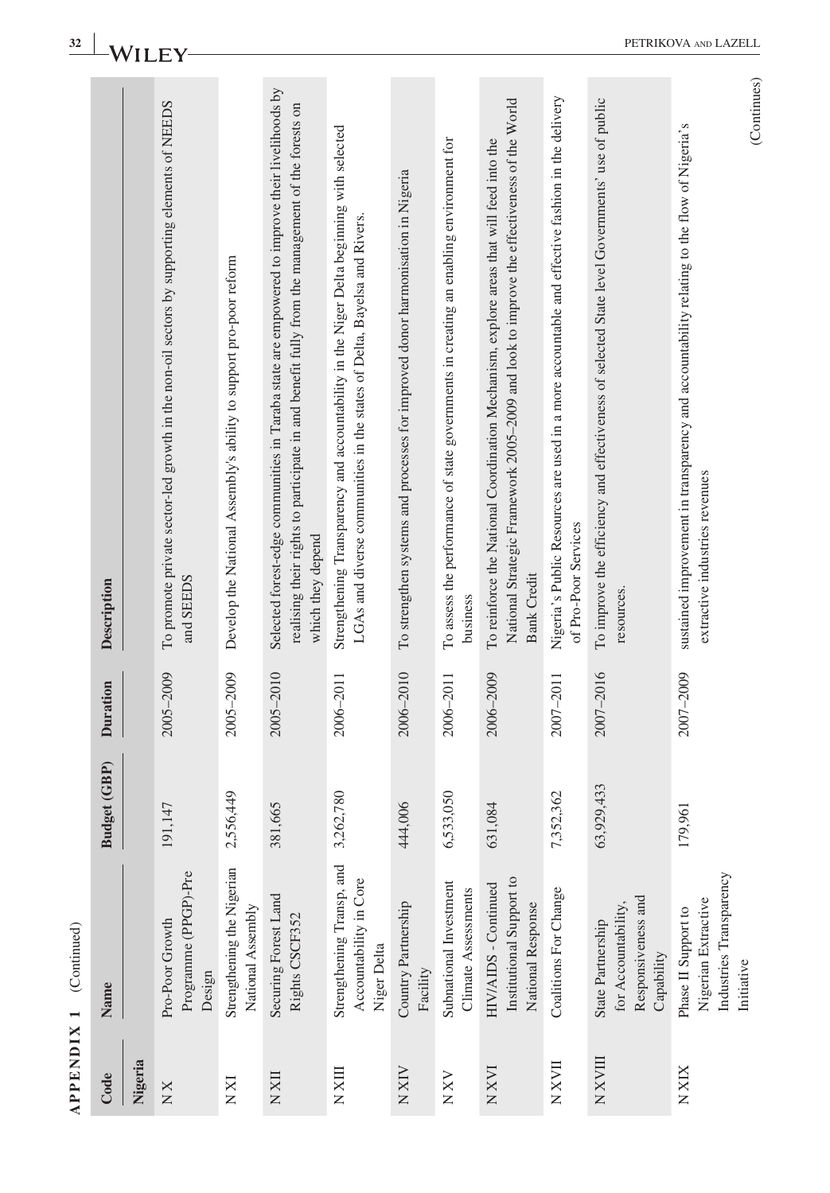| <b>APPENDIX 1</b> | (Continued)                                                                         |                |                 |                                                                                                                                                                                                                         |  |
|-------------------|-------------------------------------------------------------------------------------|----------------|-----------------|-------------------------------------------------------------------------------------------------------------------------------------------------------------------------------------------------------------------------|--|
| Code              | Name                                                                                | Budget (GBP)   | <b>Duration</b> | Description                                                                                                                                                                                                             |  |
| Nigeria           |                                                                                     |                |                 |                                                                                                                                                                                                                         |  |
| $\times N$        | Programme (PPGP)-Pre<br>Pro-Poor Growth<br>Design                                   | 147<br>191.    | 2005-2009       | To promote private sector-led growth in the non-oil sectors by supporting elements of NEEDS<br>and SEEDS                                                                                                                |  |
| <b>IXX</b>        | Strengthening the Nigerian<br>National Assembly                                     | 2,556,449      | 2005-2009       | Develop the National Assembly's ability to support pro-poor reform                                                                                                                                                      |  |
| $N X \amalg$      | Securing Forest Land<br>Rights CSCF352                                              | 381,665        | 2005-2010       | Selected forest-edge communities in Taraba state are empowered to improve their livelihoods by<br>realising their rights to participate in and benefit fully from the management of the forests on<br>which they depend |  |
| N XIII            | Strengthening Transp, and<br>Accountability in Core<br>Niger Delta                  | 52,780<br>3,26 | 2006-2011       | Strengthening Transparency and accountability in the Niger Delta beginning with selected<br>LGAs and diverse communities in the states of Delta, Bayelsa and Rivers.                                                    |  |
| N XIV             | Country Partnership<br>Facility                                                     | ,006<br>444.   | 2006-2010       | To strengthen systems and processes for improved donor harmonisation in Nigeria                                                                                                                                         |  |
| N X V             | Subnational Investment<br>Climate Assessments                                       | 6,533,050      | 2006-2011       | To assess the performance of state governments in creating an enabling environment for<br>business                                                                                                                      |  |
| <b>NXVI</b>       | Institutional Support to<br>HIV/AIDS - Continued<br>National Response               | ,084<br>631.   | 2006-2009       | National Strategic Framework 2005-2009 and look to improve the effectiveness of the World<br>To reinforce the National Coordination Mechanism, explore areas that will feed into the<br><b>Bank Credit</b>              |  |
| NXVII             | Coalitions For Change                                                               | 7,352,362      | 2007-2011       | Nigeria's Public Resources are used in a more accountable and effective fashion in the delivery<br>of Pro-Poor Services                                                                                                 |  |
| NXVIII            | Responsiveness and<br>for Accountability,<br>State Partnership<br>Capability        | 63,929,433     | 2007-2016       | To improve the efficiency and effectiveness of selected State level Governments' use of public<br>resources.                                                                                                            |  |
| N XIX             | Industries Transparency<br>Nigerian Extractive<br>Phase II Support to<br>Initiative | 961<br>179     | 2007-2009       | (Continues)<br>sustained improvement in transparency and accountability relating to the flow of Nigeria's<br>extractive industries revenues                                                                             |  |

**APPENDIX 1** (Continued) $\overline{a}$ Š J, **DDENDIV**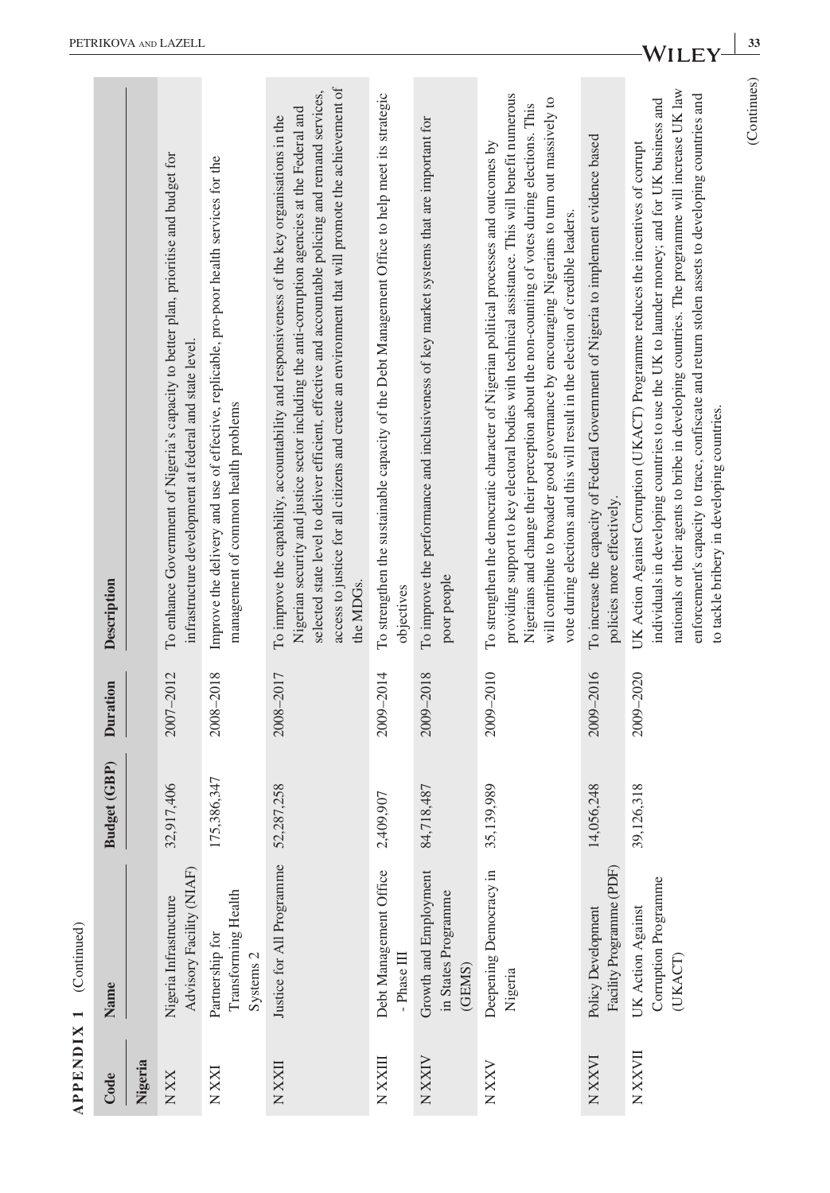|               | $APPENDIX 1$ (Continued)                                       |              |                 |                                                                                                                                                                                                                                                                                                                                                                                                                                                                              |
|---------------|----------------------------------------------------------------|--------------|-----------------|------------------------------------------------------------------------------------------------------------------------------------------------------------------------------------------------------------------------------------------------------------------------------------------------------------------------------------------------------------------------------------------------------------------------------------------------------------------------------|
| Code          | Name                                                           | Budget (GBP) | <b>Duration</b> | Description                                                                                                                                                                                                                                                                                                                                                                                                                                                                  |
| Nigeria       |                                                                |              |                 |                                                                                                                                                                                                                                                                                                                                                                                                                                                                              |
| <b>XX</b> N   | Advisory Facility (NIAF)<br>Nigeria Infrastructure             | 32,917,406   | 2007-2012       | To enhance Government of Nigeria's capacity to better plan, prioritise and budget for<br>infrastructure development at federal and state level.                                                                                                                                                                                                                                                                                                                              |
| <b>NXXI</b>   | Transforming Health<br>Partnership for<br>Systems <sub>2</sub> | 175,386,347  | 2008-2018       | Improve the delivery and use of effective, replicable, pro-poor health services for the<br>management of common health problems                                                                                                                                                                                                                                                                                                                                              |
| <b>NXXII</b>  | Justice for All Programme                                      | 52,287,258   | 2008-2017       | access to justice for all citizens and create an environment that will promote the achievement of<br>selected state level to deliver efficient, effective and accountable policing and remand services,<br>Nigerian security and justice sector including the anti-corruption agencies at the Federal and<br>To improve the capability, accountability and responsiveness of the key organisations in the<br>the MDGs.                                                       |
| NXXIII        | Debt Management Office<br>- Phase III                          | 2,409,907    | 2009-2014       | To strengthen the sustainable capacity of the Debt Management Office to help meet its strategic<br>objectives                                                                                                                                                                                                                                                                                                                                                                |
| NXXIV         | Growth and Employment<br>in States Programme<br>(GEMS)         | 84,718,487   | 2009-2018       | To improve the performance and inclusiveness of key market systems that are important for<br>poor people                                                                                                                                                                                                                                                                                                                                                                     |
| N XXV         | Deepening Democracy in<br>Nigeria                              | 35,139,989   | 2009-2010       | providing support to key electoral bodies with technical assistance. This will benefit numerous<br>will contribute to broader good governance by encouraging Nigerians to turn out massively to<br>Nigerians and change their perception about the non-counting of votes during elections. This<br>To strengthen the democratic character of Nigerian political processes and outcomes by<br>vote during elections and this will result in the election of credible leaders. |
| <b>NXXVI</b>  | Facility Programme (PDF)<br>Policy Development                 | 14,056,248   | 2009-2016       | To increase the capacity of Federal Government of Nigeria to implement evidence based<br>policies more effectively.                                                                                                                                                                                                                                                                                                                                                          |
| <b>NXXVII</b> | Corruption Programme<br>UK Action Against<br><b>UKACT</b>      | 39,126,318   | 2009-2020       | nationals or their agents to bribe in developing countries. The programme will increase UK law<br>enforcement's capacity to trace, confiscate and return stolen assets to developing countries and<br>individuals in developing countries to use the UK to launder money; and for UK business and<br>UK Action Against Corruption (UKACT) Programme reduces the incentives of corrupt<br>to tackle bribery in developing countries.                                          |
|               |                                                                |              |                 | (Continues)                                                                                                                                                                                                                                                                                                                                                                                                                                                                  |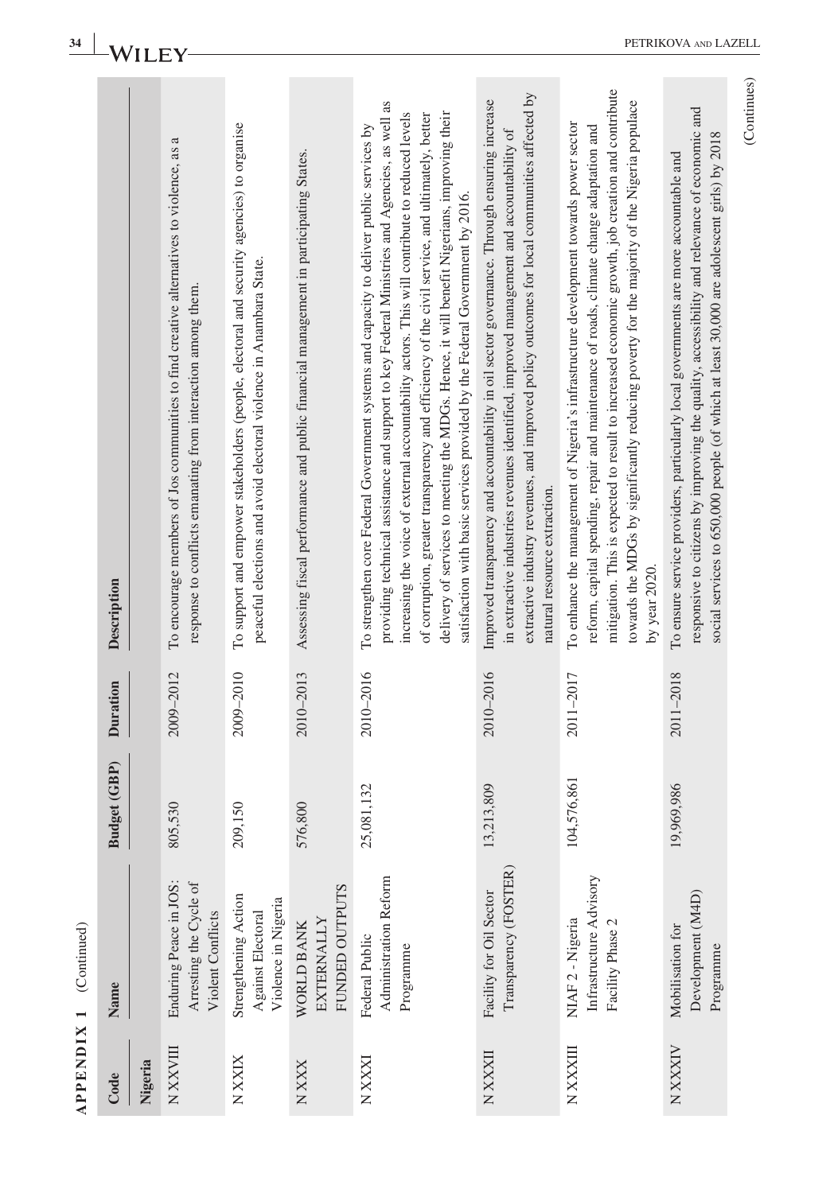|                | Description         |         | To encourage members of Jos communities to find creative alternatives to violence, as a<br>response to conflicts emanating from interaction among them. | To support and empower stakeholders (people, electoral and security agencies) to organise<br>peaceful elections and avoid electoral violence in Anambara State. | Assessing fiscal performance and public financial management in participating States. | providing technical assistance and support to key Federal Ministries and Agencies, as well as<br>delivery of services to meeting the MDGs. Hence, it will benefit Nigerians, improving their<br>increasing the voice of external accountability actors. This will contribute to reduced levels<br>of corruption, greater transparency and efficiency of the civil service, and ultimately, better<br>To strengthen core Federal Government systems and capacity to deliver public services by<br>satisfaction with basic services provided by the Federal Government by 2016. | extractive industry revenues, and improved policy outcomes for local communities affected by<br>Improved transparency and accountability in oil sector governance. Through ensuring increase<br>in extractive industries revenues identified, improved management and accountability of<br>natural resource extraction. | mitigation. This is expected to result to increased economic growth, job creation and contribute<br>towards the MDGs by significantly reducing poverty for the majority of the Nigeria populace<br>To enhance the management of Nigeria's infrastructure development towards power sector<br>reform, capital spending, repair and maintenance of roads, climate change adaptation and<br>by year $2020$ . | responsive to citizens by improving the quality, accessibility and relevance of economic and<br>social services to 650,000 people (of which at least 30,000 are adolescent girls) by 2018<br>To ensure service providers, particularly local governments are more accountable and | (Continues) |
|----------------|---------------------|---------|---------------------------------------------------------------------------------------------------------------------------------------------------------|-----------------------------------------------------------------------------------------------------------------------------------------------------------------|---------------------------------------------------------------------------------------|-------------------------------------------------------------------------------------------------------------------------------------------------------------------------------------------------------------------------------------------------------------------------------------------------------------------------------------------------------------------------------------------------------------------------------------------------------------------------------------------------------------------------------------------------------------------------------|-------------------------------------------------------------------------------------------------------------------------------------------------------------------------------------------------------------------------------------------------------------------------------------------------------------------------|-----------------------------------------------------------------------------------------------------------------------------------------------------------------------------------------------------------------------------------------------------------------------------------------------------------------------------------------------------------------------------------------------------------|-----------------------------------------------------------------------------------------------------------------------------------------------------------------------------------------------------------------------------------------------------------------------------------|-------------|
|                | <b>Duration</b>     |         | 2009-2012                                                                                                                                               | 2009-2010                                                                                                                                                       | 2010-2013                                                                             | 2010-2016                                                                                                                                                                                                                                                                                                                                                                                                                                                                                                                                                                     | 2010-2016                                                                                                                                                                                                                                                                                                               | 2011-2017                                                                                                                                                                                                                                                                                                                                                                                                 | 2011-2018                                                                                                                                                                                                                                                                         |             |
|                | <b>Budget (GBP)</b> |         | 805,530                                                                                                                                                 | 209,150                                                                                                                                                         | 576,800                                                                               | 25,081,132                                                                                                                                                                                                                                                                                                                                                                                                                                                                                                                                                                    | 3,213,809                                                                                                                                                                                                                                                                                                               | 04,576,861                                                                                                                                                                                                                                                                                                                                                                                                | 9,969,986                                                                                                                                                                                                                                                                         |             |
| (Command)      | Name                |         | Enduring Peace in JOS:<br>Arresting the Cycle of<br>Violent Conflicts                                                                                   | Strengthening Action<br>Violence in Nigeria<br>Against Electoral                                                                                                | FUNDED OUTPUTS<br><b>EXTERNALLY</b><br>WORLD BANK                                     | Administration Reform<br>Federal Public<br>Programme                                                                                                                                                                                                                                                                                                                                                                                                                                                                                                                          | Transparency (FOSTER)<br>Facility for Oil Sector                                                                                                                                                                                                                                                                        | Infrastructure Advisory<br>NIAF 2 - Nigeria<br>Facility Phase 2                                                                                                                                                                                                                                                                                                                                           | Development (M4D)<br>Mobilisation for<br>Programme                                                                                                                                                                                                                                |             |
| $\overline{1}$ | Code                | Nigeria | <b>NXXXIII</b>                                                                                                                                          | N XXIX                                                                                                                                                          | N XXX                                                                                 | <b>NXXXI</b>                                                                                                                                                                                                                                                                                                                                                                                                                                                                                                                                                                  | <b>NXXXII</b>                                                                                                                                                                                                                                                                                                           | N XXXIII                                                                                                                                                                                                                                                                                                                                                                                                  | N XXXIV                                                                                                                                                                                                                                                                           |             |

 $APPENDIX 1$  (Continued) **APPENDIX 1** (Continued)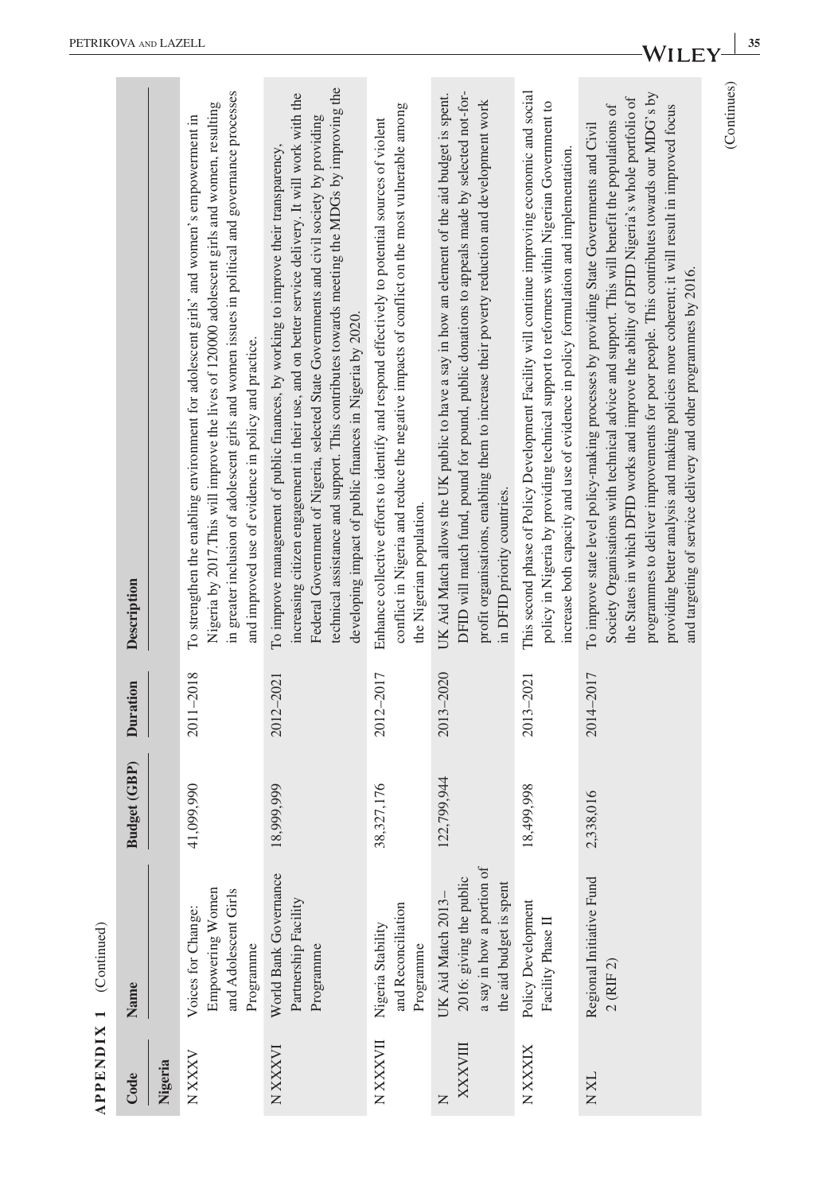| itinu<br>(Continu     |
|-----------------------|
| ۹                     |
| ×<br>⊣                |
| $\blacksquare$<br>NH. |
| PF.                   |
| ï                     |

|                     |             | in greater inclusion of adolescent girls and women issues in political and governance processes<br>Nigeria by 2017. This will improve the lives of 120000 adolescent girls and women, resulting<br>and improved use of evidence in policy and practice. | technical assistance and support. This contributes towards meeting the MDGs by improving the<br>increasing citizen engagement in their use, and on better service delivery. It will work with the<br>Federal Government of Nigeria, selected State Governments and civil society by providing<br>developing impact of public finances in Nigeria by 2020. | conflict in Nigeria and reduce the negative impacts of conflict on the most vulnerable among<br>the Nigerian population. | DFID will match fund, pound for pound, public donations to appeals made by selected not-for-<br>profit organisations, enabling them to increase their poverty reduction and development work<br>in DFID priority countries. | policy in Nigeria by providing technical support to reformers within Nigerian Government to<br>increase both capacity and use of evidence in policy formulation and implementation. | programmes to deliver improvements for poor people. This contributes towards our MDG's by<br>the States in which DFID works and improve the ability of DFID Nigeria's whole portfolio of<br>providing better analysis and making policies more coherent; it will result in improved focus<br>Society Organisations with technical advice and support. This will benefit the populations of<br>and targeting of service delivery and other programmes by 2016. | (Continues)                                                                             |
|---------------------|-------------|---------------------------------------------------------------------------------------------------------------------------------------------------------------------------------------------------------------------------------------------------------|-----------------------------------------------------------------------------------------------------------------------------------------------------------------------------------------------------------------------------------------------------------------------------------------------------------------------------------------------------------|--------------------------------------------------------------------------------------------------------------------------|-----------------------------------------------------------------------------------------------------------------------------------------------------------------------------------------------------------------------------|-------------------------------------------------------------------------------------------------------------------------------------------------------------------------------------|---------------------------------------------------------------------------------------------------------------------------------------------------------------------------------------------------------------------------------------------------------------------------------------------------------------------------------------------------------------------------------------------------------------------------------------------------------------|-----------------------------------------------------------------------------------------|
| Duration            |             | 2011-2018                                                                                                                                                                                                                                               | 2012-2021                                                                                                                                                                                                                                                                                                                                                 | 2012-2017                                                                                                                | 2013-2020                                                                                                                                                                                                                   | 2013-2021                                                                                                                                                                           | 2014-2017                                                                                                                                                                                                                                                                                                                                                                                                                                                     |                                                                                         |
| <b>Sudget (GBP)</b> |             | 41,099,990                                                                                                                                                                                                                                              | 8,999,999                                                                                                                                                                                                                                                                                                                                                 | 8,327,176<br>m                                                                                                           | 22,799,944                                                                                                                                                                                                                  | 8,499,998                                                                                                                                                                           | 2,338,016                                                                                                                                                                                                                                                                                                                                                                                                                                                     |                                                                                         |
| Name                |             | Empowering Women<br>and Adolescent Girls<br>Voices for Change:<br>Programme                                                                                                                                                                             | World Bank Governance<br>Partnership Facility<br>Programme                                                                                                                                                                                                                                                                                                | and Reconciliation<br>Nigeria Stability<br>Programme                                                                     | a say in how a portion of<br>2016: giving the public<br>the aid budget is spent<br>UK Aid Match 2013-                                                                                                                       | Policy Development<br>Facility Phase II                                                                                                                                             | Regional Initiative Fund<br>2 (RIF 2)                                                                                                                                                                                                                                                                                                                                                                                                                         |                                                                                         |
| Code                | Nigeria     | N XXXV                                                                                                                                                                                                                                                  | N XXXVI                                                                                                                                                                                                                                                                                                                                                   | <b>NXXXVII</b>                                                                                                           | XXXXVIII<br>$\square$                                                                                                                                                                                                       | N XXXIX                                                                                                                                                                             | <b>NXL</b>                                                                                                                                                                                                                                                                                                                                                                                                                                                    |                                                                                         |
|                     | Description |                                                                                                                                                                                                                                                         | To strengthen the enabling environment for adolescent girls' and women's empowerment in                                                                                                                                                                                                                                                                   | To improve management of public finances, by working to improve their transparency,                                      | Enhance collective efforts to identify and respond effectively to potential sources of violent                                                                                                                              | UK Aid Match allows the UK public to have a say in how an element of the aid budget is spent.                                                                                       | This second phase of Policy Development Facility will continue improving economic and social                                                                                                                                                                                                                                                                                                                                                                  | To improve state level policy-making processes by providing State Governments and Civil |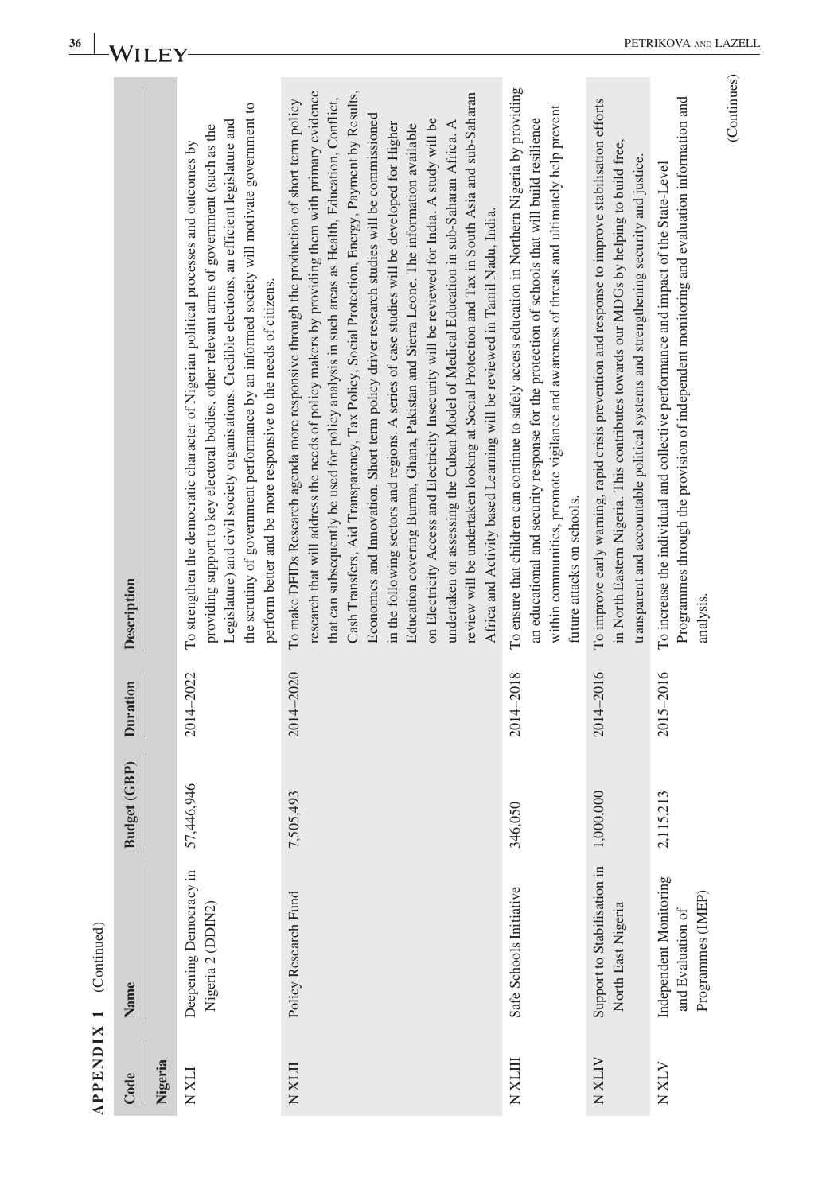|                   | Description<br><b>Duration</b><br><b>Budget (GBP)</b> |         | the scrutiny of government performance by an informed society will motivate government to<br>Legislature) and civil society organisations. Credible elections, an efficient legislature and<br>providing support to key electoral bodies, other relevant arms of government (such as the<br>To strengthen the democratic character of Nigerian political processes and outcomes by<br>perform better and be more responsive to the needs of citizens.<br>2014-2022<br>57,446,946 | research that will address the needs of policy makers by providing them with primary evidence<br>Cash Transfers, Aid Transparency, Tax Policy, Social Protection, Energy, Payment by Results,<br>review will be undertaken looking at Social Protection and Tax in South Asia and sub-Saharan<br>that can subsequently be used for policy analysis in such areas as Health, Education, Conflict,<br>To make DFIDs Research agenda more responsive through the production of short term policy<br>Economics and Innovation. Short term policy driver research studies will be commissioned<br>on Electricity Access and Electricity Insecurity will be reviewed for India. A study will be<br>in the following sectors and regions. A series of case studies will be developed for Higher<br>undertaken on assessing the Cuban Model of Medical Education in sub-Saharan Africa. A<br>Education covering Burma, Ghana, Pakistan and Sierra Leone. The information available<br>Africa and Activity based Learning will be reviewed in Tamil Nadu, India.<br>2014-2020<br>7,505,493 | To ensure that children can continue to safely access education in Northern Nigeria by providing<br>within communities, promote vigilance and awareness of threats and ultimately help prevent<br>an educational and security response for the protection of schools that will build resilience<br>future attacks on schools.<br>2014-2018 | To improve early warning, rapid crisis prevention and response to improve stabilisation efforts<br>in North Eastern Nigeria. This contributes towards our MDGs by helping to build free,<br>transparent and accountable political systems and strengthening security and justice.<br>2014-2016<br>1,000,000 | Programmes through the provision of independent monitoring and evaluation information and<br>To increase the individual and collective performance and impact of the State-Level<br>analysis.<br>2015-2016<br>2,115,213 |
|-------------------|-------------------------------------------------------|---------|----------------------------------------------------------------------------------------------------------------------------------------------------------------------------------------------------------------------------------------------------------------------------------------------------------------------------------------------------------------------------------------------------------------------------------------------------------------------------------|-----------------------------------------------------------------------------------------------------------------------------------------------------------------------------------------------------------------------------------------------------------------------------------------------------------------------------------------------------------------------------------------------------------------------------------------------------------------------------------------------------------------------------------------------------------------------------------------------------------------------------------------------------------------------------------------------------------------------------------------------------------------------------------------------------------------------------------------------------------------------------------------------------------------------------------------------------------------------------------------------------------------------------------------------------------------------------------|--------------------------------------------------------------------------------------------------------------------------------------------------------------------------------------------------------------------------------------------------------------------------------------------------------------------------------------------|-------------------------------------------------------------------------------------------------------------------------------------------------------------------------------------------------------------------------------------------------------------------------------------------------------------|-------------------------------------------------------------------------------------------------------------------------------------------------------------------------------------------------------------------------|
|                   |                                                       |         |                                                                                                                                                                                                                                                                                                                                                                                                                                                                                  |                                                                                                                                                                                                                                                                                                                                                                                                                                                                                                                                                                                                                                                                                                                                                                                                                                                                                                                                                                                                                                                                                   | 346,050                                                                                                                                                                                                                                                                                                                                    |                                                                                                                                                                                                                                                                                                             |                                                                                                                                                                                                                         |
| (Continued)       | Name                                                  |         | Deepening Democracy in<br>Nigeria 2 (DDIN2)                                                                                                                                                                                                                                                                                                                                                                                                                                      | Policy Research Fund                                                                                                                                                                                                                                                                                                                                                                                                                                                                                                                                                                                                                                                                                                                                                                                                                                                                                                                                                                                                                                                              | Safe Schools Initiative                                                                                                                                                                                                                                                                                                                    | Support to Stabilisation in<br>North East Nigeria                                                                                                                                                                                                                                                           | Independent Monitoring<br>Programmes (IMEP)<br>and Evaluation of                                                                                                                                                        |
| <b>APPENDIX 1</b> | Code                                                  | Nigeria | <b>NXLI</b>                                                                                                                                                                                                                                                                                                                                                                                                                                                                      | <b>NXLII</b>                                                                                                                                                                                                                                                                                                                                                                                                                                                                                                                                                                                                                                                                                                                                                                                                                                                                                                                                                                                                                                                                      | NXLII                                                                                                                                                                                                                                                                                                                                      | <b>NXXIV</b>                                                                                                                                                                                                                                                                                                | <b>NXX</b>                                                                                                                                                                                                              |

PETRIKOVA AND LAZELL

**36** WILEY-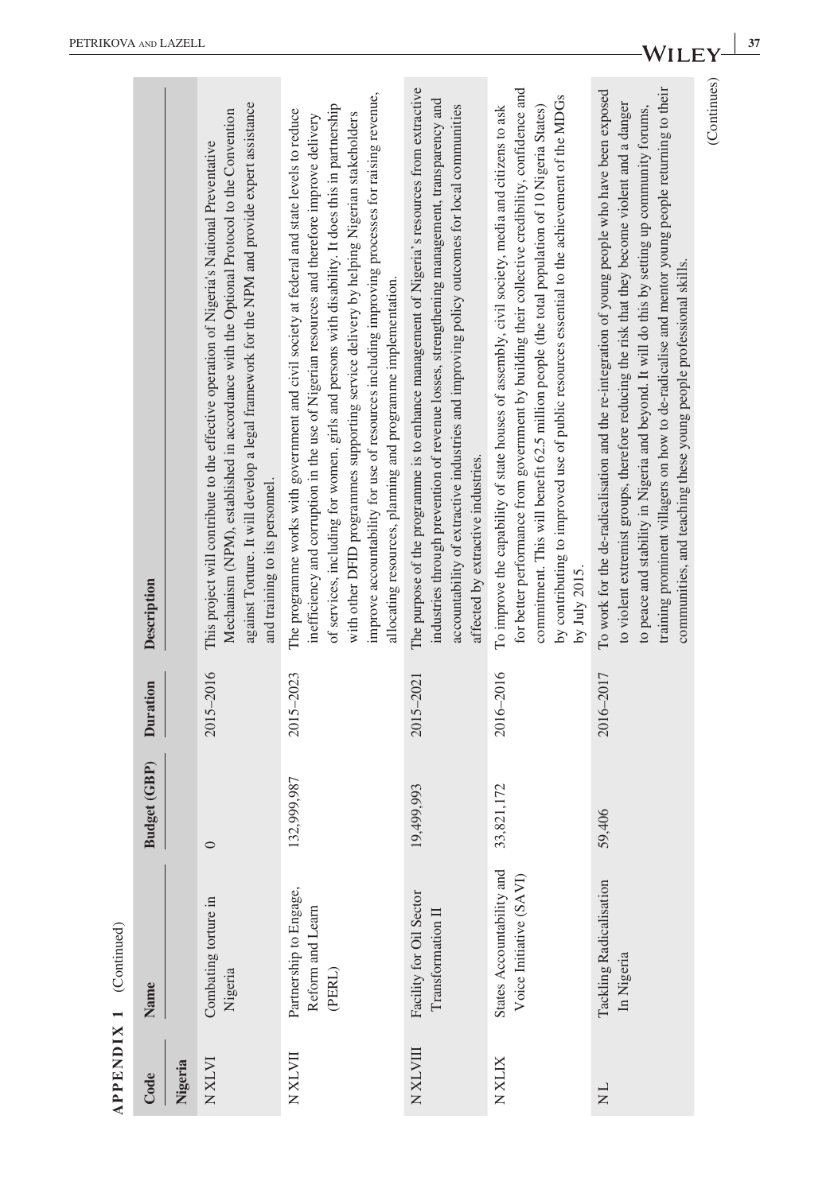| ţ            |
|--------------|
| ×            |
|              |
|              |
| $\mathbf{r}$ |
|              |
| 7<br>Ę       |
| Œ            |
| ≏            |
| ≃            |

|                        |                     |         | against Torture. It will develop a legal framework for the NPM and provide expert assistance<br>Mechanism (NPM), established in accordance with the Optional Protocol to the Convention<br>This project will contribute to the effective operation of Nigeria's National Preventative<br>and training to its personnel. | improve accountability for use of resources including improving processes for raising revenue,<br>of services, including for women, girls and persons with disability. It does this in partnership<br>The programme works with government and civil society at federal and state levels to reduce<br>with other DFID programmes supporting service delivery by helping Nigerian stakeholders<br>inefficiency and corruption in the use of Nigerian resources and therefore improve delivery<br>allocating resources, planning and programme implementation. | The purpose of the programme is to enhance management of Nigeria's resources from extractive<br>industries through prevention of revenue losses, strengthening management, transparency and<br>accountability of extractive industries and improving policy outcomes for local communities<br>affected by extractive industries. | for better performance from government by building their collective credibility, confidence and<br>by contributing to improved use of public resources essential to the achievement of the MDGs<br>commitment. This will benefit 62.5 million people (the total population of 10 Nigeria States)<br>To improve the capability of state houses of assembly, civil society, media and citizens to ask<br>by July 2015. | training prominent villagers on how to de-radicalise and mentor young people returning to their<br>To work for the de-radicalisation and the re-integration of young people who have been exposed<br>to violent extremist groups, therefore reducing the risk that they become violent and a danger<br>to peace and stability in Nigeria and beyond. It will do this by setting up community forums,<br>communities, and teaching these young people professional skills. | (Continues) |
|------------------------|---------------------|---------|-------------------------------------------------------------------------------------------------------------------------------------------------------------------------------------------------------------------------------------------------------------------------------------------------------------------------|-------------------------------------------------------------------------------------------------------------------------------------------------------------------------------------------------------------------------------------------------------------------------------------------------------------------------------------------------------------------------------------------------------------------------------------------------------------------------------------------------------------------------------------------------------------|----------------------------------------------------------------------------------------------------------------------------------------------------------------------------------------------------------------------------------------------------------------------------------------------------------------------------------|----------------------------------------------------------------------------------------------------------------------------------------------------------------------------------------------------------------------------------------------------------------------------------------------------------------------------------------------------------------------------------------------------------------------|---------------------------------------------------------------------------------------------------------------------------------------------------------------------------------------------------------------------------------------------------------------------------------------------------------------------------------------------------------------------------------------------------------------------------------------------------------------------------|-------------|
|                        | Description         |         |                                                                                                                                                                                                                                                                                                                         |                                                                                                                                                                                                                                                                                                                                                                                                                                                                                                                                                             |                                                                                                                                                                                                                                                                                                                                  |                                                                                                                                                                                                                                                                                                                                                                                                                      |                                                                                                                                                                                                                                                                                                                                                                                                                                                                           |             |
|                        | <b>Duration</b>     |         | 2015-2016                                                                                                                                                                                                                                                                                                               | 2015-2023                                                                                                                                                                                                                                                                                                                                                                                                                                                                                                                                                   | 2015-2021                                                                                                                                                                                                                                                                                                                        | 2016-2016                                                                                                                                                                                                                                                                                                                                                                                                            | 2016-2017                                                                                                                                                                                                                                                                                                                                                                                                                                                                 |             |
|                        | <b>Budget (GBP)</b> |         | $\circ$                                                                                                                                                                                                                                                                                                                 | 32,999,987                                                                                                                                                                                                                                                                                                                                                                                                                                                                                                                                                  | 19,499,993                                                                                                                                                                                                                                                                                                                       | 33,821,172                                                                                                                                                                                                                                                                                                                                                                                                           | 59,406                                                                                                                                                                                                                                                                                                                                                                                                                                                                    |             |
| APPENDIX 1 (Continued) | Name                |         | Combating torture in<br>Nigeria                                                                                                                                                                                                                                                                                         | Partnership to Engage,<br>Reform and Learn<br>(PERL)                                                                                                                                                                                                                                                                                                                                                                                                                                                                                                        | Facility for Oil Sector<br>Transformation II                                                                                                                                                                                                                                                                                     | States Accountability and<br>Voice Initiative (SAVI)                                                                                                                                                                                                                                                                                                                                                                 | <b>Tackling Radicalisation</b><br>In Nigeria                                                                                                                                                                                                                                                                                                                                                                                                                              |             |
|                        | Code                | Nigeria | <b>NXLVI</b>                                                                                                                                                                                                                                                                                                            | <b>IIATX N</b>                                                                                                                                                                                                                                                                                                                                                                                                                                                                                                                                              | <b>NXLVIII</b>                                                                                                                                                                                                                                                                                                                   | <b>NXLIX</b>                                                                                                                                                                                                                                                                                                                                                                                                         | $\frac{1}{N}$                                                                                                                                                                                                                                                                                                                                                                                                                                                             |             |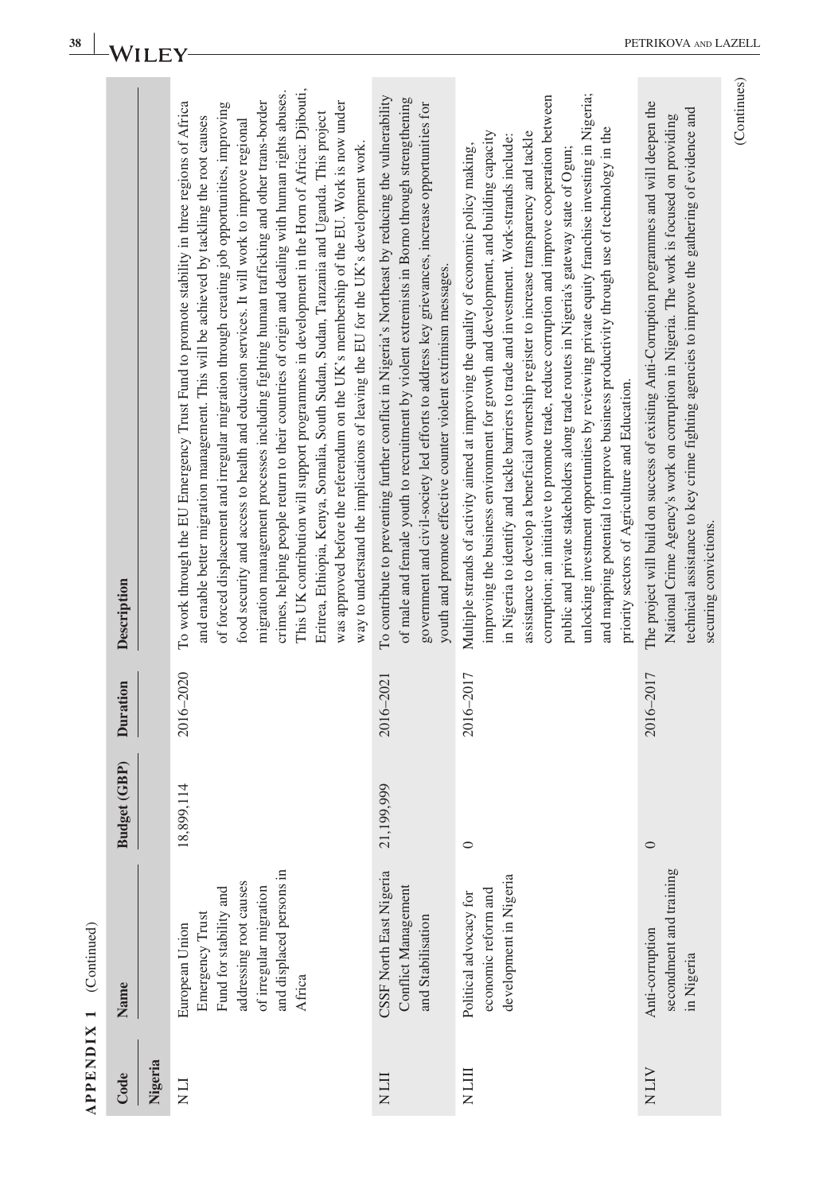| hiad<br>م<br>م                                   |  |
|--------------------------------------------------|--|
| ⊣                                                |  |
| ×<br>Ē<br>١<br>Ĩ,<br>2<br>띄<br>è<br>J.<br>≏<br>⋖ |  |

| Description<br><b>Duration</b><br><b>Budget (GBP)</b> | This UK contribution will support programmes in development in the Horn of Africa: Djibouti,<br>crimes, helping people return to their countries of origin and dealing with human rights abuses.<br>migration management processes including fighting human trafficking and other trans-border<br>was approved before the referendum on the UK's membership of the EU. Work is now under<br>To work through the EU Emergency Trust Fund to promote stability in three regions of Africa<br>of forced displacement and irregular migration through creating job opportunities, improving<br>Eritrea, Ethiopia, Kenya, Somalia, South Sudan, Sudan, Tanzania and Uganda. This project<br>and enable better migration management. This will be achieved by tackling the root causes<br>food security and access to health and education services. It will work to improve regional<br>way to understand the implications of leaving the EU for the UK's development work.<br>2016-2020<br>18,899,114 | To contribute to preventing further conflict in Nigeria's Northeast by reducing the vulnerability<br>of male and female youth to recruitment by violent extremists in Borno through strengthening<br>government and civil-society led efforts to address key grievances, increase opportunities for<br>youth and promote effective counter violent extrimism messages.<br>2016-2021<br>21,199,999 | unlooking investment opportunities by reviewing private equity franchise investing in Nigeria;<br>corruption; an initiative to promote trade, reduce corruption and improve cooperation between<br>and mapping potential to improve business productivity through use of technology in the<br>improving the business environment for growth and development, and building capacity<br>assistance to develop a beneficial ownership register to increase transparency and tackle<br>in Nigeria to identify and tackle barriers to trade and investment. Work-strands include:<br>Multiple strands of activity aimed at improving the quality of economic policy making,<br>public and private stakeholders along trade routes in Nigeria's gateway state of Ogun;<br>priority sectors of Agriculture and Education.<br>2016-2017<br>$\circ$ | The project will build on success of existing Anti-Corruption programmes and will deepen the<br>technical assistance to key crime fighting agencies to improve the gathering of evidence and<br>National Crime Agency's work on corruption in Nigeria. The work is focused on providing<br>2016-2017<br>$\circ$ |
|-------------------------------------------------------|---------------------------------------------------------------------------------------------------------------------------------------------------------------------------------------------------------------------------------------------------------------------------------------------------------------------------------------------------------------------------------------------------------------------------------------------------------------------------------------------------------------------------------------------------------------------------------------------------------------------------------------------------------------------------------------------------------------------------------------------------------------------------------------------------------------------------------------------------------------------------------------------------------------------------------------------------------------------------------------------------|---------------------------------------------------------------------------------------------------------------------------------------------------------------------------------------------------------------------------------------------------------------------------------------------------------------------------------------------------------------------------------------------------|--------------------------------------------------------------------------------------------------------------------------------------------------------------------------------------------------------------------------------------------------------------------------------------------------------------------------------------------------------------------------------------------------------------------------------------------------------------------------------------------------------------------------------------------------------------------------------------------------------------------------------------------------------------------------------------------------------------------------------------------------------------------------------------------------------------------------------------------|-----------------------------------------------------------------------------------------------------------------------------------------------------------------------------------------------------------------------------------------------------------------------------------------------------------------|
| Name                                                  | and displaced persons in<br>addressing root causes<br>Fund for stability and<br>of irregular migration<br>Emergency Trust<br>European Union<br>Africa                                                                                                                                                                                                                                                                                                                                                                                                                                                                                                                                                                                                                                                                                                                                                                                                                                             | CSSF North East Nigeria<br>Conflict Management<br>and Stabilisation                                                                                                                                                                                                                                                                                                                               | development in Nigeria<br>economic reform and<br>Political advocacy for                                                                                                                                                                                                                                                                                                                                                                                                                                                                                                                                                                                                                                                                                                                                                                    | secondment and training<br>Anti-corruption<br>in Nigeria                                                                                                                                                                                                                                                        |
| Nigeria<br>Code                                       | LIN                                                                                                                                                                                                                                                                                                                                                                                                                                                                                                                                                                                                                                                                                                                                                                                                                                                                                                                                                                                               | <b>ITIN</b>                                                                                                                                                                                                                                                                                                                                                                                       | N LII                                                                                                                                                                                                                                                                                                                                                                                                                                                                                                                                                                                                                                                                                                                                                                                                                                      | NLIV                                                                                                                                                                                                                                                                                                            |

(Continues)

 $(Continuous)$ 

**STATISTICS**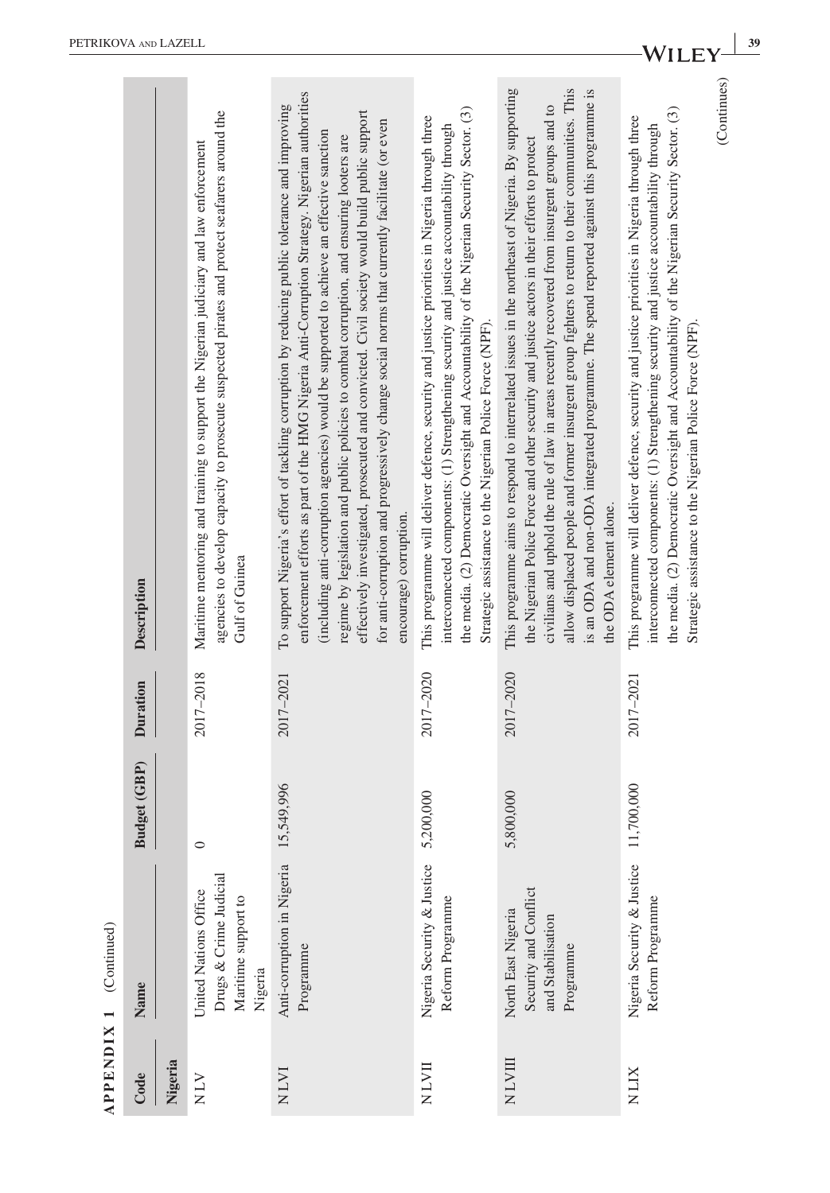|                          | Description     |         | agencies to develop capacity to prosecute suspected pirates and protect seafarers around the<br>Maritime mentoring and training to support the Nigerian judiciary and law enforcement<br>Gulf of Guinea | enforcement efforts as part of the HMG Nigeria Anti-Corruption Strategy. Nigerian authorities<br>To support Nigeria's effort of tackling corruption by reducing public tolerance and improving<br>effectively investigated, prosecuted and convicted. Civil society would build public support<br>for anti-corruption and progressively change social norms that currently facilitate (or even<br>(including anti-corruption agencies) would be supported to achieve an effective sanction<br>regime by legislation and public policies to combat corruption, and ensuring looters are<br>encourage) corruption. | the media. (2) Democratic Oversight and Accountability of the Nigerian Security Sector. (3)<br>This programme will deliver defence, security and justice priorities in Nigeria through three<br>interconnected components: (1) Strengthening security and justice accountability through<br>Strategic assistance to the Nigerian Police Force (NPF). | This programme aims to respond to interrelated issues in the northeast of Nigeria. By supporting<br>allow displaced people and former insurgent group fighters to return to their communities. This<br>is an ODA and non-ODA integrated programme. The spend reported against this programme is<br>civilians and uphold the rule of law in areas recently recovered from insurgent groups and to<br>the Nigerian Police Force and other security and justice actors in their efforts to protect<br>the ODA element alone. | (Continues)<br>the media. (2) Democratic Oversight and Accountability of the Nigerian Security Sector. (3)<br>This programme will deliver defence, security and justice priorities in Nigeria through three<br>interconnected components: (1) Strengthening security and justice accountability through<br>Strategic assistance to the Nigerian Police Force (NPF). |
|--------------------------|-----------------|---------|---------------------------------------------------------------------------------------------------------------------------------------------------------------------------------------------------------|------------------------------------------------------------------------------------------------------------------------------------------------------------------------------------------------------------------------------------------------------------------------------------------------------------------------------------------------------------------------------------------------------------------------------------------------------------------------------------------------------------------------------------------------------------------------------------------------------------------|------------------------------------------------------------------------------------------------------------------------------------------------------------------------------------------------------------------------------------------------------------------------------------------------------------------------------------------------------|---------------------------------------------------------------------------------------------------------------------------------------------------------------------------------------------------------------------------------------------------------------------------------------------------------------------------------------------------------------------------------------------------------------------------------------------------------------------------------------------------------------------------|---------------------------------------------------------------------------------------------------------------------------------------------------------------------------------------------------------------------------------------------------------------------------------------------------------------------------------------------------------------------|
|                          | <b>Duration</b> |         | 2017-2018                                                                                                                                                                                               | 2017-2021                                                                                                                                                                                                                                                                                                                                                                                                                                                                                                                                                                                                        | 2017-2020                                                                                                                                                                                                                                                                                                                                            | 2017-2020                                                                                                                                                                                                                                                                                                                                                                                                                                                                                                                 | 2017-2021                                                                                                                                                                                                                                                                                                                                                           |
|                          | Budget (GBP)    |         | $\circ$                                                                                                                                                                                                 | 15,549,996                                                                                                                                                                                                                                                                                                                                                                                                                                                                                                                                                                                                       | 5,200,000                                                                                                                                                                                                                                                                                                                                            | 800,000<br>5,                                                                                                                                                                                                                                                                                                                                                                                                                                                                                                             | ,700,000                                                                                                                                                                                                                                                                                                                                                            |
| $APPENDIX 1$ (Continued) | Name            |         | Drugs & Crime Judicial<br>United Nations Office<br>Maritime support to<br>Nigeria                                                                                                                       | Anti-corruption in Nigeria<br>Programme                                                                                                                                                                                                                                                                                                                                                                                                                                                                                                                                                                          | Nigeria Security & Justice<br>Reform Programme                                                                                                                                                                                                                                                                                                       | Security and Conflict<br>North East Nigeria<br>and Stabilisation<br>Programme                                                                                                                                                                                                                                                                                                                                                                                                                                             | Nigeria Security & Justice<br>Reform Programme                                                                                                                                                                                                                                                                                                                      |
|                          | Code            | Nigeria | NIV                                                                                                                                                                                                     | <b>NLVI</b>                                                                                                                                                                                                                                                                                                                                                                                                                                                                                                                                                                                                      | NLVII                                                                                                                                                                                                                                                                                                                                                | NLVIII                                                                                                                                                                                                                                                                                                                                                                                                                                                                                                                    | <b>XITN</b>                                                                                                                                                                                                                                                                                                                                                         |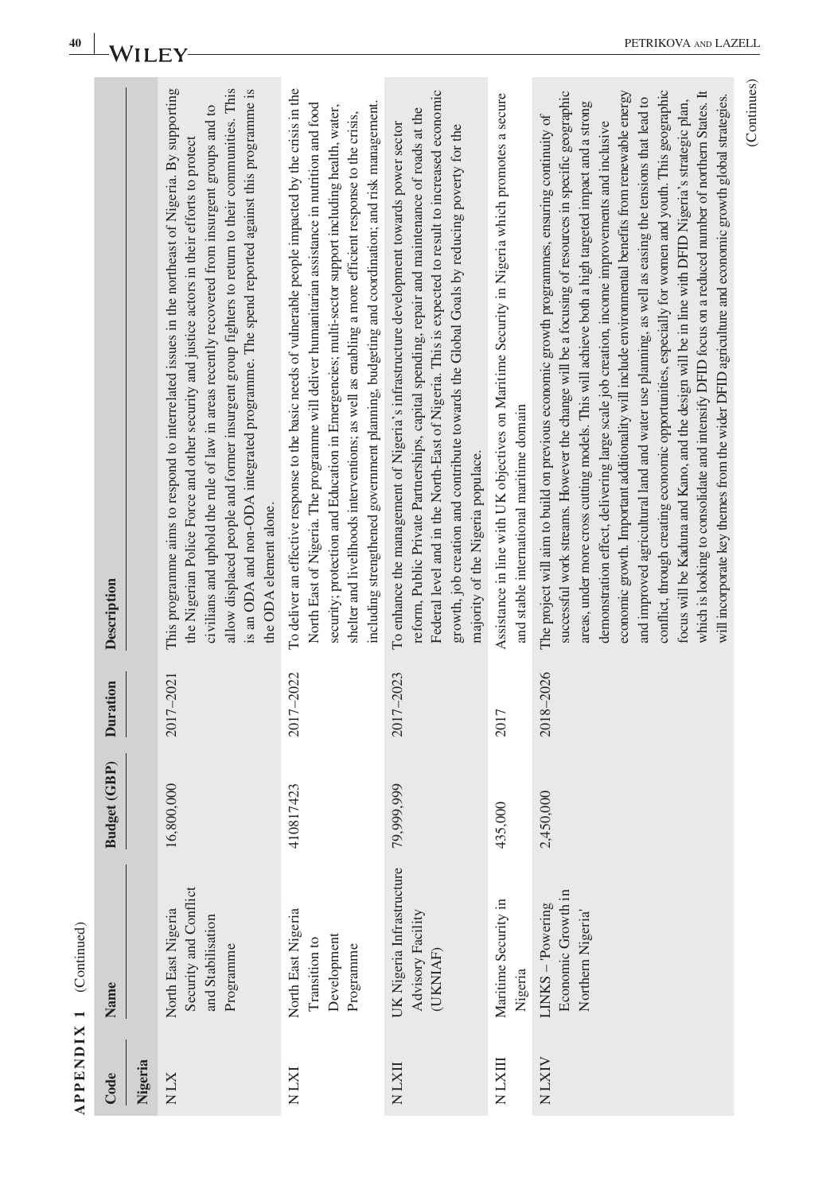| 40                | Wı                    |         |                                                                                                                                                                                                                                                                                                                                                                                                                                                                                                                           |                                                                                                                                                                                                                                                                                                                                                                                                                                                                                                                      |                                                                                                                                                                                                                                                                                                                                                                                                                              |                                                                                                                                           | PETRIKOVA AND LAZEI                                                                                                                                                                                                                                                                                                                                                                                                                                                                                                                                                                                                                                                                                                                                                                                                                                                                                                                                                                                                                          |
|-------------------|-----------------------|---------|---------------------------------------------------------------------------------------------------------------------------------------------------------------------------------------------------------------------------------------------------------------------------------------------------------------------------------------------------------------------------------------------------------------------------------------------------------------------------------------------------------------------------|----------------------------------------------------------------------------------------------------------------------------------------------------------------------------------------------------------------------------------------------------------------------------------------------------------------------------------------------------------------------------------------------------------------------------------------------------------------------------------------------------------------------|------------------------------------------------------------------------------------------------------------------------------------------------------------------------------------------------------------------------------------------------------------------------------------------------------------------------------------------------------------------------------------------------------------------------------|-------------------------------------------------------------------------------------------------------------------------------------------|----------------------------------------------------------------------------------------------------------------------------------------------------------------------------------------------------------------------------------------------------------------------------------------------------------------------------------------------------------------------------------------------------------------------------------------------------------------------------------------------------------------------------------------------------------------------------------------------------------------------------------------------------------------------------------------------------------------------------------------------------------------------------------------------------------------------------------------------------------------------------------------------------------------------------------------------------------------------------------------------------------------------------------------------|
|                   | Description           |         | This programme aims to respond to interrelated issues in the northeast of Nigeria. By supporting<br>allow displaced people and former insurgent group fighters to return to their communities. This<br>is an ODA and non-ODA integrated programme. The spend reported against this programme is<br>civilians and uphold the rule of law in areas recently recovered from insurgent groups and to<br>the Nigerian Police Force and other security and justice actors in their efforts to protect<br>the ODA element alone. | To deliver an effective response to the basic needs of vulnerable people impacted by the crisis in the<br>including strengthened government planning, budgeting and coordination; and risk management.<br>North East of Nigeria. The programme will deliver humanitarian assistance in nutrition and food<br>security; protection and Education in Emergencies; multi-sector support including health, water,<br>shelter and livelihoods interventions; as well as enabling a more efficient response to the crisis, | Federal level and in the North-East of Nigeria. This is expected to result to increased economic<br>reform, Public Private Partnerships, capital spending, repair and maintenance of roads at the<br>To enhance the management of Nigeria's infrastructure development towards power sector<br>growth, job creation and contribute towards the Global Goals by reducing poverty for the<br>majority of the Nigeria populace. | Assistance in line with UK objectives on Maritime Security in Nigeria which promotes a secure<br>and stable international maritime domain | conflict, through creating economic opportunities, especially for women and youth. This geographic<br>which is looking to consolidate and intensify DFID focus on a reduced number of northern States. It<br>successful work streams. However the change will be a focusing of resources in specific geographic<br>economic growth. Important additionality will include environmental benefits from renewable energy<br>will incorporate key themes from the wider DFID agriculture and economic growth global strategies.<br>and improved agricultural land and water use planning, as well as easing the tensions that lead to<br>focus will be Kaduna and Kano, and the design will be in line with DFID Nigeria's strategic plan,<br>areas, under more cross cutting models. This will achieve both a high targeted impact and a strong<br>The project will aim to build on previous economic growth programmes, ensuring continuity of<br>demonstration effect, delivering large scale job creation, income improvements and inclusive |
|                   | <b>Duration</b>       |         | 2017-2021                                                                                                                                                                                                                                                                                                                                                                                                                                                                                                                 | 2017-2022                                                                                                                                                                                                                                                                                                                                                                                                                                                                                                            | 2017-2023                                                                                                                                                                                                                                                                                                                                                                                                                    | 2017                                                                                                                                      | 2018-2026                                                                                                                                                                                                                                                                                                                                                                                                                                                                                                                                                                                                                                                                                                                                                                                                                                                                                                                                                                                                                                    |
|                   | GBP)<br><b>Budget</b> |         | 16,800,000                                                                                                                                                                                                                                                                                                                                                                                                                                                                                                                | 410817423                                                                                                                                                                                                                                                                                                                                                                                                                                                                                                            | 79,999,999                                                                                                                                                                                                                                                                                                                                                                                                                   | 435,000                                                                                                                                   | 2,450,000                                                                                                                                                                                                                                                                                                                                                                                                                                                                                                                                                                                                                                                                                                                                                                                                                                                                                                                                                                                                                                    |
| (Continued)       | Name                  |         | Security and Conflict<br>North East Nigeria<br>and Stabilisation<br>Programme                                                                                                                                                                                                                                                                                                                                                                                                                                             | North East Nigeria<br>Development<br>Transition to<br>Programme                                                                                                                                                                                                                                                                                                                                                                                                                                                      | UK Nigeria Infrastructure<br>Advisory Facility<br>(UKNIAF)                                                                                                                                                                                                                                                                                                                                                                   | Maritime Security in<br>Nigeria                                                                                                           | Economic Growth in<br>LINKS-Powering<br>Northern Nigeria                                                                                                                                                                                                                                                                                                                                                                                                                                                                                                                                                                                                                                                                                                                                                                                                                                                                                                                                                                                     |
| <b>APPENDIX 1</b> | Code                  | Nigeria | <b>NLX</b>                                                                                                                                                                                                                                                                                                                                                                                                                                                                                                                | <b>IXTN</b>                                                                                                                                                                                                                                                                                                                                                                                                                                                                                                          | NLXII                                                                                                                                                                                                                                                                                                                                                                                                                        | NLXIII                                                                                                                                    | <b>NLXIV</b>                                                                                                                                                                                                                                                                                                                                                                                                                                                                                                                                                                                                                                                                                                                                                                                                                                                                                                                                                                                                                                 |

PETRIKOVA AND LAZELL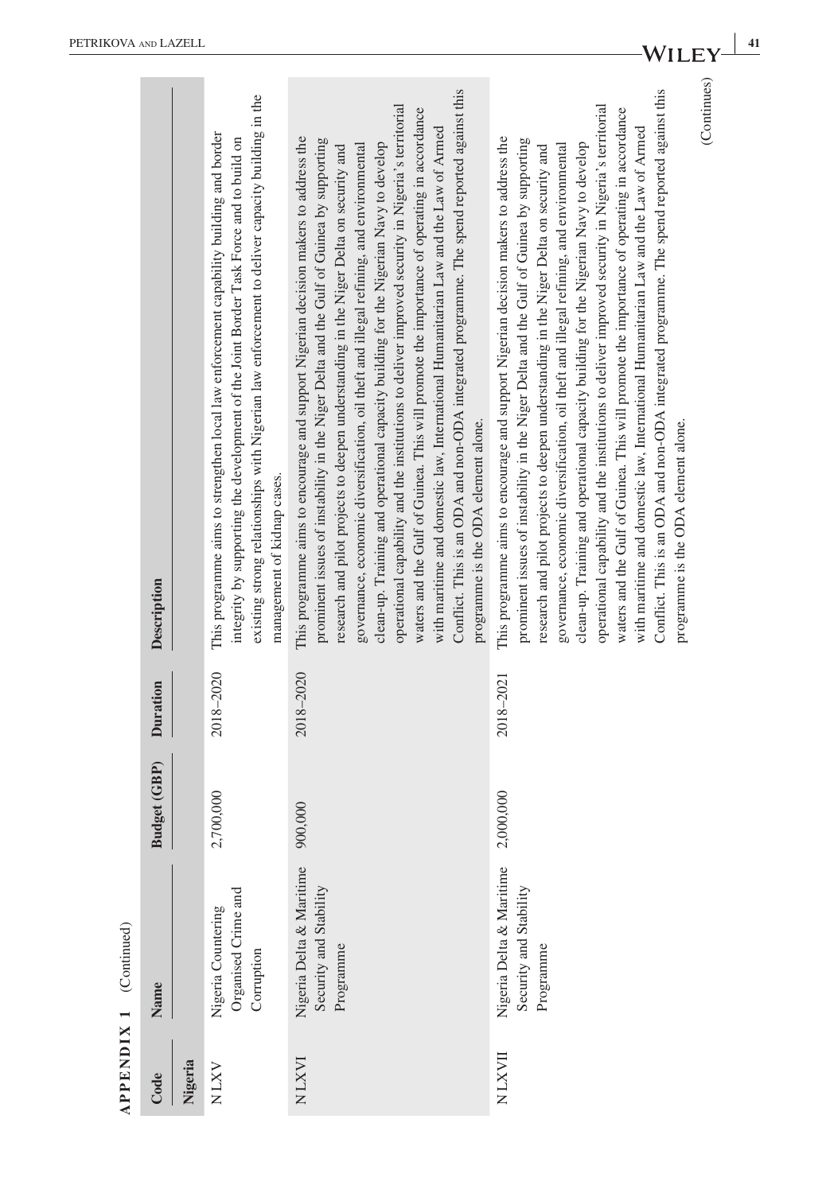|             | $APPENDIX 1$ (Continued)                                        |                     |           |                                                                                                                                                                                                                                                                                                                                                                                                                                                                                                                                                                                                                                                                                                                                                                                                                                                                                                             |
|-------------|-----------------------------------------------------------------|---------------------|-----------|-------------------------------------------------------------------------------------------------------------------------------------------------------------------------------------------------------------------------------------------------------------------------------------------------------------------------------------------------------------------------------------------------------------------------------------------------------------------------------------------------------------------------------------------------------------------------------------------------------------------------------------------------------------------------------------------------------------------------------------------------------------------------------------------------------------------------------------------------------------------------------------------------------------|
| Code        | Name                                                            | <b>Budget (GBP)</b> | Duration  | Description                                                                                                                                                                                                                                                                                                                                                                                                                                                                                                                                                                                                                                                                                                                                                                                                                                                                                                 |
| Nigeria     |                                                                 |                     |           |                                                                                                                                                                                                                                                                                                                                                                                                                                                                                                                                                                                                                                                                                                                                                                                                                                                                                                             |
| <b>NLXV</b> | Organised Crime and<br>Nigeria Countering<br>Corruption         | 2,700,000           | 2018-2020 | existing strong relationships with Nigerian law enforcement to deliver capacity building in the<br>This programme aims to strengthen local law enforcement capability building and border<br>integrity by supporting the development of the Joint Border Task Force and to build on<br>management of kidnap cases.                                                                                                                                                                                                                                                                                                                                                                                                                                                                                                                                                                                          |
| NLXVI       | Nigeria Delta & Maritime<br>Security and Stability<br>Programme | 900,000             | 2018-2020 | Conflict. This is an ODA and non-ODA integrated programme. The spend reported against this<br>operational capability and the institutions to deliver improved security in Nigeria's territorial<br>waters and the Gulf of Guinea. This will promote the importance of operating in accordance<br>with maritime and domestic law, International Humanitarian Law and the Law of Armed<br>This programme aims to encourage and support Nigerian decision makers to address the<br>prominent issues of instability in the Niger Delta and the Gulf of Guinea by supporting<br>clean-up. Training and operational capacity building for the Nigerian Navy to develop<br>governance, economic diversification, oil theft and illegal refining, and environmental<br>research and pilot projects to deepen understanding in the Niger Delta on security and<br>programme is the ODA element alone.                |
| NLXVII      | Nigeria Delta & Maritime<br>Security and Stability<br>Programme | 2,000,000           | 2018-2021 | (Continues)<br>Conflict. This is an ODA and non-ODA integrated programme. The spend reported against this<br>operational capability and the institutions to deliver improved security in Nigeria's territorial<br>waters and the Gulf of Guinea. This will promote the importance of operating in accordance<br>with maritime and domestic law, International Humanitarian Law and the Law of Armed<br>This programme aims to encourage and support Nigerian decision makers to address the<br>prominent issues of instability in the Niger Delta and the Gulf of Guinea by supporting<br>clean-up. Training and operational capacity building for the Nigerian Navy to develop<br>governance, economic diversification, oil theft and illegal refining, and environmental<br>research and pilot projects to deepen understanding in the Niger Delta on security and<br>programme is the ODA element alone. |